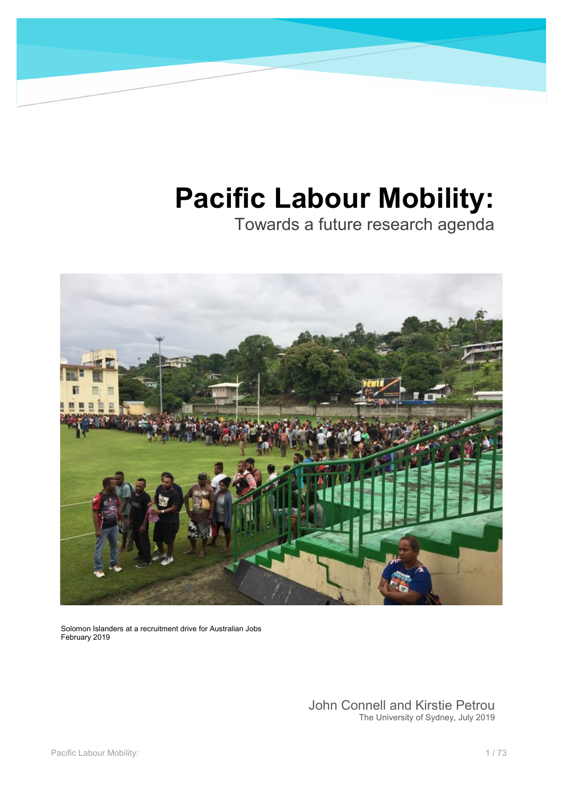# **Pacific Labour Mobility:**

Towards a future research agenda



Solomon Islanders at a recruitment drive for Australian Jobs February 2019

> John Connell and Kirstie Petrou The University of Sydney, July 2019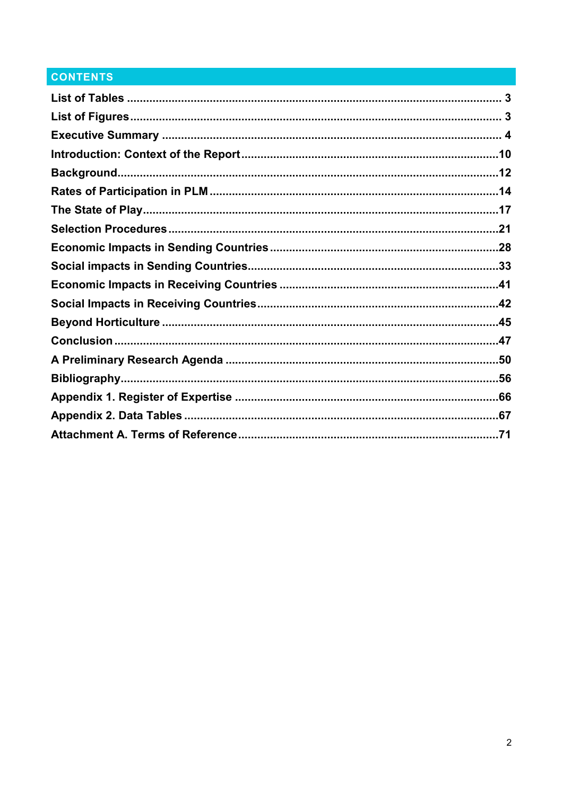## **CONTENTS**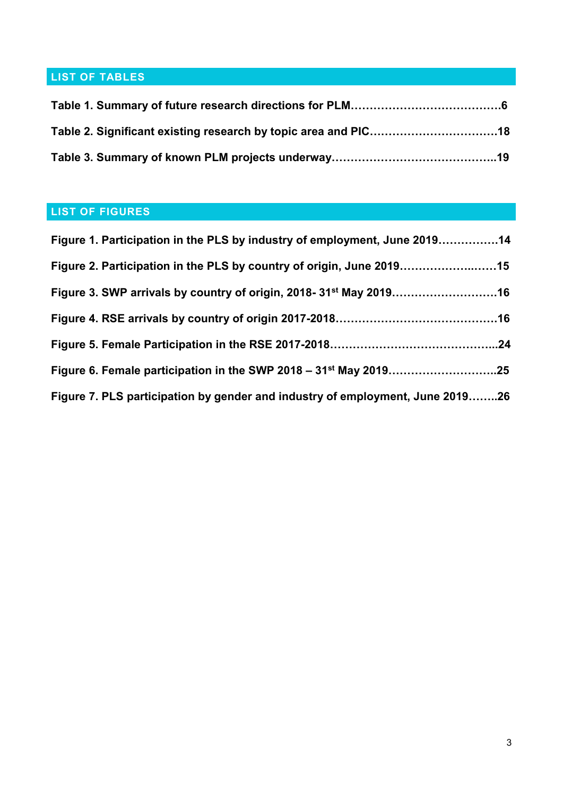## <span id="page-2-0"></span>**LIST OF TABLES**

## <span id="page-2-1"></span>**LIST OF FIGURES**

| Figure 1. Participation in the PLS by industry of employment, June 201914      |  |
|--------------------------------------------------------------------------------|--|
| Figure 2. Participation in the PLS by country of origin, June 201915           |  |
| Figure 3. SWP arrivals by country of origin, 2018- 31 <sup>st</sup> May 201916 |  |
|                                                                                |  |
|                                                                                |  |
|                                                                                |  |
| Figure 7. PLS participation by gender and industry of employment, June 201926  |  |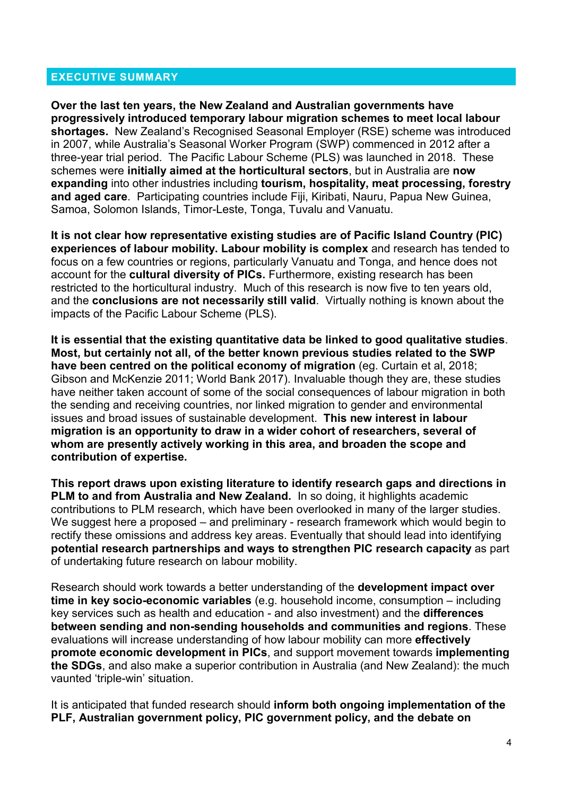#### <span id="page-3-0"></span>**EXECUTIVE SUMMARY**

**Over the last ten years, the New Zealand and Australian governments have progressively introduced temporary labour migration schemes to meet local labour shortages.** New Zealand's Recognised Seasonal Employer (RSE) scheme was introduced in 2007, while Australia's Seasonal Worker Program (SWP) commenced in 2012 after a three-year trial period. The Pacific Labour Scheme (PLS) was launched in 2018. These schemes were **initially aimed at the horticultural sectors**, but in Australia are **now expanding** into other industries including **tourism, hospitality, meat processing, forestry and aged care**. Participating countries include Fiji, Kiribati, Nauru, Papua New Guinea, Samoa, Solomon Islands, Timor-Leste, Tonga, Tuvalu and Vanuatu.

**It is not clear how representative existing studies are of Pacific Island Country (PIC) experiences of labour mobility. Labour mobility is complex** and research has tended to focus on a few countries or regions, particularly Vanuatu and Tonga, and hence does not account for the **cultural diversity of PICs.** Furthermore, existing research has been restricted to the horticultural industry. Much of this research is now five to ten years old, and the **conclusions are not necessarily still valid**. Virtually nothing is known about the impacts of the Pacific Labour Scheme (PLS).

**It is essential that the existing quantitative data be linked to good qualitative studies**. **Most, but certainly not all, of the better known previous studies related to the SWP have been centred on the political economy of migration** (eg. Curtain et al, 2018; Gibson and McKenzie 2011; World Bank 2017). Invaluable though they are, these studies have neither taken account of some of the social consequences of labour migration in both the sending and receiving countries, nor linked migration to gender and environmental issues and broad issues of sustainable development. **This new interest in labour migration is an opportunity to draw in a wider cohort of researchers, several of whom are presently actively working in this area, and broaden the scope and contribution of expertise.**

**This report draws upon existing literature to identify research gaps and directions in PLM to and from Australia and New Zealand.** In so doing, it highlights academic contributions to PLM research, which have been overlooked in many of the larger studies. We suggest here a proposed – and preliminary - research framework which would begin to rectify these omissions and address key areas. Eventually that should lead into identifying **potential research partnerships and ways to strengthen PIC research capacity** as part of undertaking future research on labour mobility.

Research should work towards a better understanding of the **development impact over time in key socio-economic variables** (e.g. household income, consumption – including key services such as health and education - and also investment) and the **differences between sending and non-sending households and communities and regions**. These evaluations will increase understanding of how labour mobility can more **effectively promote economic development in PICs**, and support movement towards **implementing the SDGs**, and also make a superior contribution in Australia (and New Zealand): the much vaunted 'triple-win' situation.

It is anticipated that funded research should **inform both ongoing implementation of the PLF, Australian government policy, PIC government policy, and the debate on**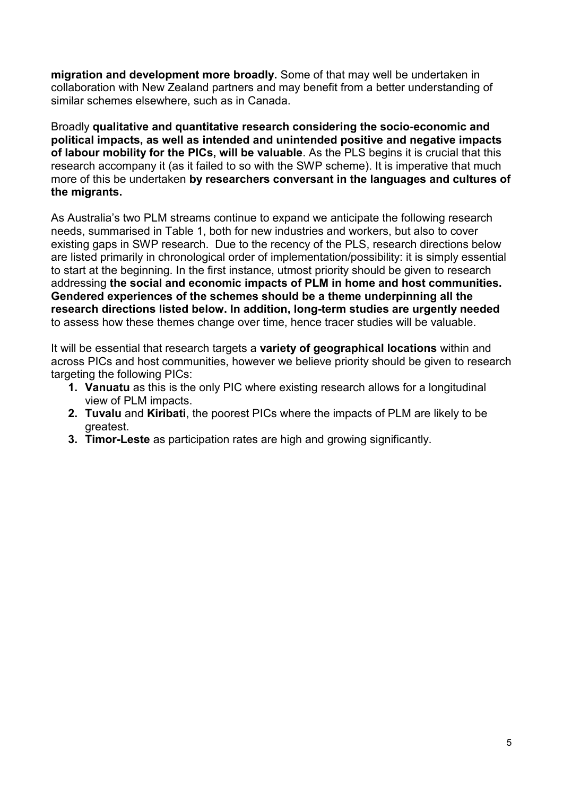**migration and development more broadly.** Some of that may well be undertaken in collaboration with New Zealand partners and may benefit from a better understanding of similar schemes elsewhere, such as in Canada.

Broadly **qualitative and quantitative research considering the socio-economic and political impacts, as well as intended and unintended positive and negative impacts of labour mobility for the PICs, will be valuable**. As the PLS begins it is crucial that this research accompany it (as it failed to so with the SWP scheme). It is imperative that much more of this be undertaken **by researchers conversant in the languages and cultures of the migrants.**

As Australia's two PLM streams continue to expand we anticipate the following research needs, summarised in Table 1, both for new industries and workers, but also to cover existing gaps in SWP research. Due to the recency of the PLS, research directions below are listed primarily in chronological order of implementation/possibility: it is simply essential to start at the beginning. In the first instance, utmost priority should be given to research addressing **the social and economic impacts of PLM in home and host communities. Gendered experiences of the schemes should be a theme underpinning all the research directions listed below. In addition, long-term studies are urgently needed** to assess how these themes change over time, hence tracer studies will be valuable.

It will be essential that research targets a **variety of geographical locations** within and across PICs and host communities, however we believe priority should be given to research targeting the following PICs:

- **1. Vanuatu** as this is the only PIC where existing research allows for a longitudinal view of PLM impacts.
- **2. Tuvalu** and **Kiribati**, the poorest PICs where the impacts of PLM are likely to be greatest.
- **3. Timor-Leste** as participation rates are high and growing significantly.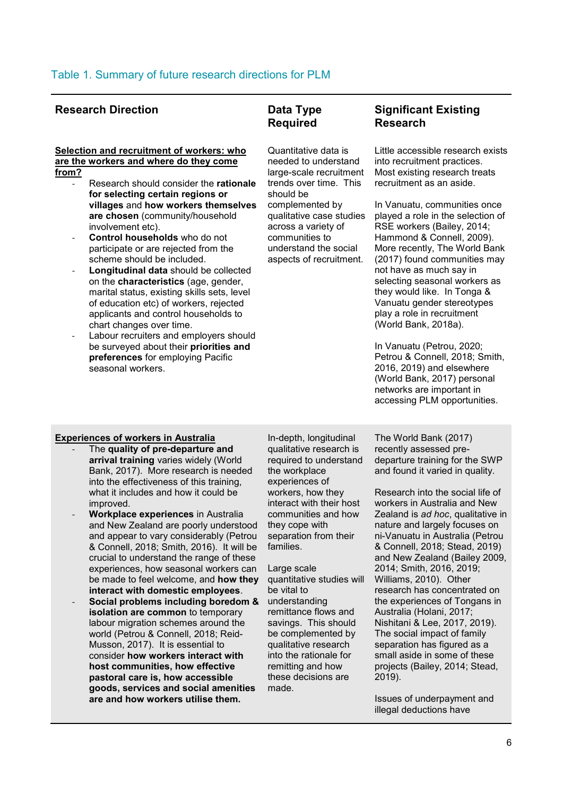#### **Research Direction Data Type**

## **Required**

#### **Selection and recruitment of workers: who are the workers and where do they come from?**

- Research should consider the **rationale for selecting certain regions or villages** and **how workers themselves are chosen** (community/household involvement etc).
- **Control households** who do not participate or are rejected from the scheme should be included.
- **Longitudinal data** should be collected on the **characteristics** (age, gender, marital status, existing skills sets, level of education etc) of workers, rejected applicants and control households to chart changes over time.
- Labour recruiters and employers should be surveyed about their **priorities and preferences** for employing Pacific seasonal workers.

Quantitative data is needed to understand large-scale recruitment trends over time. This should be complemented by qualitative case studies across a variety of communities to understand the social aspects of recruitment.

#### **Significant Existing Research**

Little accessible research exists into recruitment practices. Most existing research treats recruitment as an aside.

In Vanuatu, communities once played a role in the selection of RSE workers (Bailey, 2014; Hammond & Connell, 2009). More recently, The World Bank (2017) found communities may not have as much say in selecting seasonal workers as they would like. In Tonga & Vanuatu gender stereotypes play a role in recruitment (World Bank, 2018a).

In Vanuatu (Petrou, 2020; Petrou & Connell, 2018; Smith, 2016, 2019) and elsewhere (World Bank, 2017) personal networks are important in accessing PLM opportunities.

#### **Experiences of workers in Australia**

- The **quality of pre-departure and arrival training** varies widely (World Bank, 2017). More research is needed into the effectiveness of this training, what it includes and how it could be improved.
- **Workplace experiences** in Australia and New Zealand are poorly understood and appear to vary considerably (Petrou & Connell, 2018; Smith, 2016). It will be crucial to understand the range of these experiences, how seasonal workers can be made to feel welcome, and **how they interact with domestic employees**.
- **Social problems including boredom & isolation are common** to temporary labour migration schemes around the world (Petrou & Connell, 2018; Reid-Musson, 2017). It is essential to consider **how workers interact with host communities, how effective pastoral care is, how accessible goods, services and social amenities are and how workers utilise them.**

In-depth, longitudinal qualitative research is required to understand the workplace experiences of workers, how they interact with their host communities and how they cope with separation from their families.

Large scale quantitative studies will be vital to understanding remittance flows and savings. This should be complemented by qualitative research into the rationale for remitting and how these decisions are made.

The World Bank (2017) recently assessed predeparture training for the SWP and found it varied in quality.

Research into the social life of workers in Australia and New Zealand is *ad hoc*, qualitative in nature and largely focuses on ni-Vanuatu in Australia (Petrou & Connell, 2018; Stead, 2019) and New Zealand (Bailey 2009, 2014; Smith, 2016, 2019; Williams, 2010). Other research has concentrated on the experiences of Tongans in Australia (Holani, 2017; Nishitani & Lee, 2017, 2019). The social impact of family separation has figured as a small aside in some of these projects (Bailey, 2014; Stead, 2019).

Issues of underpayment and illegal deductions have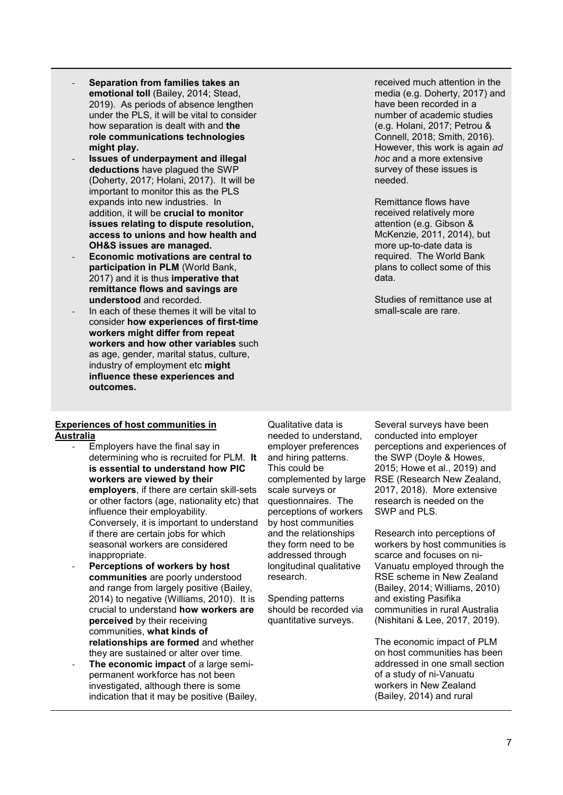- **Separation from families takes an emotional toll** (Bailey, 2014; Stead, 2019). As periods of absence lengthen under the PLS, it will be vital to consider how separation is dealt with and **the role communications technologies might play.**
- **Issues of underpayment and illegal deductions** have plagued the SWP (Doherty, 2017; Holani, 2017). It will be important to monitor this as the PLS expands into new industries. In addition, it will be **crucial to monitor issues relating to dispute resolution, access to unions and how health and OH&S issues are managed.**
- **Economic motivations are central to participation in PLM** (World Bank, 2017) and it is thus **imperative that remittance flows and savings are understood** and recorded.
- In each of these themes it will be vital to consider **how experiences of first-time workers might differ from repeat workers and how other variables** such as age, gender, marital status, culture, industry of employment etc **might influence these experiences and outcomes.**

#### received much attention in the media (e.g. Doherty, 2017) and have been recorded in a number of academic studies (e.g. Holani, 2017; Petrou & Connell, 2018; Smith, 2016). However, this work is again *ad hoc* and a more extensive survey of these issues is needed.

Remittance flows have received relatively more attention (e.g. Gibson & McKenzie, 2011, 2014), but more up-to-date data is required. The World Bank plans to collect some of this data.

Studies of remittance use at small-scale are rare.

#### **Experiences of host communities in Australia**

- Employers have the final say in determining who is recruited for PLM. **It is essential to understand how PIC workers are viewed by their employers**, if there are certain skill-sets or other factors (age, nationality etc) that influence their employability. Conversely, it is important to understand if there are certain jobs for which seasonal workers are considered inappropriate.
- **Perceptions of workers by host communities** are poorly understood and range from largely positive (Bailey, 2014) to negative (Williams, 2010). It is crucial to understand **how workers are perceived** by their receiving communities, **what kinds of relationships are formed** and whether they are sustained or alter over time.
- The economic impact of a large semipermanent workforce has not been investigated, although there is some indication that it may be positive (Bailey,

Qualitative data is needed to understand, employer preferences and hiring patterns. This could be complemented by large scale surveys or questionnaires. The perceptions of workers by host communities and the relationships they form need to be addressed through longitudinal qualitative research.

Spending patterns should be recorded via quantitative surveys.

Several surveys have been conducted into employer perceptions and experiences of the SWP (Doyle & Howes, 2015; Howe et al., 2019) and RSE (Research New Zealand, 2017, 2018). More extensive research is needed on the SWP and PLS.

Research into perceptions of workers by host communities is scarce and focuses on ni-Vanuatu employed through the RSE scheme in New Zealand (Bailey, 2014; Williams, 2010) and existing Pasifika communities in rural Australia (Nishitani & Lee, 2017, 2019).

The economic impact of PLM on host communities has been addressed in one small section of a study of ni-Vanuatu workers in New Zealand (Bailey, 2014) and rural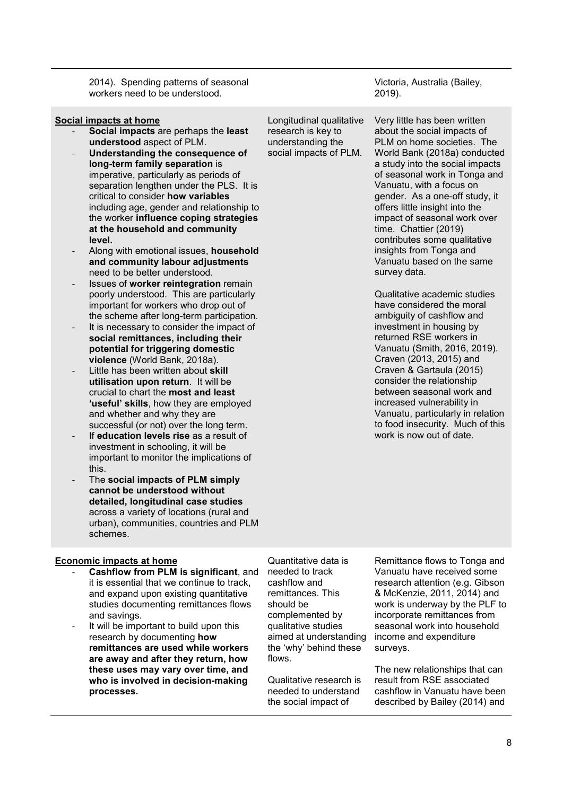2014). Spending patterns of seasonal workers need to be understood.

#### **Social impacts at home**

- **Social impacts** are perhaps the **least understood** aspect of PLM.
- **Understanding the consequence of long-term family separation** is imperative, particularly as periods of separation lengthen under the PLS. It is critical to consider **how variables** including age, gender and relationship to the worker **influence coping strategies at the household and community level.**
- Along with emotional issues, **household and community labour adjustments** need to be better understood.
- Issues of **worker reintegration** remain poorly understood. This are particularly important for workers who drop out of the scheme after long-term participation.
- It is necessary to consider the impact of **social remittances, including their potential for triggering domestic violence** (World Bank, 2018a).
- Little has been written about **skill utilisation upon return**. It will be crucial to chart the **most and least 'useful' skills**, how they are employed and whether and why they are successful (or not) over the long term.
- If **education levels rise** as a result of investment in schooling, it will be important to monitor the implications of this.
- The **social impacts of PLM simply cannot be understood without detailed, longitudinal case studies** across a variety of locations (rural and urban), communities, countries and PLM schemes.

Longitudinal qualitative research is key to understanding the social impacts of PLM.

about the social impacts of PLM on home societies. The World Bank (2018a) conducted a study into the social impacts of seasonal work in Tonga and Vanuatu, with a focus on gender. As a one-off study, it offers little insight into the impact of seasonal work over time. Chattier (2019) contributes some qualitative insights from Tonga and Vanuatu based on the same survey data.

Qualitative academic studies have considered the moral ambiguity of cashflow and investment in housing by returned RSE workers in Vanuatu (Smith, 2016, 2019). Craven (2013, 2015) and Craven & Gartaula (2015) consider the relationship between seasonal work and increased vulnerability in Vanuatu, particularly in relation to food insecurity. Much of this work is now out of date.

#### **Economic impacts at home**

- **Cashflow from PLM is significant**, and it is essential that we continue to track, and expand upon existing quantitative studies documenting remittances flows and savings.
- It will be important to build upon this research by documenting **how remittances are used while workers are away and after they return, how these uses may vary over time, and who is involved in decision-making processes.**

Quantitative data is needed to track cashflow and remittances. This should be complemented by qualitative studies aimed at understanding the 'why' behind these flows.

Qualitative research is needed to understand the social impact of

Remittance flows to Tonga and Vanuatu have received some research attention (e.g. Gibson & McKenzie, 2011, 2014) and work is underway by the PLF to incorporate remittances from seasonal work into household income and expenditure surveys.

The new relationships that can result from RSE associated cashflow in Vanuatu have been described by Bailey (2014) and

Victoria, Australia (Bailey, 2019).

Very little has been written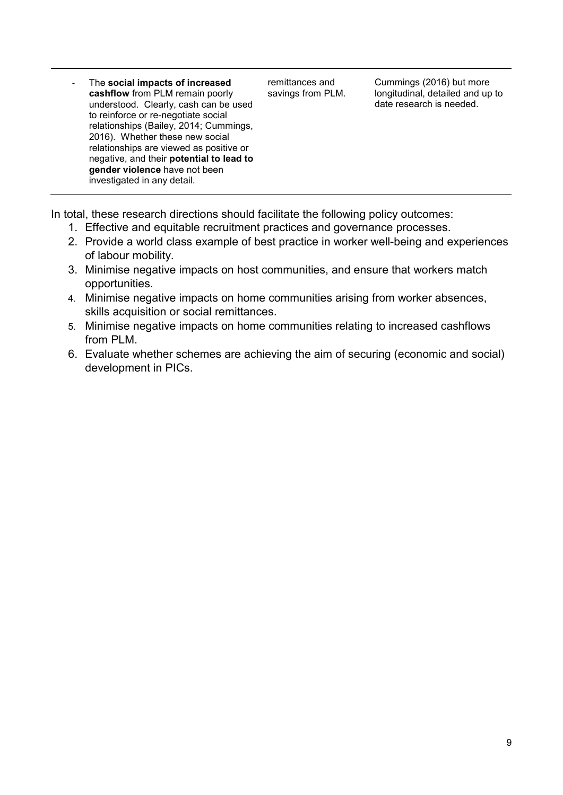- The **social impacts of increased cashflow** from PLM remain poorly understood. Clearly, cash can be used to reinforce or re-negotiate social relationships (Bailey, 2014; Cummings, 2016). Whether these new social relationships are viewed as positive or negative, and their **potential to lead to gender violence** have not been investigated in any detail.

remittances and savings from PLM.

Cummings (2016) but more longitudinal, detailed and up to date research is needed.

In total, these research directions should facilitate the following policy outcomes:

- 1. Effective and equitable recruitment practices and governance processes.
- 2. Provide a world class example of best practice in worker well-being and experiences of labour mobility.
- 3. Minimise negative impacts on host communities, and ensure that workers match opportunities.
- 4. Minimise negative impacts on home communities arising from worker absences, skills acquisition or social remittances.
- 5. Minimise negative impacts on home communities relating to increased cashflows from PLM.
- 6. Evaluate whether schemes are achieving the aim of securing (economic and social) development in PICs.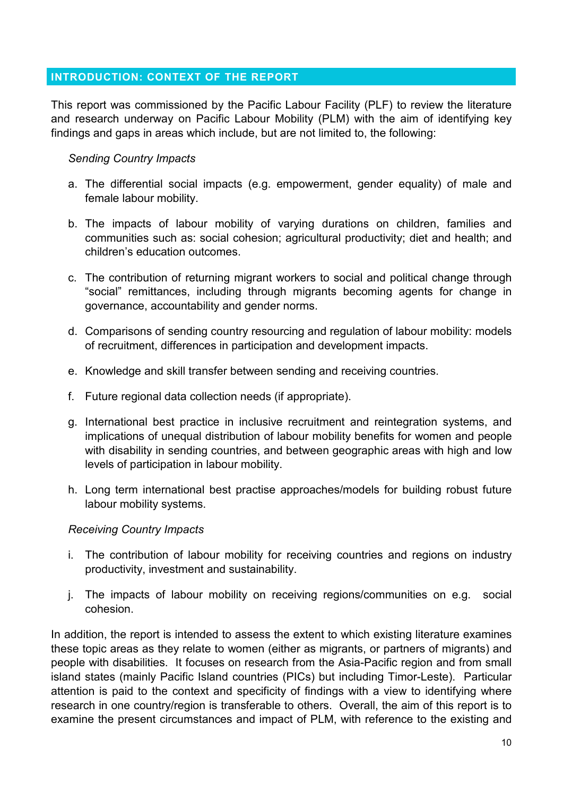#### <span id="page-9-0"></span>**INTRODUCTION: CONTEXT OF THE REPORT**

This report was commissioned by the Pacific Labour Facility (PLF) to review the literature and research underway on Pacific Labour Mobility (PLM) with the aim of identifying key findings and gaps in areas which include, but are not limited to, the following:

#### *Sending Country Impacts*

- a. The differential social impacts (e.g. empowerment, gender equality) of male and female labour mobility.
- b. The impacts of labour mobility of varying durations on children, families and communities such as: social cohesion; agricultural productivity; diet and health; and children's education outcomes.
- c. The contribution of returning migrant workers to social and political change through "social" remittances, including through migrants becoming agents for change in governance, accountability and gender norms.
- d. Comparisons of sending country resourcing and regulation of labour mobility: models of recruitment, differences in participation and development impacts.
- e. Knowledge and skill transfer between sending and receiving countries.
- f. Future regional data collection needs (if appropriate).
- g. International best practice in inclusive recruitment and reintegration systems, and implications of unequal distribution of labour mobility benefits for women and people with disability in sending countries, and between geographic areas with high and low levels of participation in labour mobility.
- h. Long term international best practise approaches/models for building robust future labour mobility systems.

#### *Receiving Country Impacts*

- i. The contribution of labour mobility for receiving countries and regions on industry productivity, investment and sustainability.
- j. The impacts of labour mobility on receiving regions/communities on e.g. social cohesion.

In addition, the report is intended to assess the extent to which existing literature examines these topic areas as they relate to women (either as migrants, or partners of migrants) and people with disabilities. It focuses on research from the Asia-Pacific region and from small island states (mainly Pacific Island countries (PICs) but including Timor-Leste). Particular attention is paid to the context and specificity of findings with a view to identifying where research in one country/region is transferable to others. Overall, the aim of this report is to examine the present circumstances and impact of PLM, with reference to the existing and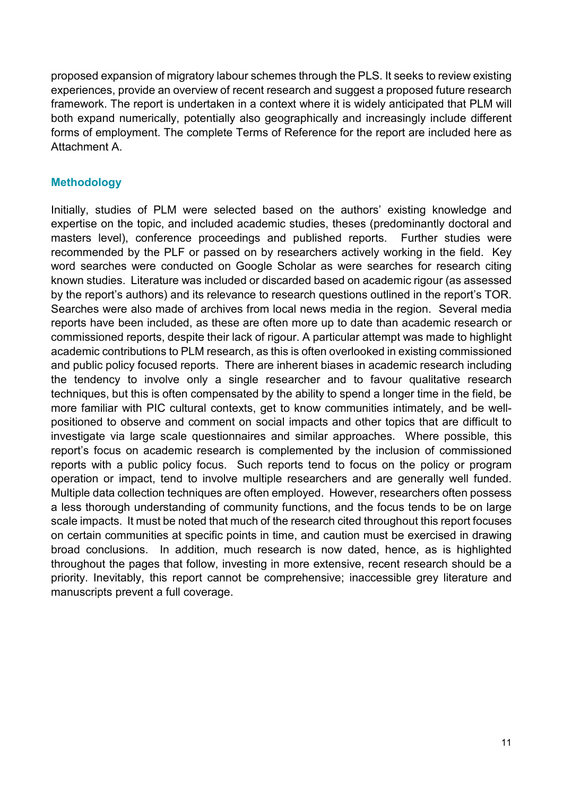proposed expansion of migratory labour schemes through the PLS. It seeks to review existing experiences, provide an overview of recent research and suggest a proposed future research framework. The report is undertaken in a context where it is widely anticipated that PLM will both expand numerically, potentially also geographically and increasingly include different forms of employment. The complete Terms of Reference for the report are included here as Attachment A.

#### **Methodology**

Initially, studies of PLM were selected based on the authors' existing knowledge and expertise on the topic, and included academic studies, theses (predominantly doctoral and masters level), conference proceedings and published reports. Further studies were recommended by the PLF or passed on by researchers actively working in the field. Key word searches were conducted on Google Scholar as were searches for research citing known studies. Literature was included or discarded based on academic rigour (as assessed by the report's authors) and its relevance to research questions outlined in the report's TOR. Searches were also made of archives from local news media in the region. Several media reports have been included, as these are often more up to date than academic research or commissioned reports, despite their lack of rigour. A particular attempt was made to highlight academic contributions to PLM research, as this is often overlooked in existing commissioned and public policy focused reports. There are inherent biases in academic research including the tendency to involve only a single researcher and to favour qualitative research techniques, but this is often compensated by the ability to spend a longer time in the field, be more familiar with PIC cultural contexts, get to know communities intimately, and be wellpositioned to observe and comment on social impacts and other topics that are difficult to investigate via large scale questionnaires and similar approaches. Where possible, this report's focus on academic research is complemented by the inclusion of commissioned reports with a public policy focus. Such reports tend to focus on the policy or program operation or impact, tend to involve multiple researchers and are generally well funded. Multiple data collection techniques are often employed. However, researchers often possess a less thorough understanding of community functions, and the focus tends to be on large scale impacts. It must be noted that much of the research cited throughout this report focuses on certain communities at specific points in time, and caution must be exercised in drawing broad conclusions. In addition, much research is now dated, hence, as is highlighted throughout the pages that follow, investing in more extensive, recent research should be a priority. Inevitably, this report cannot be comprehensive; inaccessible grey literature and manuscripts prevent a full coverage.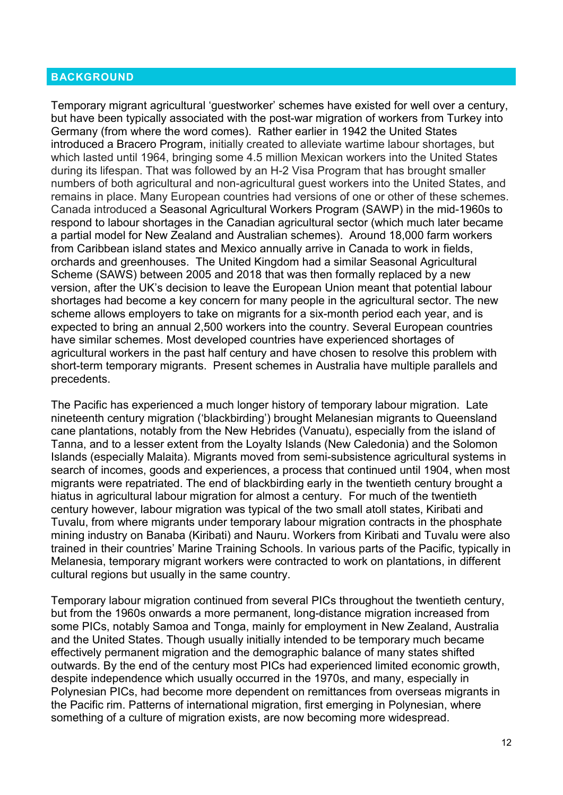#### <span id="page-11-0"></span>**BACKGROUND**

Temporary migrant agricultural 'guestworker' schemes have existed for well over a century, but have been typically associated with the post-war migration of workers from Turkey into Germany (from where the word comes). Rather earlier in 1942 the United States introduced a Bracero Program, initially created to alleviate wartime labour shortages, but which lasted until 1964, bringing some 4.5 million Mexican workers into the United States during its lifespan. That was followed by an H-2 Visa Program that has brought smaller numbers of both agricultural and non-agricultural guest workers into the United States, and remains in place. Many European countries had versions of one or other of these schemes. Canada introduced a Seasonal Agricultural Workers Program (SAWP) in the mid-1960s to respond to labour shortages in the Canadian agricultural sector (which much later became a partial model for New Zealand and Australian schemes). Around 18,000 farm workers from Caribbean island states and Mexico annually arrive in Canada to work in fields, orchards and greenhouses. The United Kingdom had a similar Seasonal Agricultural Scheme (SAWS) between 2005 and 2018 that was then formally replaced by a new version, after the UK's decision to leave the European Union meant that potential labour shortages had become a key concern for many people in the agricultural sector. The new scheme allows employers to take on migrants for a six-month period each year, and is expected to bring an annual 2,500 workers into the country. Several European countries have similar schemes. Most developed countries have experienced shortages of agricultural workers in the past half century and have chosen to resolve this problem with short-term temporary migrants. Present schemes in Australia have multiple parallels and precedents.

The Pacific has experienced a much longer history of temporary labour migration. Late nineteenth century migration ('blackbirding') brought Melanesian migrants to Queensland cane plantations, notably from the New Hebrides (Vanuatu), especially from the island of Tanna, and to a lesser extent from the Loyalty Islands (New Caledonia) and the Solomon Islands (especially Malaita). Migrants moved from semi-subsistence agricultural systems in search of incomes, goods and experiences, a process that continued until 1904, when most migrants were repatriated. The end of blackbirding early in the twentieth century brought a hiatus in agricultural labour migration for almost a century. For much of the twentieth century however, labour migration was typical of the two small atoll states, Kiribati and Tuvalu, from where migrants under temporary labour migration contracts in the phosphate mining industry on Banaba (Kiribati) and Nauru. Workers from Kiribati and Tuvalu were also trained in their countries' Marine Training Schools. In various parts of the Pacific, typically in Melanesia, temporary migrant workers were contracted to work on plantations, in different cultural regions but usually in the same country.

Temporary labour migration continued from several PICs throughout the twentieth century, but from the 1960s onwards a more permanent, long-distance migration increased from some PICs, notably Samoa and Tonga, mainly for employment in New Zealand, Australia and the United States. Though usually initially intended to be temporary much became effectively permanent migration and the demographic balance of many states shifted outwards. By the end of the century most PICs had experienced limited economic growth, despite independence which usually occurred in the 1970s, and many, especially in Polynesian PICs, had become more dependent on remittances from overseas migrants in the Pacific rim. Patterns of international migration, first emerging in Polynesian, where something of a culture of migration exists, are now becoming more widespread.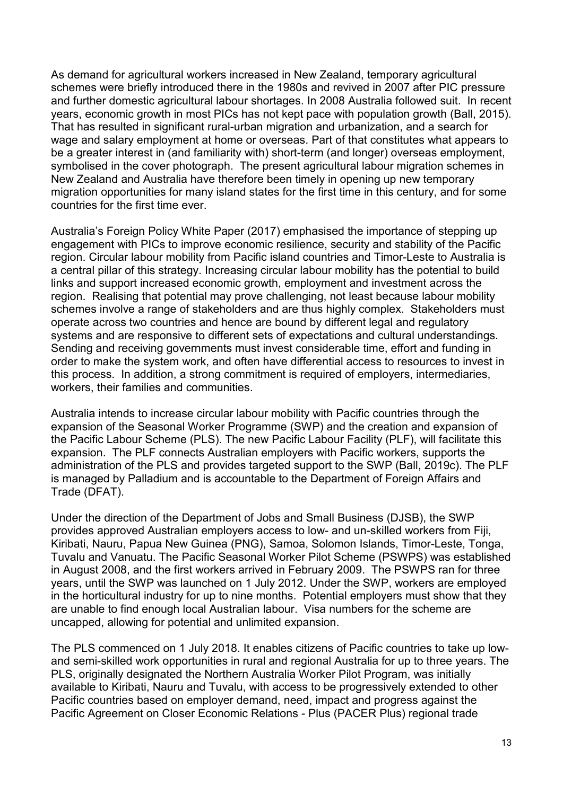As demand for agricultural workers increased in New Zealand, temporary agricultural schemes were briefly introduced there in the 1980s and revived in 2007 after PIC pressure and further domestic agricultural labour shortages. In 2008 Australia followed suit. In recent years, economic growth in most PICs has not kept pace with population growth (Ball, 2015). That has resulted in significant rural-urban migration and urbanization, and a search for wage and salary employment at home or overseas. Part of that constitutes what appears to be a greater interest in (and familiarity with) short-term (and longer) overseas employment, symbolised in the cover photograph. The present agricultural labour migration schemes in New Zealand and Australia have therefore been timely in opening up new temporary migration opportunities for many island states for the first time in this century, and for some countries for the first time ever.

Australia's Foreign Policy White Paper (2017) emphasised the importance of stepping up engagement with PICs to improve economic resilience, security and stability of the Pacific region. Circular labour mobility from Pacific island countries and Timor-Leste to Australia is a central pillar of this strategy. Increasing circular labour mobility has the potential to build links and support increased economic growth, employment and investment across the region. Realising that potential may prove challenging, not least because labour mobility schemes involve a range of stakeholders and are thus highly complex. Stakeholders must operate across two countries and hence are bound by different legal and regulatory systems and are responsive to different sets of expectations and cultural understandings. Sending and receiving governments must invest considerable time, effort and funding in order to make the system work, and often have differential access to resources to invest in this process. In addition, a strong commitment is required of employers, intermediaries, workers, their families and communities.

Australia intends to increase circular labour mobility with Pacific countries through the expansion of the Seasonal Worker Programme (SWP) and the creation and expansion of the Pacific Labour Scheme (PLS). The new Pacific Labour Facility (PLF), will facilitate this expansion. The PLF connects Australian employers with Pacific workers, supports the administration of the PLS and provides targeted support to the SWP (Ball, 2019c). The PLF is managed by Palladium and is accountable to the Department of Foreign Affairs and Trade (DFAT).

Under the direction of the Department of Jobs and Small Business (DJSB), the SWP provides approved Australian employers access to low- and un-skilled workers from Fiji, Kiribati, Nauru, Papua New Guinea (PNG), Samoa, Solomon Islands, Timor-Leste, Tonga, Tuvalu and Vanuatu. The Pacific Seasonal Worker Pilot Scheme (PSWPS) was established in August 2008, and the first workers arrived in February 2009. The PSWPS ran for three years, until the SWP was launched on 1 July 2012. Under the SWP, workers are employed in the horticultural industry for up to nine months. Potential employers must show that they are unable to find enough local Australian labour. Visa numbers for the scheme are uncapped, allowing for potential and unlimited expansion.

The PLS commenced on 1 July 2018. It enables citizens of Pacific countries to take up lowand semi-skilled work opportunities in rural and regional Australia for up to three years. The PLS, originally designated the Northern Australia Worker Pilot Program, was initially available to Kiribati, Nauru and Tuvalu, with access to be progressively extended to other Pacific countries based on employer demand, need, impact and progress against the Pacific Agreement on Closer Economic Relations - Plus (PACER Plus) regional trade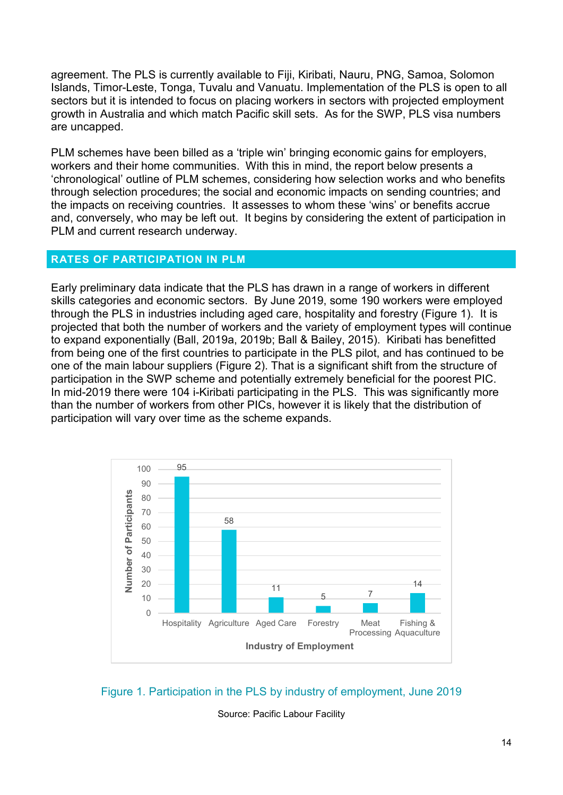agreement. The PLS is currently available to Fiji, Kiribati, Nauru, PNG, Samoa, Solomon Islands, Timor-Leste, Tonga, Tuvalu and Vanuatu. Implementation of the PLS is open to all sectors but it is intended to focus on placing workers in sectors with projected employment growth in Australia and which match Pacific skill sets. As for the SWP, PLS visa numbers are uncapped.

PLM schemes have been billed as a 'triple win' bringing economic gains for employers, workers and their home communities. With this in mind, the report below presents a 'chronological' outline of PLM schemes, considering how selection works and who benefits through selection procedures; the social and economic impacts on sending countries; and the impacts on receiving countries. It assesses to whom these 'wins' or benefits accrue and, conversely, who may be left out. It begins by considering the extent of participation in PLM and current research underway.

#### <span id="page-13-0"></span>**RATES OF PARTICIPATION IN PLM**

Early preliminary data indicate that the PLS has drawn in a range of workers in different skills categories and economic sectors. By June 2019, some 190 workers were employed through the PLS in industries including aged care, hospitality and forestry (Figure 1). It is projected that both the number of workers and the variety of employment types will continue to expand exponentially (Ball, 2019a, 2019b; Ball & Bailey, 2015). Kiribati has benefitted from being one of the first countries to participate in the PLS pilot, and has continued to be one of the main labour suppliers (Figure 2). That is a significant shift from the structure of participation in the SWP scheme and potentially extremely beneficial for the poorest PIC. In mid-2019 there were 104 i-Kiribati participating in the PLS. This was significantly more than the number of workers from other PICs, however it is likely that the distribution of participation will vary over time as the scheme expands.



Figure 1. Participation in the PLS by industry of employment, June 2019

Source: Pacific Labour Facility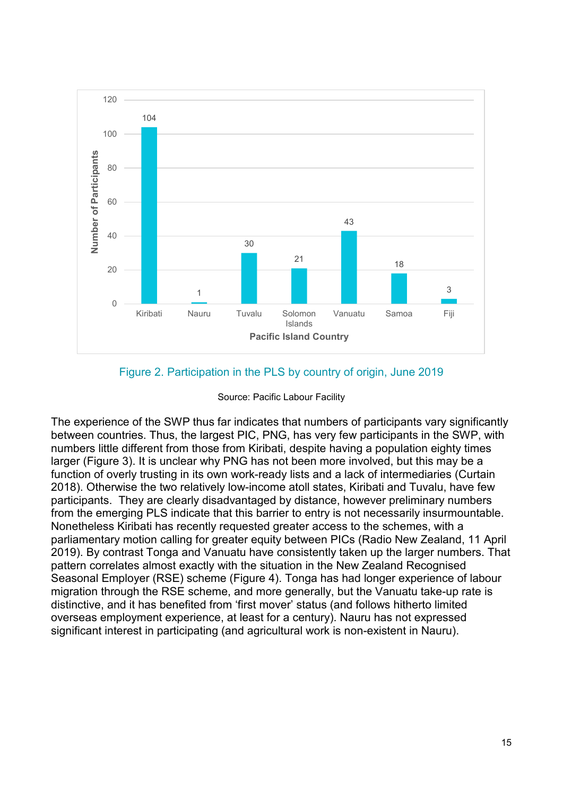

### Figure 2. Participation in the PLS by country of origin, June 2019

#### Source: Pacific Labour Facility

The experience of the SWP thus far indicates that numbers of participants vary significantly between countries. Thus, the largest PIC, PNG, has very few participants in the SWP, with numbers little different from those from Kiribati, despite having a population eighty times larger (Figure 3). It is unclear why PNG has not been more involved, but this may be a function of overly trusting in its own work-ready lists and a lack of intermediaries (Curtain 2018). Otherwise the two relatively low-income atoll states, Kiribati and Tuvalu, have few participants. They are clearly disadvantaged by distance, however preliminary numbers from the emerging PLS indicate that this barrier to entry is not necessarily insurmountable. Nonetheless Kiribati has recently requested greater access to the schemes, with a parliamentary motion calling for greater equity between PICs (Radio New Zealand, 11 April 2019). By contrast Tonga and Vanuatu have consistently taken up the larger numbers. That pattern correlates almost exactly with the situation in the New Zealand Recognised Seasonal Employer (RSE) scheme (Figure 4). Tonga has had longer experience of labour migration through the RSE scheme, and more generally, but the Vanuatu take-up rate is distinctive, and it has benefited from 'first mover' status (and follows hitherto limited overseas employment experience, at least for a century). Nauru has not expressed significant interest in participating (and agricultural work is non-existent in Nauru).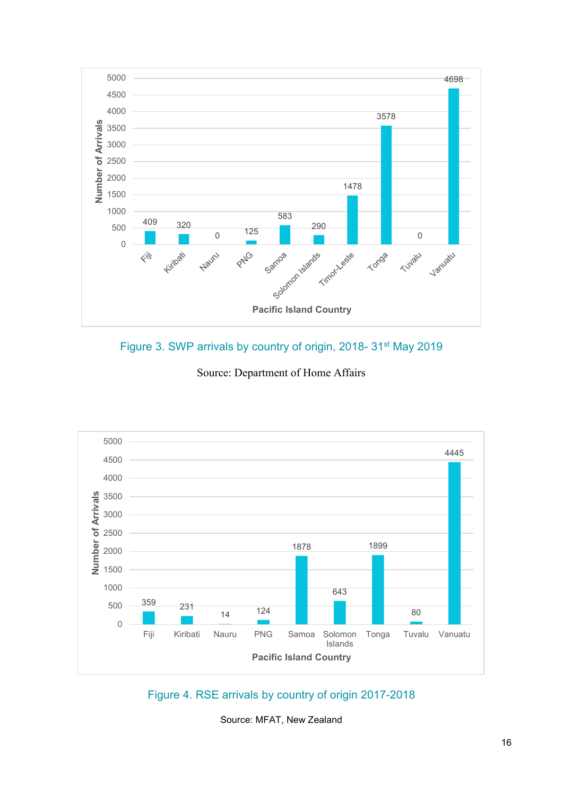





Source: Department of Home Affairs

Figure 4. RSE arrivals by country of origin 2017-2018

Source: MFAT, New Zealand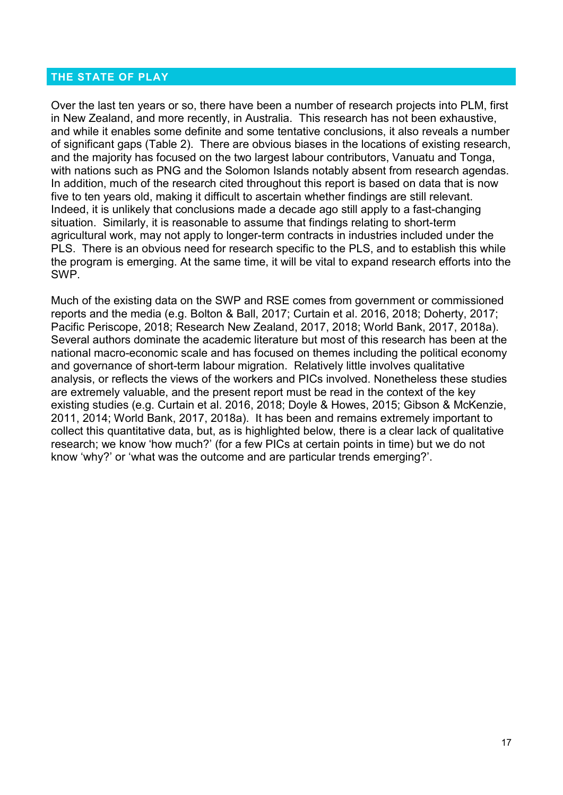#### <span id="page-16-0"></span>**THE STATE OF PLAY**

Over the last ten years or so, there have been a number of research projects into PLM, first in New Zealand, and more recently, in Australia. This research has not been exhaustive, and while it enables some definite and some tentative conclusions, it also reveals a number of significant gaps (Table 2). There are obvious biases in the locations of existing research, and the majority has focused on the two largest labour contributors, Vanuatu and Tonga, with nations such as PNG and the Solomon Islands notably absent from research agendas. In addition, much of the research cited throughout this report is based on data that is now five to ten years old, making it difficult to ascertain whether findings are still relevant. Indeed, it is unlikely that conclusions made a decade ago still apply to a fast-changing situation. Similarly, it is reasonable to assume that findings relating to short-term agricultural work, may not apply to longer-term contracts in industries included under the PLS. There is an obvious need for research specific to the PLS, and to establish this while the program is emerging. At the same time, it will be vital to expand research efforts into the SWP.

Much of the existing data on the SWP and RSE comes from government or commissioned reports and the media (e.g. Bolton & Ball, 2017; Curtain et al. 2016, 2018; Doherty, 2017; Pacific Periscope, 2018; Research New Zealand, 2017, 2018; World Bank, 2017, 2018a). Several authors dominate the academic literature but most of this research has been at the national macro-economic scale and has focused on themes including the political economy and governance of short-term labour migration. Relatively little involves qualitative analysis, or reflects the views of the workers and PICs involved. Nonetheless these studies are extremely valuable, and the present report must be read in the context of the key existing studies (e.g. Curtain et al. 2016, 2018; Doyle & Howes, 2015; Gibson & McKenzie, 2011, 2014; World Bank, 2017, 2018a). It has been and remains extremely important to collect this quantitative data, but, as is highlighted below, there is a clear lack of qualitative research; we know 'how much?' (for a few PICs at certain points in time) but we do not know 'why?' or 'what was the outcome and are particular trends emerging?'.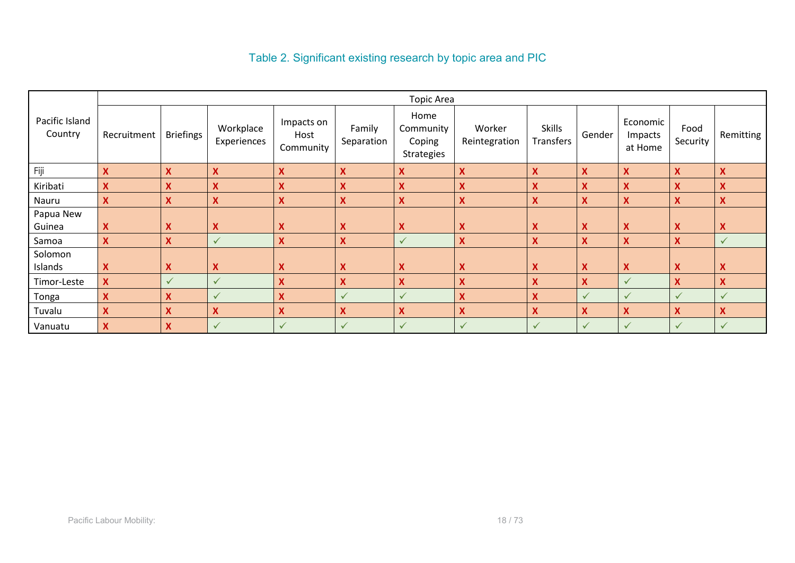## Table 2. Significant existing research by topic area and PIC

|                           | <b>Topic Area</b> |                           |                           |                                 |                           |                                           |                           |                                   |                  |                                |                           |                           |
|---------------------------|-------------------|---------------------------|---------------------------|---------------------------------|---------------------------|-------------------------------------------|---------------------------|-----------------------------------|------------------|--------------------------------|---------------------------|---------------------------|
| Pacific Island<br>Country | Recruitment       | <b>Briefings</b>          | Workplace<br>Experiences  | Impacts on<br>Host<br>Community | Family<br>Separation      | Home<br>Community<br>Coping<br>Strategies | Worker<br>Reintegration   | <b>Skills</b><br><b>Transfers</b> | Gender           | Economic<br>Impacts<br>at Home | Food<br>Security          | Remitting                 |
| Fiji                      | $\mathbf x$       | X                         | X                         | $\boldsymbol{\mathsf{X}}$       | $\mathbf x$               | X                                         | $\boldsymbol{\mathsf{x}}$ | X                                 | X                | $\boldsymbol{\mathsf{x}}$      | $\boldsymbol{\mathsf{x}}$ | $\boldsymbol{X}$          |
| Kiribati                  | X                 | X                         | X                         | X                               | X                         | X                                         | X                         | Χ                                 | X                | X                              | X                         | X                         |
| Nauru                     | $\mathbf x$       | X                         | $\boldsymbol{\mathsf{X}}$ | $\boldsymbol{X}$                | X                         | $\overline{\mathbf{X}}$                   | $\boldsymbol{\mathsf{x}}$ | X                                 | X                | $\overline{\mathbf{X}}$        | X                         | $\mathbf x$               |
| Papua New                 |                   |                           |                           |                                 |                           |                                           |                           |                                   |                  |                                |                           |                           |
| Guinea                    | X                 | $\boldsymbol{\mathsf{x}}$ | Χ                         | $\boldsymbol{\mathsf{X}}$       | <b>X</b>                  | <b>X</b>                                  | X                         | X                                 | X                | X                              | X                         | X                         |
| Samoa                     | $\mathbf x$       | X                         | $\checkmark$              | $\mathbf x$                     | $\mathbf x$               | $\checkmark$                              | X                         | X                                 | X                | X                              | $\boldsymbol{\mathsf{x}}$ | $\checkmark$              |
| Solomon                   |                   |                           |                           |                                 |                           |                                           |                           |                                   |                  |                                |                           |                           |
| Islands                   | $\mathbf x$       | $\boldsymbol{X}$          | X                         | $\boldsymbol{\mathsf{X}}$       | $\boldsymbol{\mathsf{X}}$ | X                                         | X                         | X                                 | $\boldsymbol{X}$ | X                              | $\boldsymbol{\mathsf{x}}$ | X                         |
| Timor-Leste               | $\mathbf x$       | $\checkmark$              | ✓                         | $\boldsymbol{\mathsf{X}}$       | $\mathbf x$               | X                                         | X                         | X                                 | X                | ✓                              | X                         | $\boldsymbol{X}$          |
| Tonga                     | X                 | X                         | ✓                         | X                               | $\checkmark$              | $\checkmark$                              | X                         | X                                 | $\checkmark$     | ✓                              | ✓                         | $\checkmark$              |
| Tuvalu                    | X                 | X                         | X                         | $\boldsymbol{X}$                | X                         | X                                         | X                         | X                                 | X                | X                              | X                         | $\boldsymbol{\mathsf{X}}$ |
| Vanuatu                   | $\mathbf{x}$      | X                         | ✓                         | $\checkmark$                    | $\checkmark$              | $\checkmark$                              | $\checkmark$              | ✓                                 | $\checkmark$     | $\checkmark$                   | $\checkmark$              | $\checkmark$              |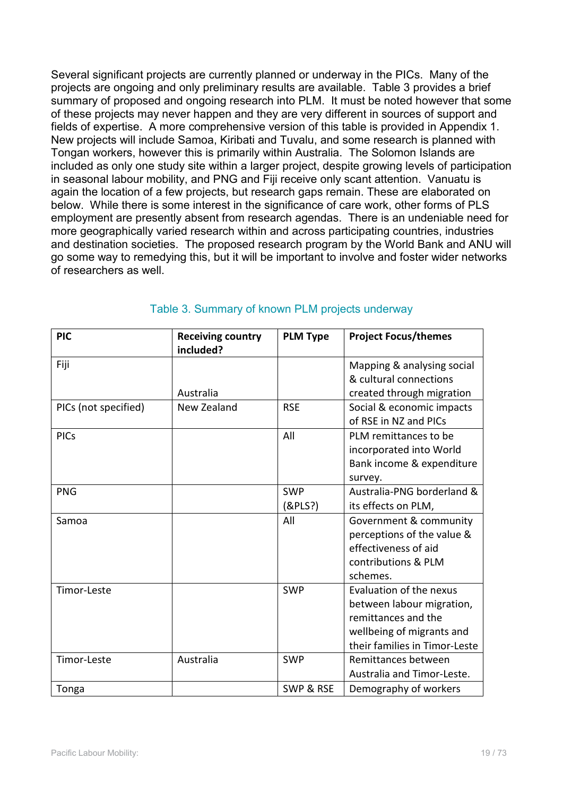Several significant projects are currently planned or underway in the PICs. Many of the projects are ongoing and only preliminary results are available. Table 3 provides a brief summary of proposed and ongoing research into PLM. It must be noted however that some of these projects may never happen and they are very different in sources of support and fields of expertise. A more comprehensive version of this table is provided in Appendix 1. New projects will include Samoa, Kiribati and Tuvalu, and some research is planned with Tongan workers, however this is primarily within Australia. The Solomon Islands are included as only one study site within a larger project, despite growing levels of participation in seasonal labour mobility, and PNG and Fiji receive only scant attention. Vanuatu is again the location of a few projects, but research gaps remain. These are elaborated on below. While there is some interest in the significance of care work, other forms of PLS employment are presently absent from research agendas. There is an undeniable need for more geographically varied research within and across participating countries, industries and destination societies. The proposed research program by the World Bank and ANU will go some way to remedying this, but it will be important to involve and foster wider networks of researchers as well.

| <b>PIC</b>           | <b>Receiving country</b> | <b>PLM Type</b> | <b>Project Focus/themes</b>   |
|----------------------|--------------------------|-----------------|-------------------------------|
|                      | included?                |                 |                               |
| Fiji                 |                          |                 | Mapping & analysing social    |
|                      |                          |                 | & cultural connections        |
|                      | Australia                |                 | created through migration     |
| PICs (not specified) | New Zealand              | <b>RSE</b>      | Social & economic impacts     |
|                      |                          |                 | of RSE in NZ and PICs         |
| <b>PICs</b>          |                          | All             | PLM remittances to be         |
|                      |                          |                 | incorporated into World       |
|                      |                          |                 | Bank income & expenditure     |
|                      |                          |                 | survey.                       |
| <b>PNG</b>           |                          | <b>SWP</b>      | Australia-PNG borderland &    |
|                      |                          | (RPLS?)         | its effects on PLM,           |
| Samoa                |                          | All             | Government & community        |
|                      |                          |                 | perceptions of the value &    |
|                      |                          |                 | effectiveness of aid          |
|                      |                          |                 | contributions & PLM           |
|                      |                          |                 | schemes.                      |
| Timor-Leste          |                          | <b>SWP</b>      | Evaluation of the nexus       |
|                      |                          |                 | between labour migration,     |
|                      |                          |                 | remittances and the           |
|                      |                          |                 | wellbeing of migrants and     |
|                      |                          |                 | their families in Timor-Leste |
| Timor-Leste          | Australia                | <b>SWP</b>      | Remittances between           |
|                      |                          |                 | Australia and Timor-Leste.    |
| Tonga                |                          | SWP & RSE       | Demography of workers         |

### Table 3. Summary of known PLM projects underway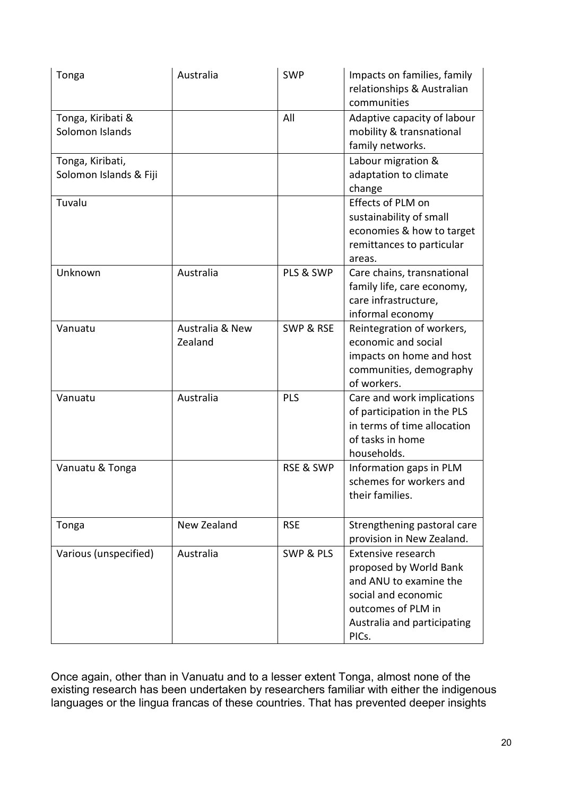| Tonga                                      | Australia                  | <b>SWP</b>           | Impacts on families, family<br>relationships & Australian<br>communities                                                                                    |
|--------------------------------------------|----------------------------|----------------------|-------------------------------------------------------------------------------------------------------------------------------------------------------------|
| Tonga, Kiribati &<br>Solomon Islands       |                            | All                  | Adaptive capacity of labour<br>mobility & transnational<br>family networks.                                                                                 |
| Tonga, Kiribati,<br>Solomon Islands & Fiji |                            |                      | Labour migration &<br>adaptation to climate<br>change                                                                                                       |
| Tuvalu                                     |                            |                      | Effects of PLM on<br>sustainability of small<br>economies & how to target<br>remittances to particular<br>areas.                                            |
| Unknown                                    | Australia                  | PLS & SWP            | Care chains, transnational<br>family life, care economy,<br>care infrastructure,<br>informal economy                                                        |
| Vanuatu                                    | Australia & New<br>Zealand | <b>SWP &amp; RSE</b> | Reintegration of workers,<br>economic and social<br>impacts on home and host<br>communities, demography<br>of workers.                                      |
| Vanuatu                                    | Australia                  | PLS                  | Care and work implications<br>of participation in the PLS<br>in terms of time allocation<br>of tasks in home<br>households.                                 |
| Vanuatu & Tonga                            |                            | <b>RSE &amp; SWP</b> | Information gaps in PLM<br>schemes for workers and<br>their families.                                                                                       |
| Tonga                                      | New Zealand                | <b>RSE</b>           | Strengthening pastoral care<br>provision in New Zealand.                                                                                                    |
| Various (unspecified)                      | Australia                  | <b>SWP &amp; PLS</b> | Extensive research<br>proposed by World Bank<br>and ANU to examine the<br>social and economic<br>outcomes of PLM in<br>Australia and participating<br>PICs. |

Once again, other than in Vanuatu and to a lesser extent Tonga, almost none of the existing research has been undertaken by researchers familiar with either the indigenous languages or the lingua francas of these countries. That has prevented deeper insights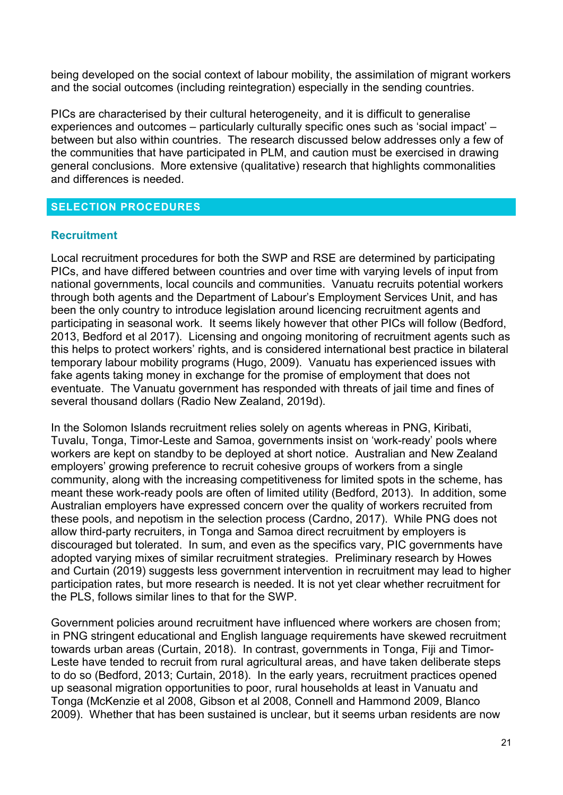being developed on the social context of labour mobility, the assimilation of migrant workers and the social outcomes (including reintegration) especially in the sending countries.

PICs are characterised by their cultural heterogeneity, and it is difficult to generalise experiences and outcomes – particularly culturally specific ones such as 'social impact' – between but also within countries. The research discussed below addresses only a few of the communities that have participated in PLM, and caution must be exercised in drawing general conclusions. More extensive (qualitative) research that highlights commonalities and differences is needed.

### <span id="page-20-0"></span>**SELECTION PROCEDURES**

#### **Recruitment**

Local recruitment procedures for both the SWP and RSE are determined by participating PICs, and have differed between countries and over time with varying levels of input from national governments, local councils and communities. Vanuatu recruits potential workers through both agents and the Department of Labour's Employment Services Unit, and has been the only country to introduce legislation around licencing recruitment agents and participating in seasonal work. It seems likely however that other PICs will follow (Bedford, 2013, Bedford et al 2017). Licensing and ongoing monitoring of recruitment agents such as this helps to protect workers' rights, and is considered international best practice in bilateral temporary labour mobility programs (Hugo, 2009). Vanuatu has experienced issues with fake agents taking money in exchange for the promise of employment that does not eventuate. The Vanuatu government has responded with threats of jail time and fines of several thousand dollars (Radio New Zealand, 2019d).

In the Solomon Islands recruitment relies solely on agents whereas in PNG, Kiribati, Tuvalu, Tonga, Timor-Leste and Samoa, governments insist on 'work-ready' pools where workers are kept on standby to be deployed at short notice. Australian and New Zealand employers' growing preference to recruit cohesive groups of workers from a single community, along with the increasing competitiveness for limited spots in the scheme, has meant these work-ready pools are often of limited utility (Bedford, 2013). In addition, some Australian employers have expressed concern over the quality of workers recruited from these pools, and nepotism in the selection process (Cardno, 2017). While PNG does not allow third-party recruiters, in Tonga and Samoa direct recruitment by employers is discouraged but tolerated. In sum, and even as the specifics vary, PIC governments have adopted varying mixes of similar recruitment strategies. Preliminary research by Howes and Curtain (2019) suggests less government intervention in recruitment may lead to higher participation rates, but more research is needed. It is not yet clear whether recruitment for the PLS, follows similar lines to that for the SWP.

Government policies around recruitment have influenced where workers are chosen from; in PNG stringent educational and English language requirements have skewed recruitment towards urban areas (Curtain, 2018). In contrast, governments in Tonga, Fiji and Timor-Leste have tended to recruit from rural agricultural areas, and have taken deliberate steps to do so (Bedford, 2013; Curtain, 2018). In the early years, recruitment practices opened up seasonal migration opportunities to poor, rural households at least in Vanuatu and Tonga (McKenzie et al 2008, Gibson et al 2008, Connell and Hammond 2009, Blanco 2009). Whether that has been sustained is unclear, but it seems urban residents are now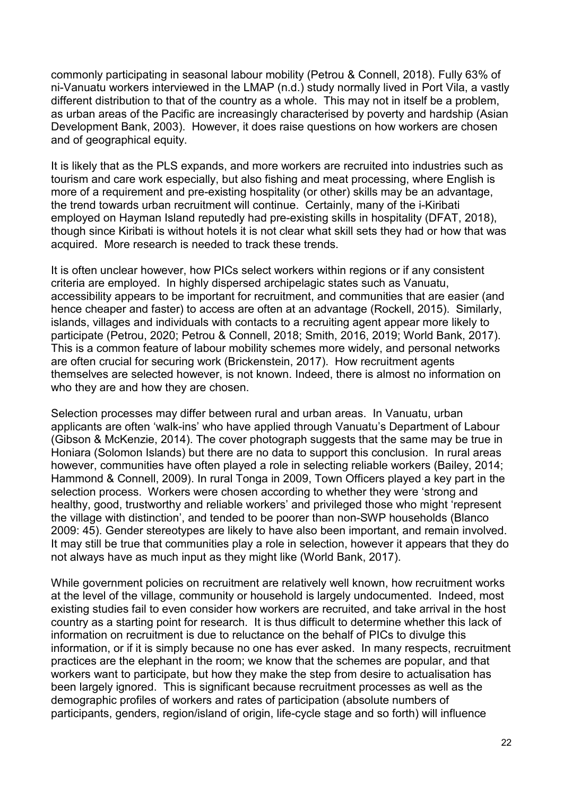commonly participating in seasonal labour mobility (Petrou & Connell, 2018). Fully 63% of ni-Vanuatu workers interviewed in the LMAP (n.d.) study normally lived in Port Vila, a vastly different distribution to that of the country as a whole. This may not in itself be a problem, as urban areas of the Pacific are increasingly characterised by poverty and hardship (Asian Development Bank, 2003). However, it does raise questions on how workers are chosen and of geographical equity.

It is likely that as the PLS expands, and more workers are recruited into industries such as tourism and care work especially, but also fishing and meat processing, where English is more of a requirement and pre-existing hospitality (or other) skills may be an advantage, the trend towards urban recruitment will continue. Certainly, many of the i-Kiribati employed on Hayman Island reputedly had pre-existing skills in hospitality (DFAT, 2018), though since Kiribati is without hotels it is not clear what skill sets they had or how that was acquired. More research is needed to track these trends.

It is often unclear however, how PICs select workers within regions or if any consistent criteria are employed. In highly dispersed archipelagic states such as Vanuatu, accessibility appears to be important for recruitment, and communities that are easier (and hence cheaper and faster) to access are often at an advantage (Rockell, 2015). Similarly, islands, villages and individuals with contacts to a recruiting agent appear more likely to participate (Petrou, 2020; Petrou & Connell, 2018; Smith, 2016, 2019; World Bank, 2017). This is a common feature of labour mobility schemes more widely, and personal networks are often crucial for securing work (Brickenstein, 2017). How recruitment agents themselves are selected however, is not known. Indeed, there is almost no information on who they are and how they are chosen.

Selection processes may differ between rural and urban areas. In Vanuatu, urban applicants are often 'walk-ins' who have applied through Vanuatu's Department of Labour (Gibson & McKenzie, 2014). The cover photograph suggests that the same may be true in Honiara (Solomon Islands) but there are no data to support this conclusion. In rural areas however, communities have often played a role in selecting reliable workers (Bailey, 2014; Hammond & Connell, 2009). In rural Tonga in 2009, Town Officers played a key part in the selection process. Workers were chosen according to whether they were 'strong and healthy, good, trustworthy and reliable workers' and privileged those who might 'represent the village with distinction', and tended to be poorer than non-SWP households (Blanco 2009: 45). Gender stereotypes are likely to have also been important, and remain involved. It may still be true that communities play a role in selection, however it appears that they do not always have as much input as they might like (World Bank, 2017).

While government policies on recruitment are relatively well known, how recruitment works at the level of the village, community or household is largely undocumented. Indeed, most existing studies fail to even consider how workers are recruited, and take arrival in the host country as a starting point for research. It is thus difficult to determine whether this lack of information on recruitment is due to reluctance on the behalf of PICs to divulge this information, or if it is simply because no one has ever asked. In many respects, recruitment practices are the elephant in the room; we know that the schemes are popular, and that workers want to participate, but how they make the step from desire to actualisation has been largely ignored. This is significant because recruitment processes as well as the demographic profiles of workers and rates of participation (absolute numbers of participants, genders, region/island of origin, life-cycle stage and so forth) will influence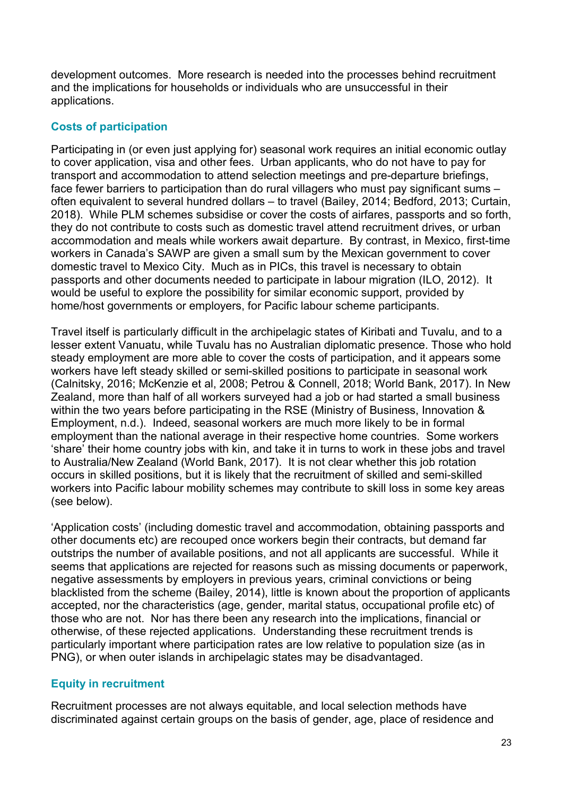development outcomes. More research is needed into the processes behind recruitment and the implications for households or individuals who are unsuccessful in their applications.

## **Costs of participation**

Participating in (or even just applying for) seasonal work requires an initial economic outlay to cover application, visa and other fees. Urban applicants, who do not have to pay for transport and accommodation to attend selection meetings and pre-departure briefings, face fewer barriers to participation than do rural villagers who must pay significant sums – often equivalent to several hundred dollars – to travel (Bailey, 2014; Bedford, 2013; Curtain, 2018). While PLM schemes subsidise or cover the costs of airfares, passports and so forth, they do not contribute to costs such as domestic travel attend recruitment drives, or urban accommodation and meals while workers await departure. By contrast, in Mexico, first-time workers in Canada's SAWP are given a small sum by the Mexican government to cover domestic travel to Mexico City. Much as in PICs, this travel is necessary to obtain passports and other documents needed to participate in labour migration (ILO, 2012). It would be useful to explore the possibility for similar economic support, provided by home/host governments or employers, for Pacific labour scheme participants.

Travel itself is particularly difficult in the archipelagic states of Kiribati and Tuvalu, and to a lesser extent Vanuatu, while Tuvalu has no Australian diplomatic presence. Those who hold steady employment are more able to cover the costs of participation, and it appears some workers have left steady skilled or semi-skilled positions to participate in seasonal work (Calnitsky, 2016; McKenzie et al, 2008; Petrou & Connell, 2018; World Bank, 2017). In New Zealand, more than half of all workers surveyed had a job or had started a small business within the two years before participating in the RSE (Ministry of Business, Innovation & Employment, n.d.). Indeed, seasonal workers are much more likely to be in formal employment than the national average in their respective home countries. Some workers 'share' their home country jobs with kin, and take it in turns to work in these jobs and travel to Australia/New Zealand (World Bank, 2017). It is not clear whether this job rotation occurs in skilled positions, but it is likely that the recruitment of skilled and semi-skilled workers into Pacific labour mobility schemes may contribute to skill loss in some key areas (see below).

'Application costs' (including domestic travel and accommodation, obtaining passports and other documents etc) are recouped once workers begin their contracts, but demand far outstrips the number of available positions, and not all applicants are successful. While it seems that applications are rejected for reasons such as missing documents or paperwork, negative assessments by employers in previous years, criminal convictions or being blacklisted from the scheme (Bailey, 2014), little is known about the proportion of applicants accepted, nor the characteristics (age, gender, marital status, occupational profile etc) of those who are not. Nor has there been any research into the implications, financial or otherwise, of these rejected applications. Understanding these recruitment trends is particularly important where participation rates are low relative to population size (as in PNG), or when outer islands in archipelagic states may be disadvantaged.

### **Equity in recruitment**

Recruitment processes are not always equitable, and local selection methods have discriminated against certain groups on the basis of gender, age, place of residence and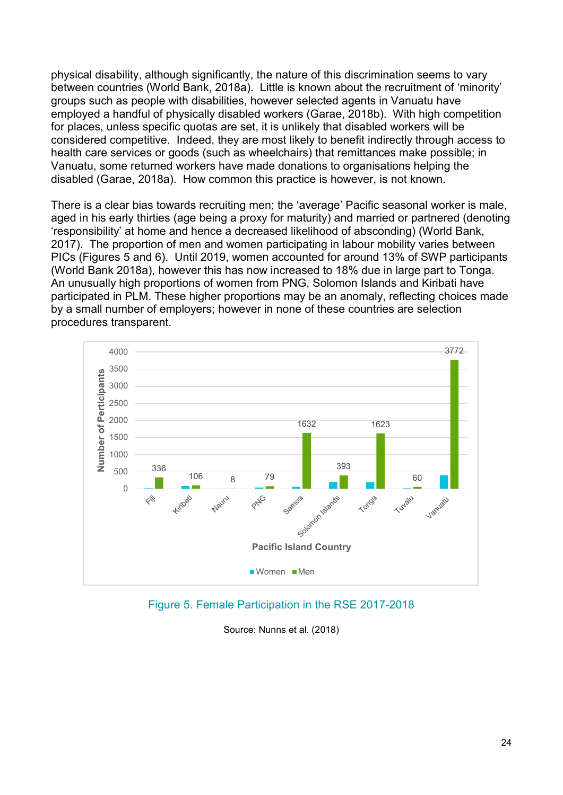physical disability, although significantly, the nature of this discrimination seems to vary between countries (World Bank, 2018a). Little is known about the recruitment of 'minority' groups such as people with disabilities, however selected agents in Vanuatu have employed a handful of physically disabled workers (Garae, 2018b). With high competition for places, unless specific quotas are set, it is unlikely that disabled workers will be considered competitive. Indeed, they are most likely to benefit indirectly through access to health care services or goods (such as wheelchairs) that remittances make possible; in Vanuatu, some returned workers have made donations to organisations helping the disabled (Garae, 2018a). How common this practice is however, is not known.

There is a clear bias towards recruiting men; the 'average' Pacific seasonal worker is male, aged in his early thirties (age being a proxy for maturity) and married or partnered (denoting 'responsibility' at home and hence a decreased likelihood of absconding) (World Bank, 2017). The proportion of men and women participating in labour mobility varies between PICs (Figures 5 and 6). Until 2019, women accounted for around 13% of SWP participants (World Bank 2018a), however this has now increased to 18% due in large part to Tonga. An unusually high proportions of women from PNG, Solomon Islands and Kiribati have participated in PLM. These higher proportions may be an anomaly, reflecting choices made by a small number of employers; however in none of these countries are selection procedures transparent.



Figure 5. Female Participation in the RSE 2017-2018

Source: Nunns et al. (2018)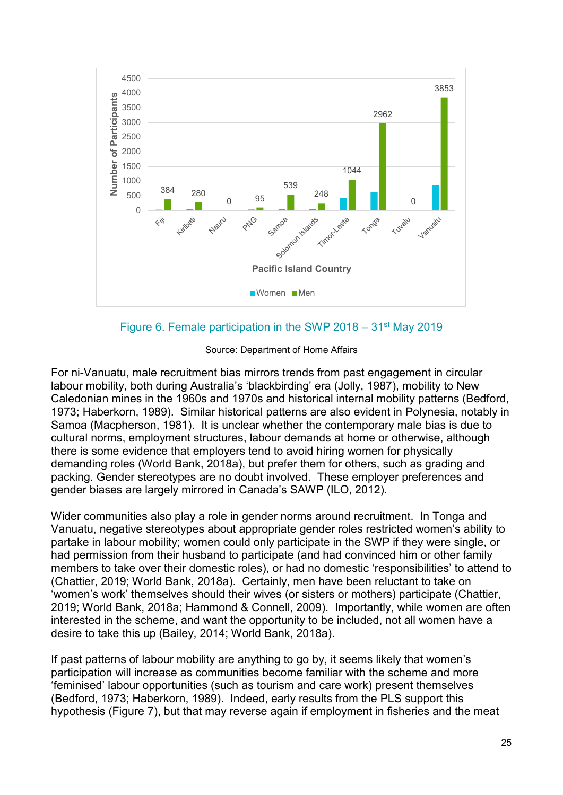

Figure 6. Female participation in the SWP 2018 – 31st May 2019

Source: Department of Home Affairs

For ni-Vanuatu, male recruitment bias mirrors trends from past engagement in circular labour mobility, both during Australia's 'blackbirding' era (Jolly, 1987), mobility to New Caledonian mines in the 1960s and 1970s and historical internal mobility patterns (Bedford, 1973; Haberkorn, 1989). Similar historical patterns are also evident in Polynesia, notably in Samoa (Macpherson, 1981). It is unclear whether the contemporary male bias is due to cultural norms, employment structures, labour demands at home or otherwise, although there is some evidence that employers tend to avoid hiring women for physically demanding roles (World Bank, 2018a), but prefer them for others, such as grading and packing. Gender stereotypes are no doubt involved. These employer preferences and gender biases are largely mirrored in Canada's SAWP (ILO, 2012).

Wider communities also play a role in gender norms around recruitment. In Tonga and Vanuatu, negative stereotypes about appropriate gender roles restricted women's ability to partake in labour mobility; women could only participate in the SWP if they were single, or had permission from their husband to participate (and had convinced him or other family members to take over their domestic roles), or had no domestic 'responsibilities' to attend to (Chattier, 2019; World Bank, 2018a). Certainly, men have been reluctant to take on 'women's work' themselves should their wives (or sisters or mothers) participate (Chattier, 2019; World Bank, 2018a; Hammond & Connell, 2009). Importantly, while women are often interested in the scheme, and want the opportunity to be included, not all women have a desire to take this up (Bailey, 2014; World Bank, 2018a).

If past patterns of labour mobility are anything to go by, it seems likely that women's participation will increase as communities become familiar with the scheme and more 'feminised' labour opportunities (such as tourism and care work) present themselves (Bedford, 1973; Haberkorn, 1989). Indeed, early results from the PLS support this hypothesis (Figure 7), but that may reverse again if employment in fisheries and the meat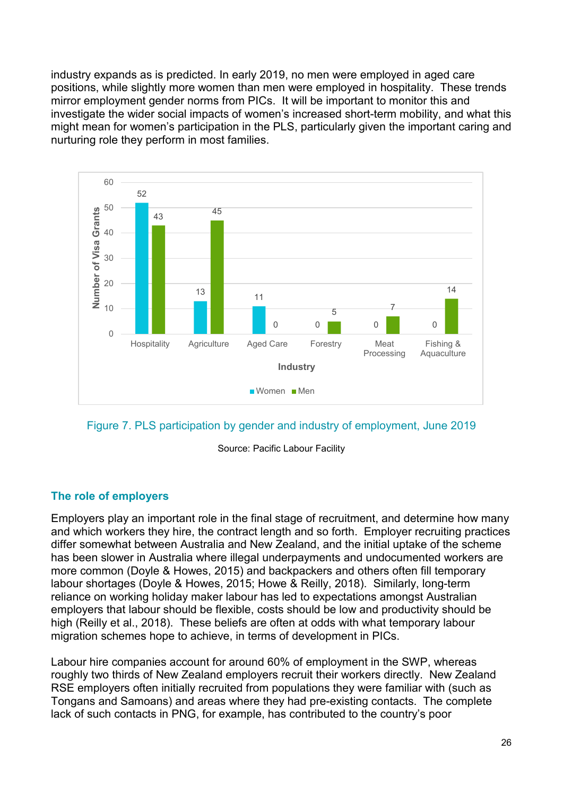industry expands as is predicted. In early 2019, no men were employed in aged care positions, while slightly more women than men were employed in hospitality. These trends mirror employment gender norms from PICs. It will be important to monitor this and investigate the wider social impacts of women's increased short-term mobility, and what this might mean for women's participation in the PLS, particularly given the important caring and nurturing role they perform in most families.



Figure 7. PLS participation by gender and industry of employment, June 2019

Source: Pacific Labour Facility

## **The role of employers**

Employers play an important role in the final stage of recruitment, and determine how many and which workers they hire, the contract length and so forth. Employer recruiting practices differ somewhat between Australia and New Zealand, and the initial uptake of the scheme has been slower in Australia where illegal underpayments and undocumented workers are more common (Doyle & Howes, 2015) and backpackers and others often fill temporary labour shortages (Doyle & Howes, 2015; Howe & Reilly, 2018). Similarly, long-term reliance on working holiday maker labour has led to expectations amongst Australian employers that labour should be flexible, costs should be low and productivity should be high (Reilly et al., 2018). These beliefs are often at odds with what temporary labour migration schemes hope to achieve, in terms of development in PICs.

Labour hire companies account for around 60% of employment in the SWP, whereas roughly two thirds of New Zealand employers recruit their workers directly. New Zealand RSE employers often initially recruited from populations they were familiar with (such as Tongans and Samoans) and areas where they had pre-existing contacts. The complete lack of such contacts in PNG, for example, has contributed to the country's poor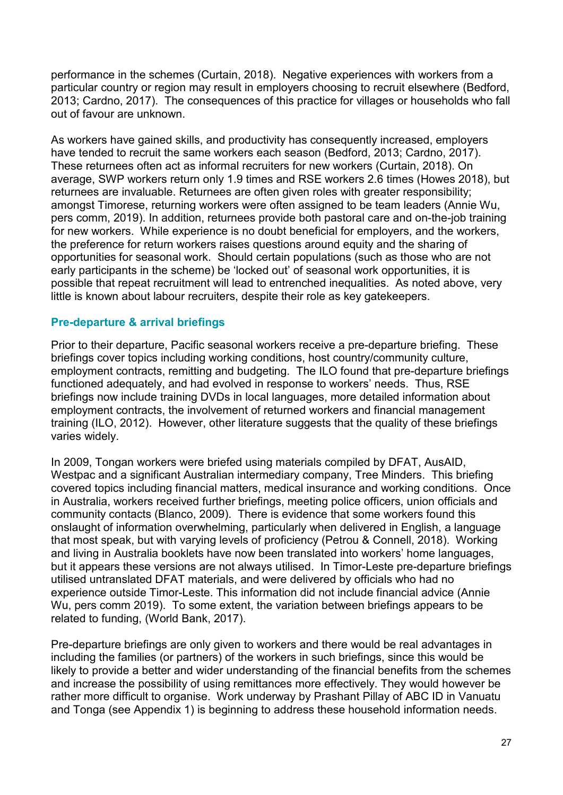performance in the schemes (Curtain, 2018). Negative experiences with workers from a particular country or region may result in employers choosing to recruit elsewhere (Bedford, 2013; Cardno, 2017). The consequences of this practice for villages or households who fall out of favour are unknown.

As workers have gained skills, and productivity has consequently increased, employers have tended to recruit the same workers each season (Bedford, 2013; Cardno, 2017). These returnees often act as informal recruiters for new workers (Curtain, 2018). On average, SWP workers return only 1.9 times and RSE workers 2.6 times (Howes 2018), but returnees are invaluable. Returnees are often given roles with greater responsibility; amongst Timorese, returning workers were often assigned to be team leaders (Annie Wu, pers comm, 2019). In addition, returnees provide both pastoral care and on-the-job training for new workers. While experience is no doubt beneficial for employers, and the workers, the preference for return workers raises questions around equity and the sharing of opportunities for seasonal work. Should certain populations (such as those who are not early participants in the scheme) be 'locked out' of seasonal work opportunities, it is possible that repeat recruitment will lead to entrenched inequalities. As noted above, very little is known about labour recruiters, despite their role as key gatekeepers.

#### **Pre-departure & arrival briefings**

Prior to their departure, Pacific seasonal workers receive a pre-departure briefing. These briefings cover topics including working conditions, host country/community culture, employment contracts, remitting and budgeting. The ILO found that pre-departure briefings functioned adequately, and had evolved in response to workers' needs. Thus, RSE briefings now include training DVDs in local languages, more detailed information about employment contracts, the involvement of returned workers and financial management training (ILO, 2012). However, other literature suggests that the quality of these briefings varies widely.

In 2009, Tongan workers were briefed using materials compiled by DFAT, AusAID, Westpac and a significant Australian intermediary company, Tree Minders. This briefing covered topics including financial matters, medical insurance and working conditions. Once in Australia, workers received further briefings, meeting police officers, union officials and community contacts (Blanco, 2009). There is evidence that some workers found this onslaught of information overwhelming, particularly when delivered in English, a language that most speak, but with varying levels of proficiency (Petrou & Connell, 2018). Working and living in Australia booklets have now been translated into workers' home languages, but it appears these versions are not always utilised. In Timor-Leste pre-departure briefings utilised untranslated DFAT materials, and were delivered by officials who had no experience outside Timor-Leste. This information did not include financial advice (Annie Wu, pers comm 2019). To some extent, the variation between briefings appears to be related to funding, (World Bank, 2017).

Pre-departure briefings are only given to workers and there would be real advantages in including the families (or partners) of the workers in such briefings, since this would be likely to provide a better and wider understanding of the financial benefits from the schemes and increase the possibility of using remittances more effectively. They would however be rather more difficult to organise. Work underway by Prashant Pillay of ABC ID in Vanuatu and Tonga (see Appendix 1) is beginning to address these household information needs.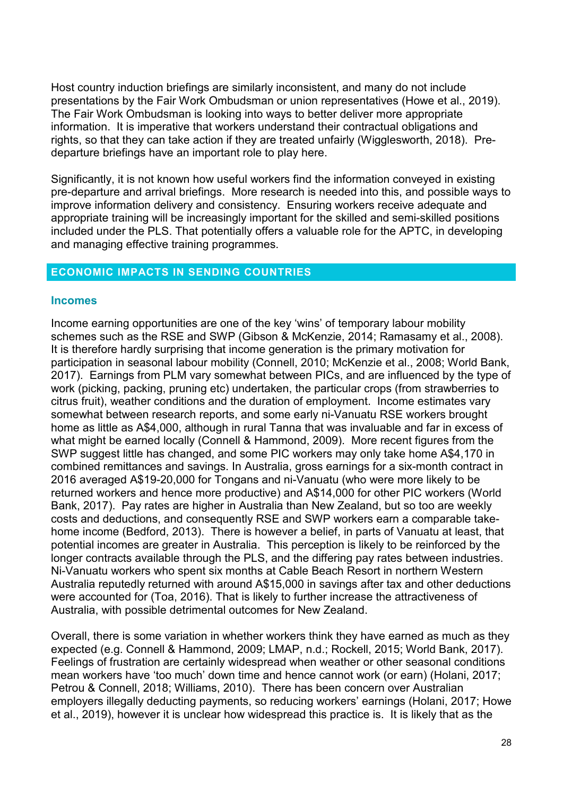Host country induction briefings are similarly inconsistent, and many do not include presentations by the Fair Work Ombudsman or union representatives (Howe et al., 2019). The Fair Work Ombudsman is looking into ways to better deliver more appropriate information. It is imperative that workers understand their contractual obligations and rights, so that they can take action if they are treated unfairly (Wigglesworth, 2018). Predeparture briefings have an important role to play here.

Significantly, it is not known how useful workers find the information conveyed in existing pre-departure and arrival briefings. More research is needed into this, and possible ways to improve information delivery and consistency. Ensuring workers receive adequate and appropriate training will be increasingly important for the skilled and semi-skilled positions included under the PLS. That potentially offers a valuable role for the APTC, in developing and managing effective training programmes.

#### <span id="page-27-0"></span>**ECONOMIC IMPACTS IN SENDING COUNTRIES**

#### **Incomes**

Income earning opportunities are one of the key 'wins' of temporary labour mobility schemes such as the RSE and SWP (Gibson & McKenzie, 2014; Ramasamy et al., 2008). It is therefore hardly surprising that income generation is the primary motivation for participation in seasonal labour mobility (Connell, 2010; McKenzie et al., 2008; World Bank, 2017). Earnings from PLM vary somewhat between PICs, and are influenced by the type of work (picking, packing, pruning etc) undertaken, the particular crops (from strawberries to citrus fruit), weather conditions and the duration of employment. Income estimates vary somewhat between research reports, and some early ni-Vanuatu RSE workers brought home as little as A\$4,000, although in rural Tanna that was invaluable and far in excess of what might be earned locally (Connell & Hammond, 2009). More recent figures from the SWP suggest little has changed, and some PIC workers may only take home A\$4,170 in combined remittances and savings. In Australia, gross earnings for a six-month contract in 2016 averaged A\$19-20,000 for Tongans and ni-Vanuatu (who were more likely to be returned workers and hence more productive) and A\$14,000 for other PIC workers (World Bank, 2017). Pay rates are higher in Australia than New Zealand, but so too are weekly costs and deductions, and consequently RSE and SWP workers earn a comparable takehome income (Bedford, 2013). There is however a belief, in parts of Vanuatu at least, that potential incomes are greater in Australia. This perception is likely to be reinforced by the longer contracts available through the PLS, and the differing pay rates between industries. Ni-Vanuatu workers who spent six months at Cable Beach Resort in northern Western Australia reputedly returned with around A\$15,000 in savings after tax and other deductions were accounted for (Toa, 2016). That is likely to further increase the attractiveness of Australia, with possible detrimental outcomes for New Zealand.

Overall, there is some variation in whether workers think they have earned as much as they expected (e.g. Connell & Hammond, 2009; LMAP, n.d.; Rockell, 2015; World Bank, 2017). Feelings of frustration are certainly widespread when weather or other seasonal conditions mean workers have 'too much' down time and hence cannot work (or earn) (Holani, 2017; Petrou & Connell, 2018; Williams, 2010). There has been concern over Australian employers illegally deducting payments, so reducing workers' earnings (Holani, 2017; Howe et al., 2019), however it is unclear how widespread this practice is. It is likely that as the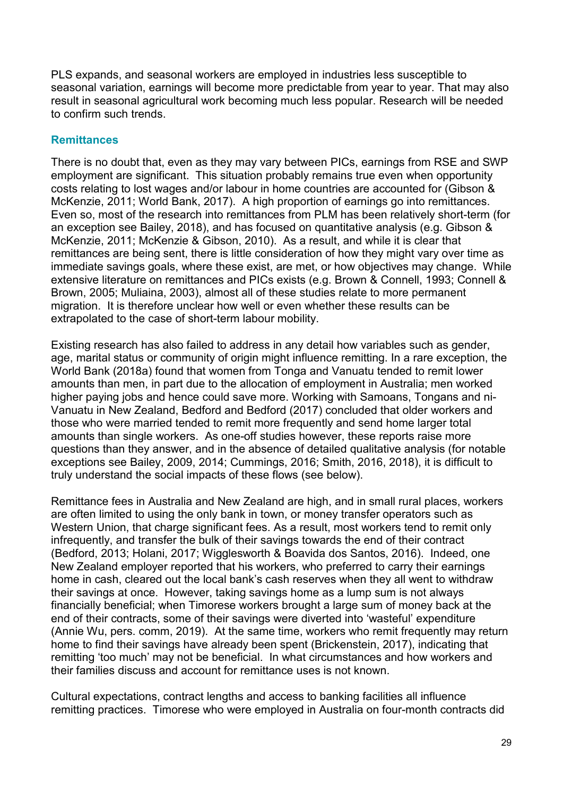PLS expands, and seasonal workers are employed in industries less susceptible to seasonal variation, earnings will become more predictable from year to year. That may also result in seasonal agricultural work becoming much less popular. Research will be needed to confirm such trends.

#### **Remittances**

There is no doubt that, even as they may vary between PICs, earnings from RSE and SWP employment are significant. This situation probably remains true even when opportunity costs relating to lost wages and/or labour in home countries are accounted for (Gibson & McKenzie, 2011; World Bank, 2017). A high proportion of earnings go into remittances. Even so, most of the research into remittances from PLM has been relatively short-term (for an exception see Bailey, 2018), and has focused on quantitative analysis (e.g. Gibson & McKenzie, 2011; McKenzie & Gibson, 2010). As a result, and while it is clear that remittances are being sent, there is little consideration of how they might vary over time as immediate savings goals, where these exist, are met, or how objectives may change. While extensive literature on remittances and PICs exists (e.g. Brown & Connell, 1993; Connell & Brown, 2005; Muliaina, 2003), almost all of these studies relate to more permanent migration. It is therefore unclear how well or even whether these results can be extrapolated to the case of short-term labour mobility.

Existing research has also failed to address in any detail how variables such as gender, age, marital status or community of origin might influence remitting. In a rare exception, the World Bank (2018a) found that women from Tonga and Vanuatu tended to remit lower amounts than men, in part due to the allocation of employment in Australia; men worked higher paying jobs and hence could save more. Working with Samoans, Tongans and ni-Vanuatu in New Zealand, Bedford and Bedford (2017) concluded that older workers and those who were married tended to remit more frequently and send home larger total amounts than single workers. As one-off studies however, these reports raise more questions than they answer, and in the absence of detailed qualitative analysis (for notable exceptions see Bailey, 2009, 2014; Cummings, 2016; Smith, 2016, 2018), it is difficult to truly understand the social impacts of these flows (see below).

Remittance fees in Australia and New Zealand are high, and in small rural places, workers are often limited to using the only bank in town, or money transfer operators such as Western Union, that charge significant fees. As a result, most workers tend to remit only infrequently, and transfer the bulk of their savings towards the end of their contract (Bedford, 2013; Holani, 2017; Wigglesworth & Boavida dos Santos, 2016). Indeed, one New Zealand employer reported that his workers, who preferred to carry their earnings home in cash, cleared out the local bank's cash reserves when they all went to withdraw their savings at once. However, taking savings home as a lump sum is not always financially beneficial; when Timorese workers brought a large sum of money back at the end of their contracts, some of their savings were diverted into 'wasteful' expenditure (Annie Wu, pers. comm, 2019). At the same time, workers who remit frequently may return home to find their savings have already been spent (Brickenstein, 2017), indicating that remitting 'too much' may not be beneficial. In what circumstances and how workers and their families discuss and account for remittance uses is not known.

Cultural expectations, contract lengths and access to banking facilities all influence remitting practices. Timorese who were employed in Australia on four-month contracts did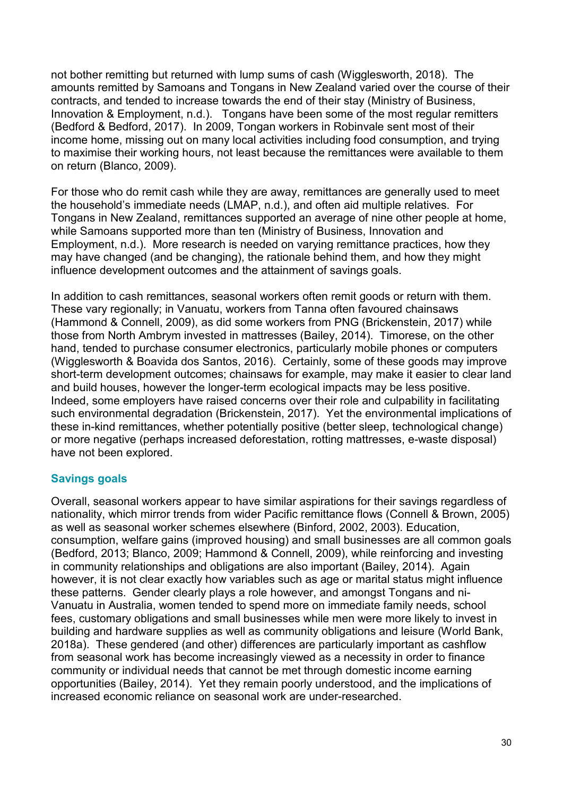not bother remitting but returned with lump sums of cash (Wigglesworth, 2018). The amounts remitted by Samoans and Tongans in New Zealand varied over the course of their contracts, and tended to increase towards the end of their stay (Ministry of Business, Innovation & Employment, n.d.). Tongans have been some of the most regular remitters (Bedford & Bedford, 2017). In 2009, Tongan workers in Robinvale sent most of their income home, missing out on many local activities including food consumption, and trying to maximise their working hours, not least because the remittances were available to them on return (Blanco, 2009).

For those who do remit cash while they are away, remittances are generally used to meet the household's immediate needs (LMAP, n.d.), and often aid multiple relatives. For Tongans in New Zealand, remittances supported an average of nine other people at home, while Samoans supported more than ten (Ministry of Business, Innovation and Employment, n.d.). More research is needed on varying remittance practices, how they may have changed (and be changing), the rationale behind them, and how they might influence development outcomes and the attainment of savings goals.

In addition to cash remittances, seasonal workers often remit goods or return with them. These vary regionally; in Vanuatu, workers from Tanna often favoured chainsaws (Hammond & Connell, 2009), as did some workers from PNG (Brickenstein, 2017) while those from North Ambrym invested in mattresses (Bailey, 2014). Timorese, on the other hand, tended to purchase consumer electronics, particularly mobile phones or computers (Wigglesworth & Boavida dos Santos, 2016). Certainly, some of these goods may improve short-term development outcomes; chainsaws for example, may make it easier to clear land and build houses, however the longer-term ecological impacts may be less positive. Indeed, some employers have raised concerns over their role and culpability in facilitating such environmental degradation (Brickenstein, 2017). Yet the environmental implications of these in-kind remittances, whether potentially positive (better sleep, technological change) or more negative (perhaps increased deforestation, rotting mattresses, e-waste disposal) have not been explored.

### **Savings goals**

Overall, seasonal workers appear to have similar aspirations for their savings regardless of nationality, which mirror trends from wider Pacific remittance flows (Connell & Brown, 2005) as well as seasonal worker schemes elsewhere (Binford, 2002, 2003). Education, consumption, welfare gains (improved housing) and small businesses are all common goals (Bedford, 2013; Blanco, 2009; Hammond & Connell, 2009), while reinforcing and investing in community relationships and obligations are also important (Bailey, 2014). Again however, it is not clear exactly how variables such as age or marital status might influence these patterns. Gender clearly plays a role however, and amongst Tongans and ni-Vanuatu in Australia, women tended to spend more on immediate family needs, school fees, customary obligations and small businesses while men were more likely to invest in building and hardware supplies as well as community obligations and leisure (World Bank, 2018a). These gendered (and other) differences are particularly important as cashflow from seasonal work has become increasingly viewed as a necessity in order to finance community or individual needs that cannot be met through domestic income earning opportunities (Bailey, 2014). Yet they remain poorly understood, and the implications of increased economic reliance on seasonal work are under-researched.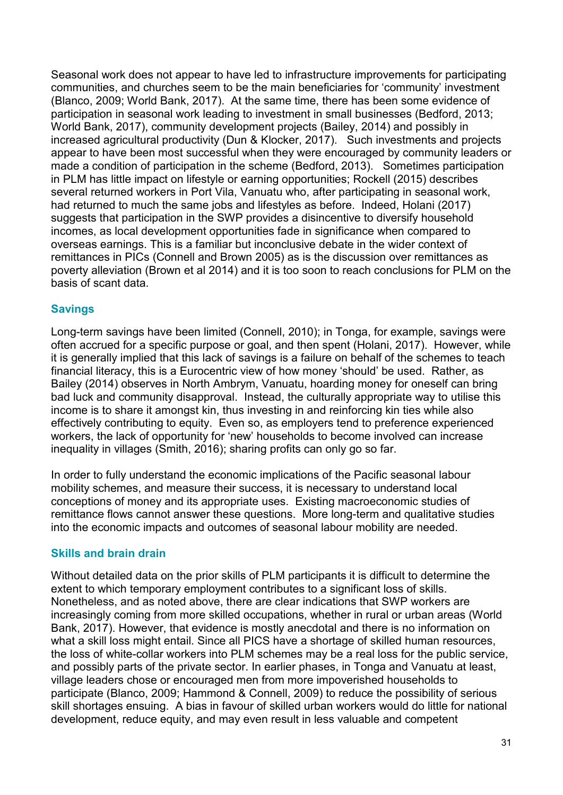Seasonal work does not appear to have led to infrastructure improvements for participating communities, and churches seem to be the main beneficiaries for 'community' investment (Blanco, 2009; World Bank, 2017). At the same time, there has been some evidence of participation in seasonal work leading to investment in small businesses (Bedford, 2013; World Bank, 2017), community development projects (Bailey, 2014) and possibly in increased agricultural productivity (Dun & Klocker, 2017). Such investments and projects appear to have been most successful when they were encouraged by community leaders or made a condition of participation in the scheme (Bedford, 2013). Sometimes participation in PLM has little impact on lifestyle or earning opportunities; Rockell (2015) describes several returned workers in Port Vila, Vanuatu who, after participating in seasonal work, had returned to much the same jobs and lifestyles as before. Indeed, Holani (2017) suggests that participation in the SWP provides a disincentive to diversify household incomes, as local development opportunities fade in significance when compared to overseas earnings. This is a familiar but inconclusive debate in the wider context of remittances in PICs (Connell and Brown 2005) as is the discussion over remittances as poverty alleviation (Brown et al 2014) and it is too soon to reach conclusions for PLM on the basis of scant data.

### **Savings**

Long-term savings have been limited (Connell, 2010); in Tonga, for example, savings were often accrued for a specific purpose or goal, and then spent (Holani, 2017). However, while it is generally implied that this lack of savings is a failure on behalf of the schemes to teach financial literacy, this is a Eurocentric view of how money 'should' be used. Rather, as Bailey (2014) observes in North Ambrym, Vanuatu, hoarding money for oneself can bring bad luck and community disapproval. Instead, the culturally appropriate way to utilise this income is to share it amongst kin, thus investing in and reinforcing kin ties while also effectively contributing to equity. Even so, as employers tend to preference experienced workers, the lack of opportunity for 'new' households to become involved can increase inequality in villages (Smith, 2016); sharing profits can only go so far.

In order to fully understand the economic implications of the Pacific seasonal labour mobility schemes, and measure their success, it is necessary to understand local conceptions of money and its appropriate uses. Existing macroeconomic studies of remittance flows cannot answer these questions. More long-term and qualitative studies into the economic impacts and outcomes of seasonal labour mobility are needed.

### **Skills and brain drain**

Without detailed data on the prior skills of PLM participants it is difficult to determine the extent to which temporary employment contributes to a significant loss of skills. Nonetheless, and as noted above, there are clear indications that SWP workers are increasingly coming from more skilled occupations, whether in rural or urban areas (World Bank, 2017). However, that evidence is mostly anecdotal and there is no information on what a skill loss might entail. Since all PICS have a shortage of skilled human resources, the loss of white-collar workers into PLM schemes may be a real loss for the public service, and possibly parts of the private sector. In earlier phases, in Tonga and Vanuatu at least, village leaders chose or encouraged men from more impoverished households to participate (Blanco, 2009; Hammond & Connell, 2009) to reduce the possibility of serious skill shortages ensuing. A bias in favour of skilled urban workers would do little for national development, reduce equity, and may even result in less valuable and competent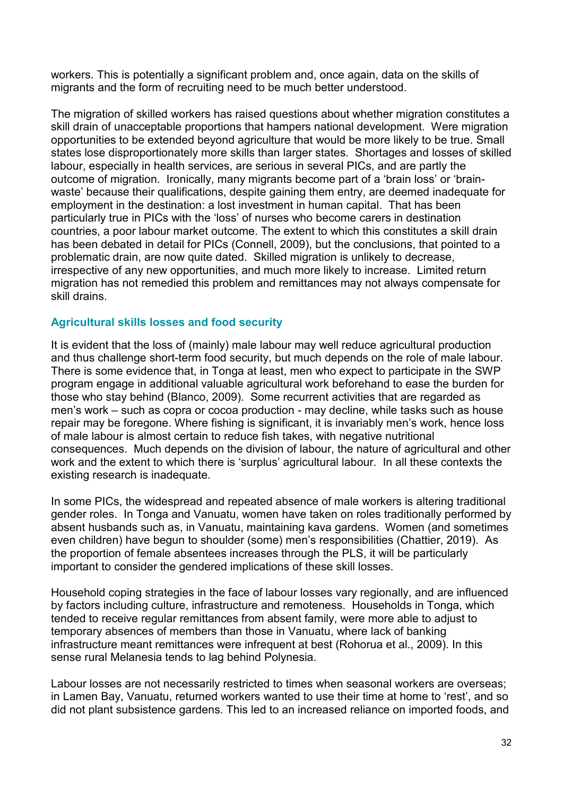workers. This is potentially a significant problem and, once again, data on the skills of migrants and the form of recruiting need to be much better understood.

The migration of skilled workers has raised questions about whether migration constitutes a skill drain of unacceptable proportions that hampers national development. Were migration opportunities to be extended beyond agriculture that would be more likely to be true. Small states lose disproportionately more skills than larger states. Shortages and losses of skilled labour, especially in health services, are serious in several PICs, and are partly the outcome of migration. Ironically, many migrants become part of a 'brain loss' or 'brainwaste' because their qualifications, despite gaining them entry, are deemed inadequate for employment in the destination: a lost investment in human capital. That has been particularly true in PICs with the 'loss' of nurses who become carers in destination countries, a poor labour market outcome. The extent to which this constitutes a skill drain has been debated in detail for PICs (Connell, 2009), but the conclusions, that pointed to a problematic drain, are now quite dated. Skilled migration is unlikely to decrease, irrespective of any new opportunities, and much more likely to increase. Limited return migration has not remedied this problem and remittances may not always compensate for skill drains.

#### **Agricultural skills losses and food security**

It is evident that the loss of (mainly) male labour may well reduce agricultural production and thus challenge short-term food security, but much depends on the role of male labour. There is some evidence that, in Tonga at least, men who expect to participate in the SWP program engage in additional valuable agricultural work beforehand to ease the burden for those who stay behind (Blanco, 2009). Some recurrent activities that are regarded as men's work – such as copra or cocoa production - may decline, while tasks such as house repair may be foregone. Where fishing is significant, it is invariably men's work, hence loss of male labour is almost certain to reduce fish takes, with negative nutritional consequences. Much depends on the division of labour, the nature of agricultural and other work and the extent to which there is 'surplus' agricultural labour. In all these contexts the existing research is inadequate.

In some PICs, the widespread and repeated absence of male workers is altering traditional gender roles. In Tonga and Vanuatu, women have taken on roles traditionally performed by absent husbands such as, in Vanuatu, maintaining kava gardens. Women (and sometimes even children) have begun to shoulder (some) men's responsibilities (Chattier, 2019). As the proportion of female absentees increases through the PLS, it will be particularly important to consider the gendered implications of these skill losses.

Household coping strategies in the face of labour losses vary regionally, and are influenced by factors including culture, infrastructure and remoteness. Households in Tonga, which tended to receive regular remittances from absent family, were more able to adjust to temporary absences of members than those in Vanuatu, where lack of banking infrastructure meant remittances were infrequent at best (Rohorua et al., 2009). In this sense rural Melanesia tends to lag behind Polynesia.

Labour losses are not necessarily restricted to times when seasonal workers are overseas; in Lamen Bay, Vanuatu, returned workers wanted to use their time at home to 'rest', and so did not plant subsistence gardens. This led to an increased reliance on imported foods, and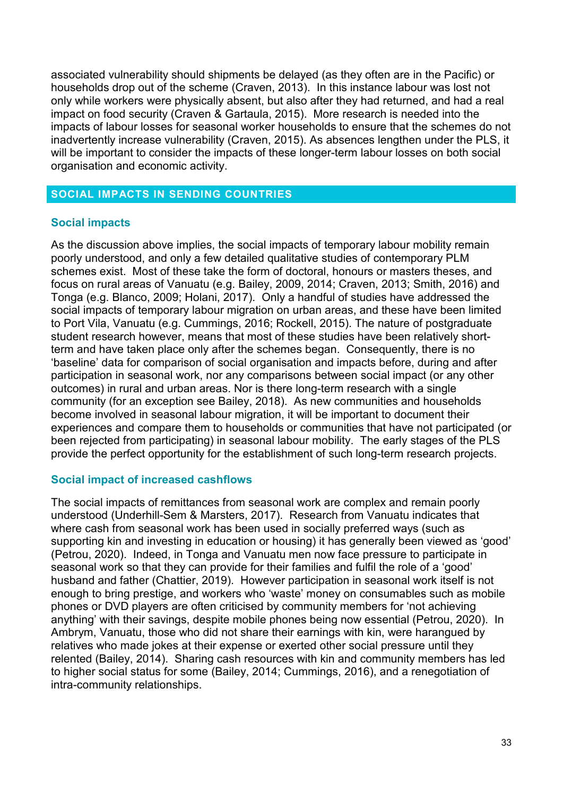associated vulnerability should shipments be delayed (as they often are in the Pacific) or households drop out of the scheme (Craven, 2013). In this instance labour was lost not only while workers were physically absent, but also after they had returned, and had a real impact on food security (Craven & Gartaula, 2015). More research is needed into the impacts of labour losses for seasonal worker households to ensure that the schemes do not inadvertently increase vulnerability (Craven, 2015). As absences lengthen under the PLS, it will be important to consider the impacts of these longer-term labour losses on both social organisation and economic activity.

#### <span id="page-32-0"></span>**SOCIAL IMPACTS IN SENDING COUNTRIES**

#### **Social impacts**

As the discussion above implies, the social impacts of temporary labour mobility remain poorly understood, and only a few detailed qualitative studies of contemporary PLM schemes exist. Most of these take the form of doctoral, honours or masters theses, and focus on rural areas of Vanuatu (e.g. Bailey, 2009, 2014; Craven, 2013; Smith, 2016) and Tonga (e.g. Blanco, 2009; Holani, 2017). Only a handful of studies have addressed the social impacts of temporary labour migration on urban areas, and these have been limited to Port Vila, Vanuatu (e.g. Cummings, 2016; Rockell, 2015). The nature of postgraduate student research however, means that most of these studies have been relatively shortterm and have taken place only after the schemes began. Consequently, there is no 'baseline' data for comparison of social organisation and impacts before, during and after participation in seasonal work, nor any comparisons between social impact (or any other outcomes) in rural and urban areas. Nor is there long-term research with a single community (for an exception see Bailey, 2018). As new communities and households become involved in seasonal labour migration, it will be important to document their experiences and compare them to households or communities that have not participated (or been rejected from participating) in seasonal labour mobility. The early stages of the PLS provide the perfect opportunity for the establishment of such long-term research projects.

#### **Social impact of increased cashflows**

The social impacts of remittances from seasonal work are complex and remain poorly understood (Underhill-Sem & Marsters, 2017). Research from Vanuatu indicates that where cash from seasonal work has been used in socially preferred ways (such as supporting kin and investing in education or housing) it has generally been viewed as 'good' (Petrou, 2020). Indeed, in Tonga and Vanuatu men now face pressure to participate in seasonal work so that they can provide for their families and fulfil the role of a 'good' husband and father (Chattier, 2019). However participation in seasonal work itself is not enough to bring prestige, and workers who 'waste' money on consumables such as mobile phones or DVD players are often criticised by community members for 'not achieving anything' with their savings, despite mobile phones being now essential (Petrou, 2020). In Ambrym, Vanuatu, those who did not share their earnings with kin, were harangued by relatives who made jokes at their expense or exerted other social pressure until they relented (Bailey, 2014). Sharing cash resources with kin and community members has led to higher social status for some (Bailey, 2014; Cummings, 2016), and a renegotiation of intra-community relationships.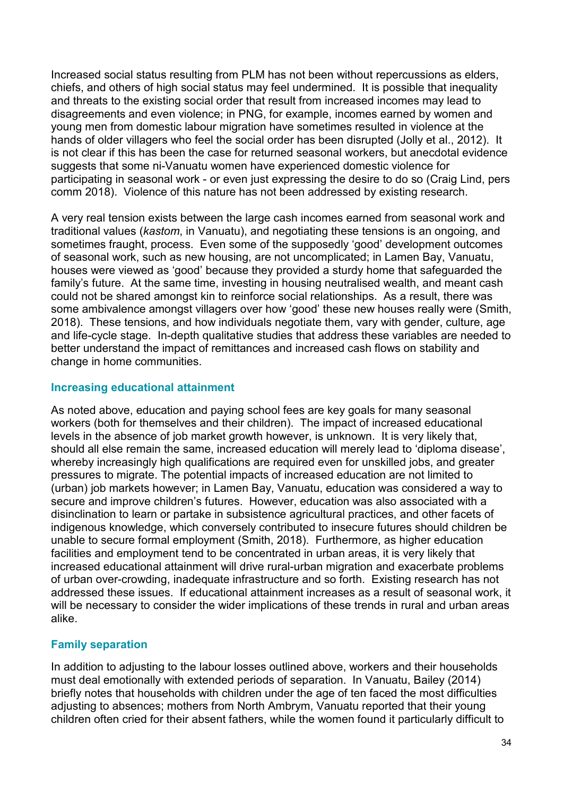Increased social status resulting from PLM has not been without repercussions as elders, chiefs, and others of high social status may feel undermined. It is possible that inequality and threats to the existing social order that result from increased incomes may lead to disagreements and even violence; in PNG, for example, incomes earned by women and young men from domestic labour migration have sometimes resulted in violence at the hands of older villagers who feel the social order has been disrupted (Jolly et al., 2012). It is not clear if this has been the case for returned seasonal workers, but anecdotal evidence suggests that some ni-Vanuatu women have experienced domestic violence for participating in seasonal work - or even just expressing the desire to do so (Craig Lind, pers comm 2018). Violence of this nature has not been addressed by existing research.

A very real tension exists between the large cash incomes earned from seasonal work and traditional values (*kastom*, in Vanuatu), and negotiating these tensions is an ongoing, and sometimes fraught, process. Even some of the supposedly 'good' development outcomes of seasonal work, such as new housing, are not uncomplicated; in Lamen Bay, Vanuatu, houses were viewed as 'good' because they provided a sturdy home that safeguarded the family's future. At the same time, investing in housing neutralised wealth, and meant cash could not be shared amongst kin to reinforce social relationships. As a result, there was some ambivalence amongst villagers over how 'good' these new houses really were (Smith, 2018). These tensions, and how individuals negotiate them, vary with gender, culture, age and life-cycle stage. In-depth qualitative studies that address these variables are needed to better understand the impact of remittances and increased cash flows on stability and change in home communities.

#### **Increasing educational attainment**

As noted above, education and paying school fees are key goals for many seasonal workers (both for themselves and their children). The impact of increased educational levels in the absence of job market growth however, is unknown. It is very likely that, should all else remain the same, increased education will merely lead to 'diploma disease', whereby increasingly high qualifications are required even for unskilled jobs, and greater pressures to migrate. The potential impacts of increased education are not limited to (urban) job markets however; in Lamen Bay, Vanuatu, education was considered a way to secure and improve children's futures. However, education was also associated with a disinclination to learn or partake in subsistence agricultural practices, and other facets of indigenous knowledge, which conversely contributed to insecure futures should children be unable to secure formal employment (Smith, 2018). Furthermore, as higher education facilities and employment tend to be concentrated in urban areas, it is very likely that increased educational attainment will drive rural-urban migration and exacerbate problems of urban over-crowding, inadequate infrastructure and so forth. Existing research has not addressed these issues. If educational attainment increases as a result of seasonal work, it will be necessary to consider the wider implications of these trends in rural and urban areas alike.

### **Family separation**

In addition to adjusting to the labour losses outlined above, workers and their households must deal emotionally with extended periods of separation. In Vanuatu, Bailey (2014) briefly notes that households with children under the age of ten faced the most difficulties adjusting to absences; mothers from North Ambrym, Vanuatu reported that their young children often cried for their absent fathers, while the women found it particularly difficult to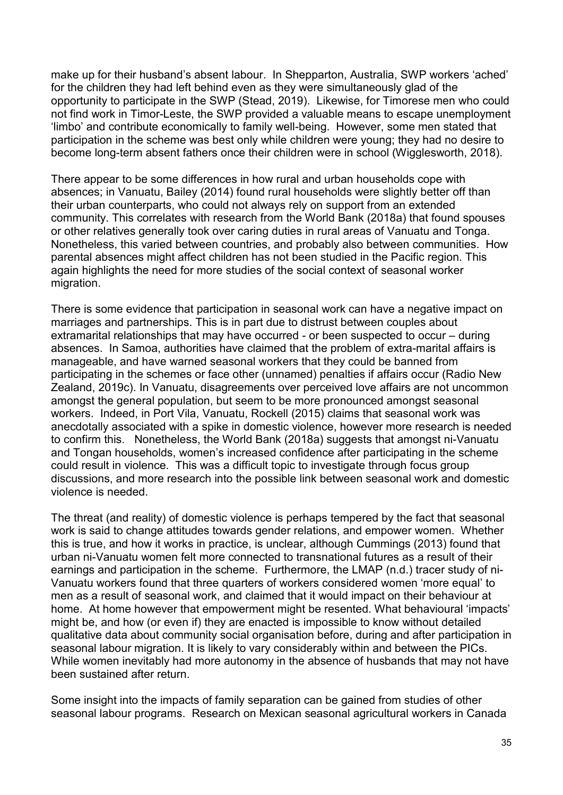make up for their husband's absent labour. In Shepparton, Australia, SWP workers 'ached' for the children they had left behind even as they were simultaneously glad of the opportunity to participate in the SWP (Stead, 2019). Likewise, for Timorese men who could not find work in Timor-Leste, the SWP provided a valuable means to escape unemployment 'limbo' and contribute economically to family well-being. However, some men stated that participation in the scheme was best only while children were young; they had no desire to become long-term absent fathers once their children were in school (Wigglesworth, 2018).

There appear to be some differences in how rural and urban households cope with absences; in Vanuatu, Bailey (2014) found rural households were slightly better off than their urban counterparts, who could not always rely on support from an extended community. This correlates with research from the World Bank (2018a) that found spouses or other relatives generally took over caring duties in rural areas of Vanuatu and Tonga. Nonetheless, this varied between countries, and probably also between communities. How parental absences might affect children has not been studied in the Pacific region. This again highlights the need for more studies of the social context of seasonal worker migration.

There is some evidence that participation in seasonal work can have a negative impact on marriages and partnerships. This is in part due to distrust between couples about extramarital relationships that may have occurred - or been suspected to occur – during absences. In Samoa, authorities have claimed that the problem of extra-marital affairs is manageable, and have warned seasonal workers that they could be banned from participating in the schemes or face other (unnamed) penalties if affairs occur (Radio New Zealand, 2019c). In Vanuatu, disagreements over perceived love affairs are not uncommon amongst the general population, but seem to be more pronounced amongst seasonal workers. Indeed, in Port Vila, Vanuatu, Rockell (2015) claims that seasonal work was anecdotally associated with a spike in domestic violence, however more research is needed to confirm this. Nonetheless, the World Bank (2018a) suggests that amongst ni-Vanuatu and Tongan households, women's increased confidence after participating in the scheme could result in violence. This was a difficult topic to investigate through focus group discussions, and more research into the possible link between seasonal work and domestic violence is needed.

The threat (and reality) of domestic violence is perhaps tempered by the fact that seasonal work is said to change attitudes towards gender relations, and empower women. Whether this is true, and how it works in practice, is unclear, although Cummings (2013) found that urban ni-Vanuatu women felt more connected to transnational futures as a result of their earnings and participation in the scheme. Furthermore, the LMAP (n.d.) tracer study of ni-Vanuatu workers found that three quarters of workers considered women 'more equal' to men as a result of seasonal work, and claimed that it would impact on their behaviour at home. At home however that empowerment might be resented. What behavioural 'impacts' might be, and how (or even if) they are enacted is impossible to know without detailed qualitative data about community social organisation before, during and after participation in seasonal labour migration. It is likely to vary considerably within and between the PICs. While women inevitably had more autonomy in the absence of husbands that may not have been sustained after return.

Some insight into the impacts of family separation can be gained from studies of other seasonal labour programs. Research on Mexican seasonal agricultural workers in Canada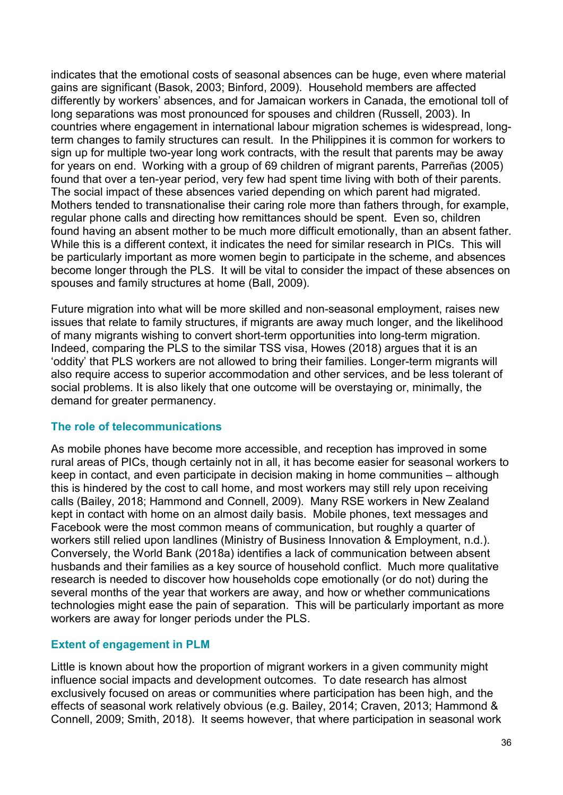indicates that the emotional costs of seasonal absences can be huge, even where material gains are significant (Basok, 2003; Binford, 2009). Household members are affected differently by workers' absences, and for Jamaican workers in Canada, the emotional toll of long separations was most pronounced for spouses and children (Russell, 2003). In countries where engagement in international labour migration schemes is widespread, longterm changes to family structures can result. In the Philippines it is common for workers to sign up for multiple two-year long work contracts, with the result that parents may be away for years on end. Working with a group of 69 children of migrant parents, Parreñas (2005) found that over a ten-year period, very few had spent time living with both of their parents. The social impact of these absences varied depending on which parent had migrated. Mothers tended to transnationalise their caring role more than fathers through, for example, regular phone calls and directing how remittances should be spent. Even so, children found having an absent mother to be much more difficult emotionally, than an absent father. While this is a different context, it indicates the need for similar research in PICs. This will be particularly important as more women begin to participate in the scheme, and absences become longer through the PLS. It will be vital to consider the impact of these absences on spouses and family structures at home (Ball, 2009).

Future migration into what will be more skilled and non-seasonal employment, raises new issues that relate to family structures, if migrants are away much longer, and the likelihood of many migrants wishing to convert short-term opportunities into long-term migration. Indeed, comparing the PLS to the similar TSS visa, Howes (2018) argues that it is an 'oddity' that PLS workers are not allowed to bring their families. Longer-term migrants will also require access to superior accommodation and other services, and be less tolerant of social problems. It is also likely that one outcome will be overstaying or, minimally, the demand for greater permanency.

### **The role of telecommunications**

As mobile phones have become more accessible, and reception has improved in some rural areas of PICs, though certainly not in all, it has become easier for seasonal workers to keep in contact, and even participate in decision making in home communities – although this is hindered by the cost to call home, and most workers may still rely upon receiving calls (Bailey, 2018; Hammond and Connell, 2009). Many RSE workers in New Zealand kept in contact with home on an almost daily basis. Mobile phones, text messages and Facebook were the most common means of communication, but roughly a quarter of workers still relied upon landlines (Ministry of Business Innovation & Employment, n.d.). Conversely, the World Bank (2018a) identifies a lack of communication between absent husbands and their families as a key source of household conflict. Much more qualitative research is needed to discover how households cope emotionally (or do not) during the several months of the year that workers are away, and how or whether communications technologies might ease the pain of separation. This will be particularly important as more workers are away for longer periods under the PLS.

#### **Extent of engagement in PLM**

Little is known about how the proportion of migrant workers in a given community might influence social impacts and development outcomes. To date research has almost exclusively focused on areas or communities where participation has been high, and the effects of seasonal work relatively obvious (e.g. Bailey, 2014; Craven, 2013; Hammond & Connell, 2009; Smith, 2018). It seems however, that where participation in seasonal work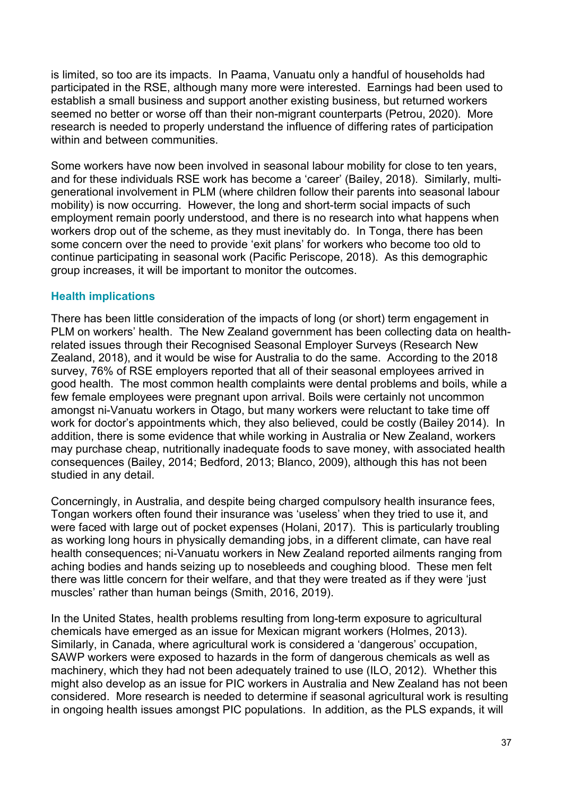is limited, so too are its impacts. In Paama, Vanuatu only a handful of households had participated in the RSE, although many more were interested. Earnings had been used to establish a small business and support another existing business, but returned workers seemed no better or worse off than their non-migrant counterparts (Petrou, 2020). More research is needed to properly understand the influence of differing rates of participation within and between communities.

Some workers have now been involved in seasonal labour mobility for close to ten years, and for these individuals RSE work has become a 'career' (Bailey, 2018). Similarly, multigenerational involvement in PLM (where children follow their parents into seasonal labour mobility) is now occurring. However, the long and short-term social impacts of such employment remain poorly understood, and there is no research into what happens when workers drop out of the scheme, as they must inevitably do. In Tonga, there has been some concern over the need to provide 'exit plans' for workers who become too old to continue participating in seasonal work (Pacific Periscope, 2018). As this demographic group increases, it will be important to monitor the outcomes.

# **Health implications**

There has been little consideration of the impacts of long (or short) term engagement in PLM on workers' health. The New Zealand government has been collecting data on healthrelated issues through their Recognised Seasonal Employer Surveys (Research New Zealand, 2018), and it would be wise for Australia to do the same. According to the 2018 survey, 76% of RSE employers reported that all of their seasonal employees arrived in good health. The most common health complaints were dental problems and boils, while a few female employees were pregnant upon arrival. Boils were certainly not uncommon amongst ni-Vanuatu workers in Otago, but many workers were reluctant to take time off work for doctor's appointments which, they also believed, could be costly (Bailey 2014). In addition, there is some evidence that while working in Australia or New Zealand, workers may purchase cheap, nutritionally inadequate foods to save money, with associated health consequences (Bailey, 2014; Bedford, 2013; Blanco, 2009), although this has not been studied in any detail.

Concerningly, in Australia, and despite being charged compulsory health insurance fees, Tongan workers often found their insurance was 'useless' when they tried to use it, and were faced with large out of pocket expenses (Holani, 2017). This is particularly troubling as working long hours in physically demanding jobs, in a different climate, can have real health consequences; ni-Vanuatu workers in New Zealand reported ailments ranging from aching bodies and hands seizing up to nosebleeds and coughing blood. These men felt there was little concern for their welfare, and that they were treated as if they were 'just muscles' rather than human beings (Smith, 2016, 2019).

In the United States, health problems resulting from long-term exposure to agricultural chemicals have emerged as an issue for Mexican migrant workers (Holmes, 2013). Similarly, in Canada, where agricultural work is considered a 'dangerous' occupation, SAWP workers were exposed to hazards in the form of dangerous chemicals as well as machinery, which they had not been adequately trained to use (ILO, 2012). Whether this might also develop as an issue for PIC workers in Australia and New Zealand has not been considered. More research is needed to determine if seasonal agricultural work is resulting in ongoing health issues amongst PIC populations. In addition, as the PLS expands, it will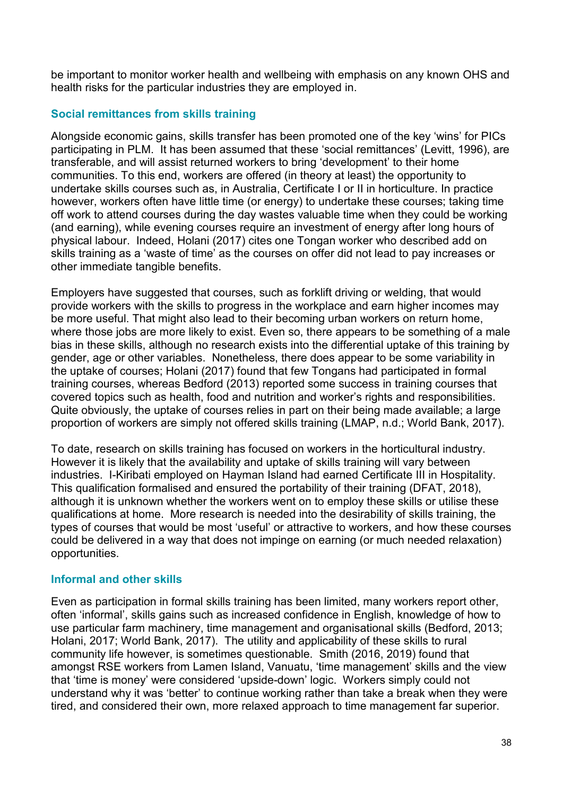be important to monitor worker health and wellbeing with emphasis on any known OHS and health risks for the particular industries they are employed in.

# **Social remittances from skills training**

Alongside economic gains, skills transfer has been promoted one of the key 'wins' for PICs participating in PLM. It has been assumed that these 'social remittances' (Levitt, 1996), are transferable, and will assist returned workers to bring 'development' to their home communities. To this end, workers are offered (in theory at least) the opportunity to undertake skills courses such as, in Australia, Certificate I or II in horticulture. In practice however, workers often have little time (or energy) to undertake these courses; taking time off work to attend courses during the day wastes valuable time when they could be working (and earning), while evening courses require an investment of energy after long hours of physical labour. Indeed, Holani (2017) cites one Tongan worker who described add on skills training as a 'waste of time' as the courses on offer did not lead to pay increases or other immediate tangible benefits.

Employers have suggested that courses, such as forklift driving or welding, that would provide workers with the skills to progress in the workplace and earn higher incomes may be more useful. That might also lead to their becoming urban workers on return home, where those jobs are more likely to exist. Even so, there appears to be something of a male bias in these skills, although no research exists into the differential uptake of this training by gender, age or other variables. Nonetheless, there does appear to be some variability in the uptake of courses; Holani (2017) found that few Tongans had participated in formal training courses, whereas Bedford (2013) reported some success in training courses that covered topics such as health, food and nutrition and worker's rights and responsibilities. Quite obviously, the uptake of courses relies in part on their being made available; a large proportion of workers are simply not offered skills training (LMAP, n.d.; World Bank, 2017).

To date, research on skills training has focused on workers in the horticultural industry. However it is likely that the availability and uptake of skills training will vary between industries. I-Kiribati employed on Hayman Island had earned Certificate III in Hospitality. This qualification formalised and ensured the portability of their training (DFAT, 2018), although it is unknown whether the workers went on to employ these skills or utilise these qualifications at home. More research is needed into the desirability of skills training, the types of courses that would be most 'useful' or attractive to workers, and how these courses could be delivered in a way that does not impinge on earning (or much needed relaxation) opportunities.

# **Informal and other skills**

Even as participation in formal skills training has been limited, many workers report other, often 'informal', skills gains such as increased confidence in English, knowledge of how to use particular farm machinery, time management and organisational skills (Bedford, 2013; Holani, 2017; World Bank, 2017). The utility and applicability of these skills to rural community life however, is sometimes questionable. Smith (2016, 2019) found that amongst RSE workers from Lamen Island, Vanuatu, 'time management' skills and the view that 'time is money' were considered 'upside-down' logic. Workers simply could not understand why it was 'better' to continue working rather than take a break when they were tired, and considered their own, more relaxed approach to time management far superior.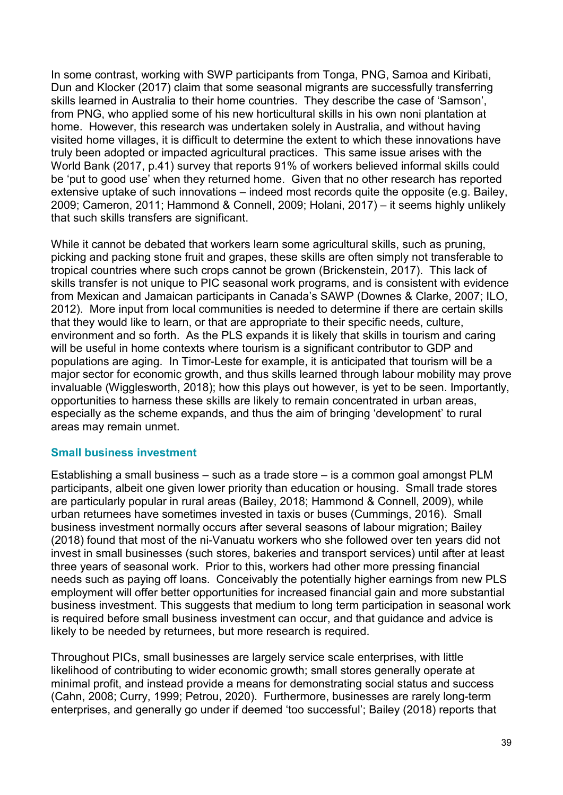In some contrast, working with SWP participants from Tonga, PNG, Samoa and Kiribati, Dun and Klocker (2017) claim that some seasonal migrants are successfully transferring skills learned in Australia to their home countries. They describe the case of 'Samson', from PNG, who applied some of his new horticultural skills in his own noni plantation at home. However, this research was undertaken solely in Australia, and without having visited home villages, it is difficult to determine the extent to which these innovations have truly been adopted or impacted agricultural practices. This same issue arises with the World Bank (2017, p.41) survey that reports 91% of workers believed informal skills could be 'put to good use' when they returned home. Given that no other research has reported extensive uptake of such innovations – indeed most records quite the opposite (e.g. Bailey, 2009; Cameron, 2011; Hammond & Connell, 2009; Holani, 2017) – it seems highly unlikely that such skills transfers are significant.

While it cannot be debated that workers learn some agricultural skills, such as pruning, picking and packing stone fruit and grapes, these skills are often simply not transferable to tropical countries where such crops cannot be grown (Brickenstein, 2017). This lack of skills transfer is not unique to PIC seasonal work programs, and is consistent with evidence from Mexican and Jamaican participants in Canada's SAWP (Downes & Clarke, 2007; ILO, 2012). More input from local communities is needed to determine if there are certain skills that they would like to learn, or that are appropriate to their specific needs, culture, environment and so forth. As the PLS expands it is likely that skills in tourism and caring will be useful in home contexts where tourism is a significant contributor to GDP and populations are aging. In Timor-Leste for example, it is anticipated that tourism will be a major sector for economic growth, and thus skills learned through labour mobility may prove invaluable (Wigglesworth, 2018); how this plays out however, is yet to be seen. Importantly, opportunities to harness these skills are likely to remain concentrated in urban areas, especially as the scheme expands, and thus the aim of bringing 'development' to rural areas may remain unmet.

#### **Small business investment**

Establishing a small business – such as a trade store – is a common goal amongst PLM participants, albeit one given lower priority than education or housing. Small trade stores are particularly popular in rural areas (Bailey, 2018; Hammond & Connell, 2009), while urban returnees have sometimes invested in taxis or buses (Cummings, 2016). Small business investment normally occurs after several seasons of labour migration; Bailey (2018) found that most of the ni-Vanuatu workers who she followed over ten years did not invest in small businesses (such stores, bakeries and transport services) until after at least three years of seasonal work. Prior to this, workers had other more pressing financial needs such as paying off loans. Conceivably the potentially higher earnings from new PLS employment will offer better opportunities for increased financial gain and more substantial business investment. This suggests that medium to long term participation in seasonal work is required before small business investment can occur, and that guidance and advice is likely to be needed by returnees, but more research is required.

Throughout PICs, small businesses are largely service scale enterprises, with little likelihood of contributing to wider economic growth; small stores generally operate at minimal profit, and instead provide a means for demonstrating social status and success (Cahn, 2008; Curry, 1999; Petrou, 2020). Furthermore, businesses are rarely long-term enterprises, and generally go under if deemed 'too successful'; Bailey (2018) reports that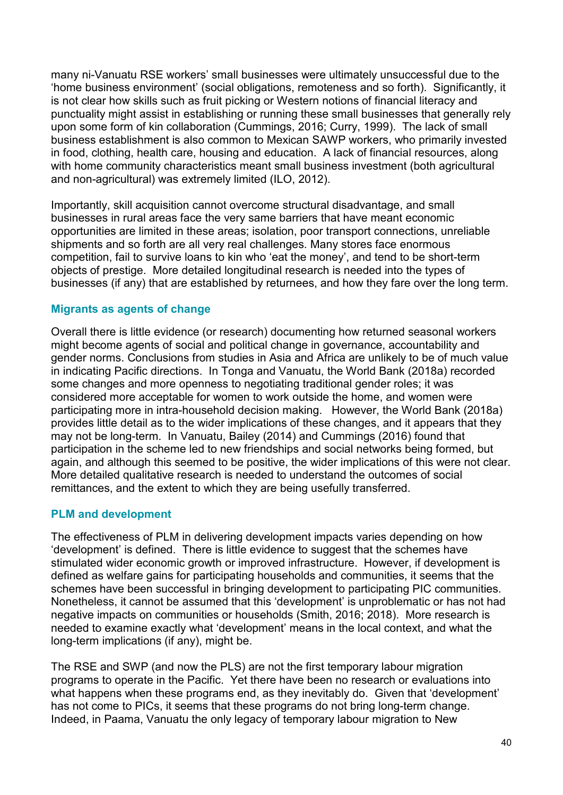many ni-Vanuatu RSE workers' small businesses were ultimately unsuccessful due to the 'home business environment' (social obligations, remoteness and so forth). Significantly, it is not clear how skills such as fruit picking or Western notions of financial literacy and punctuality might assist in establishing or running these small businesses that generally rely upon some form of kin collaboration (Cummings, 2016; Curry, 1999). The lack of small business establishment is also common to Mexican SAWP workers, who primarily invested in food, clothing, health care, housing and education. A lack of financial resources, along with home community characteristics meant small business investment (both agricultural and non-agricultural) was extremely limited (ILO, 2012).

Importantly, skill acquisition cannot overcome structural disadvantage, and small businesses in rural areas face the very same barriers that have meant economic opportunities are limited in these areas; isolation, poor transport connections, unreliable shipments and so forth are all very real challenges. Many stores face enormous competition, fail to survive loans to kin who 'eat the money', and tend to be short-term objects of prestige. More detailed longitudinal research is needed into the types of businesses (if any) that are established by returnees, and how they fare over the long term.

# **Migrants as agents of change**

Overall there is little evidence (or research) documenting how returned seasonal workers might become agents of social and political change in governance, accountability and gender norms. Conclusions from studies in Asia and Africa are unlikely to be of much value in indicating Pacific directions. In Tonga and Vanuatu, the World Bank (2018a) recorded some changes and more openness to negotiating traditional gender roles; it was considered more acceptable for women to work outside the home, and women were participating more in intra-household decision making. However, the World Bank (2018a) provides little detail as to the wider implications of these changes, and it appears that they may not be long-term. In Vanuatu, Bailey (2014) and Cummings (2016) found that participation in the scheme led to new friendships and social networks being formed, but again, and although this seemed to be positive, the wider implications of this were not clear. More detailed qualitative research is needed to understand the outcomes of social remittances, and the extent to which they are being usefully transferred.

# **PLM and development**

The effectiveness of PLM in delivering development impacts varies depending on how 'development' is defined. There is little evidence to suggest that the schemes have stimulated wider economic growth or improved infrastructure. However, if development is defined as welfare gains for participating households and communities, it seems that the schemes have been successful in bringing development to participating PIC communities. Nonetheless, it cannot be assumed that this 'development' is unproblematic or has not had negative impacts on communities or households (Smith, 2016; 2018). More research is needed to examine exactly what 'development' means in the local context, and what the long-term implications (if any), might be.

The RSE and SWP (and now the PLS) are not the first temporary labour migration programs to operate in the Pacific. Yet there have been no research or evaluations into what happens when these programs end, as they inevitably do. Given that 'development' has not come to PICs, it seems that these programs do not bring long-term change. Indeed, in Paama, Vanuatu the only legacy of temporary labour migration to New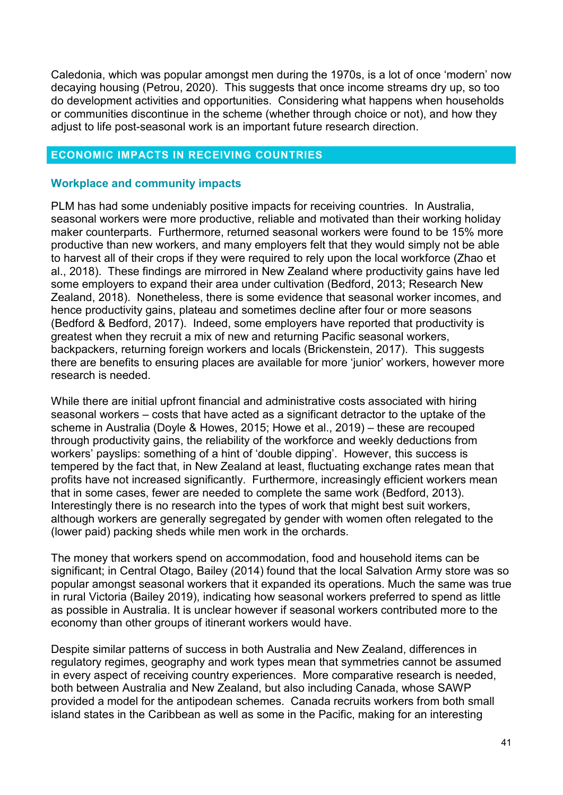Caledonia, which was popular amongst men during the 1970s, is a lot of once 'modern' now decaying housing (Petrou, 2020). This suggests that once income streams dry up, so too do development activities and opportunities. Considering what happens when households or communities discontinue in the scheme (whether through choice or not), and how they adjust to life post-seasonal work is an important future research direction.

#### **ECONOMIC IMPACTS IN RECEIVING COUNTRIES**

#### **Workplace and community impacts**

PLM has had some undeniably positive impacts for receiving countries. In Australia, seasonal workers were more productive, reliable and motivated than their working holiday maker counterparts. Furthermore, returned seasonal workers were found to be 15% more productive than new workers, and many employers felt that they would simply not be able to harvest all of their crops if they were required to rely upon the local workforce (Zhao et al., 2018). These findings are mirrored in New Zealand where productivity gains have led some employers to expand their area under cultivation (Bedford, 2013; Research New Zealand, 2018). Nonetheless, there is some evidence that seasonal worker incomes, and hence productivity gains, plateau and sometimes decline after four or more seasons (Bedford & Bedford, 2017). Indeed, some employers have reported that productivity is greatest when they recruit a mix of new and returning Pacific seasonal workers, backpackers, returning foreign workers and locals (Brickenstein, 2017). This suggests there are benefits to ensuring places are available for more 'junior' workers, however more research is needed.

While there are initial upfront financial and administrative costs associated with hiring seasonal workers – costs that have acted as a significant detractor to the uptake of the scheme in Australia (Doyle & Howes, 2015; Howe et al., 2019) – these are recouped through productivity gains, the reliability of the workforce and weekly deductions from workers' payslips: something of a hint of 'double dipping'. However, this success is tempered by the fact that, in New Zealand at least, fluctuating exchange rates mean that profits have not increased significantly. Furthermore, increasingly efficient workers mean that in some cases, fewer are needed to complete the same work (Bedford, 2013). Interestingly there is no research into the types of work that might best suit workers, although workers are generally segregated by gender with women often relegated to the (lower paid) packing sheds while men work in the orchards.

The money that workers spend on accommodation, food and household items can be significant; in Central Otago, Bailey (2014) found that the local Salvation Army store was so popular amongst seasonal workers that it expanded its operations. Much the same was true in rural Victoria (Bailey 2019), indicating how seasonal workers preferred to spend as little as possible in Australia. It is unclear however if seasonal workers contributed more to the economy than other groups of itinerant workers would have.

Despite similar patterns of success in both Australia and New Zealand, differences in regulatory regimes, geography and work types mean that symmetries cannot be assumed in every aspect of receiving country experiences. More comparative research is needed, both between Australia and New Zealand, but also including Canada, whose SAWP provided a model for the antipodean schemes. Canada recruits workers from both small island states in the Caribbean as well as some in the Pacific, making for an interesting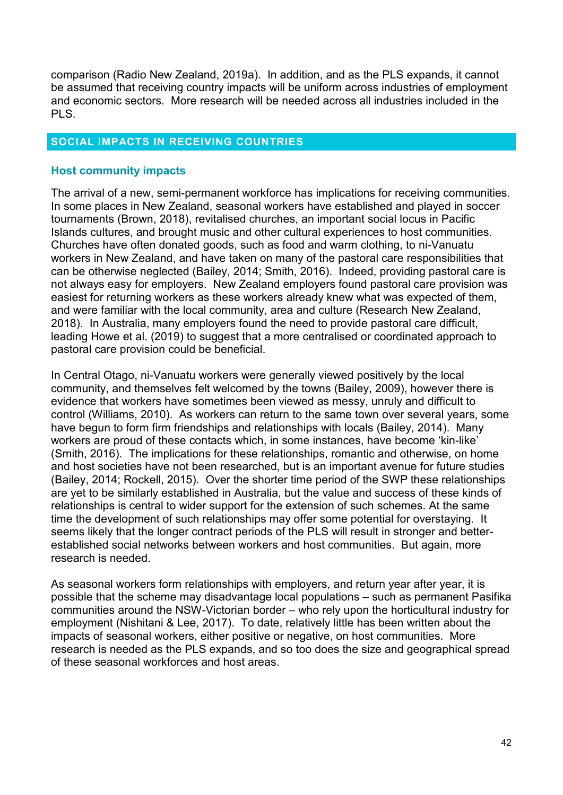comparison (Radio New Zealand, 2019a). In addition, and as the PLS expands, it cannot be assumed that receiving country impacts will be uniform across industries of employment and economic sectors. More research will be needed across all industries included in the PLS.

#### **SOCIAL IMPACTS IN RECEIVING COUNTRIES**

#### **Host community impacts**

The arrival of a new, semi-permanent workforce has implications for receiving communities. In some places in New Zealand, seasonal workers have established and played in soccer tournaments (Brown, 2018), revitalised churches, an important social locus in Pacific Islands cultures, and brought music and other cultural experiences to host communities. Churches have often donated goods, such as food and warm clothing, to ni-Vanuatu workers in New Zealand, and have taken on many of the pastoral care responsibilities that can be otherwise neglected (Bailey, 2014; Smith, 2016). Indeed, providing pastoral care is not always easy for employers. New Zealand employers found pastoral care provision was easiest for returning workers as these workers already knew what was expected of them, and were familiar with the local community, area and culture (Research New Zealand, 2018). In Australia, many employers found the need to provide pastoral care difficult, leading Howe et al. (2019) to suggest that a more centralised or coordinated approach to pastoral care provision could be beneficial.

In Central Otago, ni-Vanuatu workers were generally viewed positively by the local community, and themselves felt welcomed by the towns (Bailey, 2009), however there is evidence that workers have sometimes been viewed as messy, unruly and difficult to control (Williams, 2010). As workers can return to the same town over several years, some have begun to form firm friendships and relationships with locals (Bailey, 2014). Many workers are proud of these contacts which, in some instances, have become 'kin-like' (Smith, 2016). The implications for these relationships, romantic and otherwise, on home and host societies have not been researched, but is an important avenue for future studies (Bailey, 2014; Rockell, 2015). Over the shorter time period of the SWP these relationships are yet to be similarly established in Australia, but the value and success of these kinds of relationships is central to wider support for the extension of such schemes. At the same time the development of such relationships may offer some potential for overstaying. It seems likely that the longer contract periods of the PLS will result in stronger and betterestablished social networks between workers and host communities. But again, more research is needed.

As seasonal workers form relationships with employers, and return year after year, it is possible that the scheme may disadvantage local populations – such as permanent Pasifika communities around the NSW-Victorian border – who rely upon the horticultural industry for employment (Nishitani & Lee, 2017). To date, relatively little has been written about the impacts of seasonal workers, either positive or negative, on host communities. More research is needed as the PLS expands, and so too does the size and geographical spread of these seasonal workforces and host areas.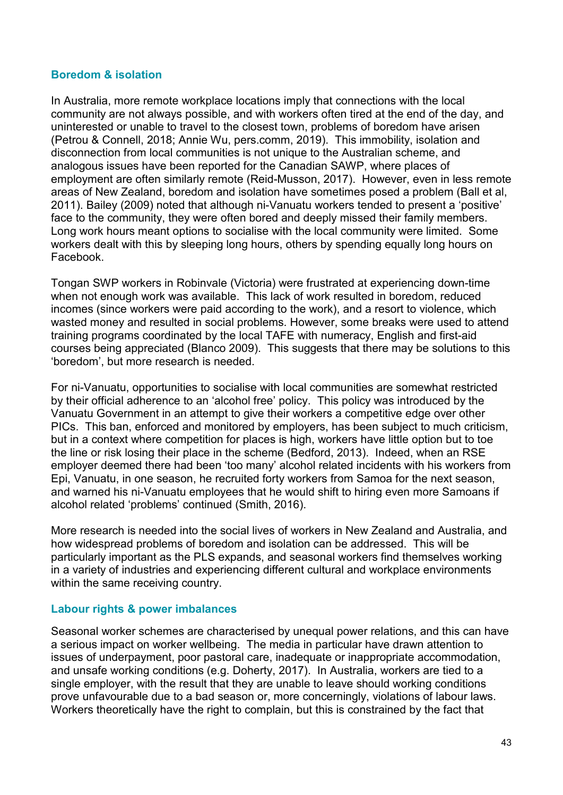#### **Boredom & isolation**

In Australia, more remote workplace locations imply that connections with the local community are not always possible, and with workers often tired at the end of the day, and uninterested or unable to travel to the closest town, problems of boredom have arisen (Petrou & Connell, 2018; Annie Wu, pers.comm, 2019). This immobility, isolation and disconnection from local communities is not unique to the Australian scheme, and analogous issues have been reported for the Canadian SAWP, where places of employment are often similarly remote (Reid-Musson, 2017). However, even in less remote areas of New Zealand, boredom and isolation have sometimes posed a problem (Ball et al, 2011). Bailey (2009) noted that although ni-Vanuatu workers tended to present a 'positive' face to the community, they were often bored and deeply missed their family members. Long work hours meant options to socialise with the local community were limited. Some workers dealt with this by sleeping long hours, others by spending equally long hours on Facebook.

Tongan SWP workers in Robinvale (Victoria) were frustrated at experiencing down-time when not enough work was available. This lack of work resulted in boredom, reduced incomes (since workers were paid according to the work), and a resort to violence, which wasted money and resulted in social problems. However, some breaks were used to attend training programs coordinated by the local TAFE with numeracy, English and first-aid courses being appreciated (Blanco 2009). This suggests that there may be solutions to this 'boredom', but more research is needed.

For ni-Vanuatu, opportunities to socialise with local communities are somewhat restricted by their official adherence to an 'alcohol free' policy. This policy was introduced by the Vanuatu Government in an attempt to give their workers a competitive edge over other PICs. This ban, enforced and monitored by employers, has been subject to much criticism, but in a context where competition for places is high, workers have little option but to toe the line or risk losing their place in the scheme (Bedford, 2013). Indeed, when an RSE employer deemed there had been 'too many' alcohol related incidents with his workers from Epi, Vanuatu, in one season, he recruited forty workers from Samoa for the next season, and warned his ni-Vanuatu employees that he would shift to hiring even more Samoans if alcohol related 'problems' continued (Smith, 2016).

More research is needed into the social lives of workers in New Zealand and Australia, and how widespread problems of boredom and isolation can be addressed. This will be particularly important as the PLS expands, and seasonal workers find themselves working in a variety of industries and experiencing different cultural and workplace environments within the same receiving country.

#### **Labour rights & power imbalances**

Seasonal worker schemes are characterised by unequal power relations, and this can have a serious impact on worker wellbeing. The media in particular have drawn attention to issues of underpayment, poor pastoral care, inadequate or inappropriate accommodation, and unsafe working conditions (e.g. Doherty, 2017). In Australia, workers are tied to a single employer, with the result that they are unable to leave should working conditions prove unfavourable due to a bad season or, more concerningly, violations of labour laws. Workers theoretically have the right to complain, but this is constrained by the fact that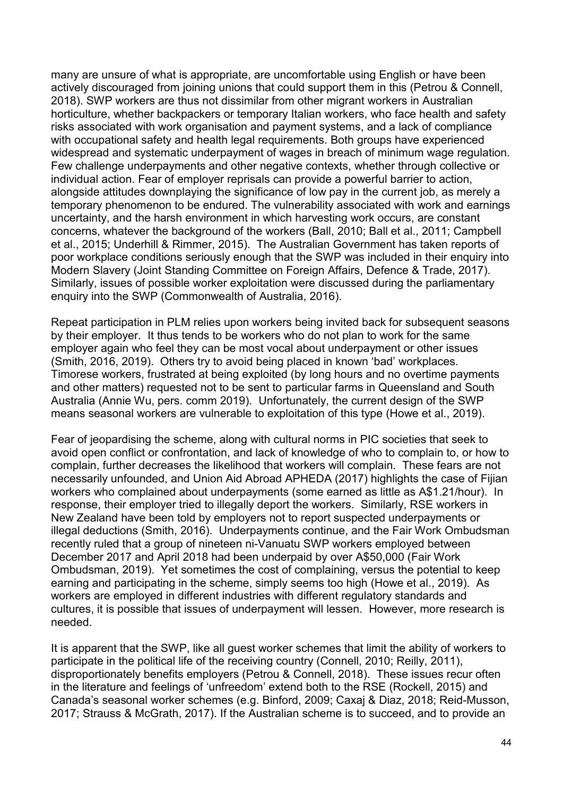many are unsure of what is appropriate, are uncomfortable using English or have been actively discouraged from joining unions that could support them in this (Petrou & Connell, 2018). SWP workers are thus not dissimilar from other migrant workers in Australian horticulture, whether backpackers or temporary Italian workers, who face health and safety risks associated with work organisation and payment systems, and a lack of compliance with occupational safety and health legal requirements. Both groups have experienced widespread and systematic underpayment of wages in breach of minimum wage regulation. Few challenge underpayments and other negative contexts, whether through collective or individual action. Fear of employer reprisals can provide a powerful barrier to action, alongside attitudes downplaying the significance of low pay in the current job, as merely a temporary phenomenon to be endured. The vulnerability associated with work and earnings uncertainty, and the harsh environment in which harvesting work occurs, are constant concerns, whatever the background of the workers (Ball, 2010; Ball et al., 2011; Campbell et al., 2015; Underhill & Rimmer, 2015). The Australian Government has taken reports of poor workplace conditions seriously enough that the SWP was included in their enquiry into Modern Slavery (Joint Standing Committee on Foreign Affairs, Defence & Trade, 2017). Similarly, issues of possible worker exploitation were discussed during the parliamentary enquiry into the SWP (Commonwealth of Australia, 2016).

Repeat participation in PLM relies upon workers being invited back for subsequent seasons by their employer. It thus tends to be workers who do not plan to work for the same employer again who feel they can be most vocal about underpayment or other issues (Smith, 2016, 2019). Others try to avoid being placed in known 'bad' workplaces. Timorese workers, frustrated at being exploited (by long hours and no overtime payments and other matters) requested not to be sent to particular farms in Queensland and South Australia (Annie Wu, pers. comm 2019). Unfortunately, the current design of the SWP means seasonal workers are vulnerable to exploitation of this type (Howe et al., 2019).

Fear of jeopardising the scheme, along with cultural norms in PIC societies that seek to avoid open conflict or confrontation, and lack of knowledge of who to complain to, or how to complain, further decreases the likelihood that workers will complain. These fears are not necessarily unfounded, and Union Aid Abroad APHEDA (2017) highlights the case of Fijian workers who complained about underpayments (some earned as little as A\$1.21/hour). In response, their employer tried to illegally deport the workers. Similarly, RSE workers in New Zealand have been told by employers not to report suspected underpayments or illegal deductions (Smith, 2016). Underpayments continue, and the Fair Work Ombudsman recently ruled that a group of nineteen ni-Vanuatu SWP workers employed between December 2017 and April 2018 had been underpaid by over A\$50,000 (Fair Work Ombudsman, 2019). Yet sometimes the cost of complaining, versus the potential to keep earning and participating in the scheme, simply seems too high (Howe et al., 2019). As workers are employed in different industries with different regulatory standards and cultures, it is possible that issues of underpayment will lessen. However, more research is needed.

It is apparent that the SWP, like all guest worker schemes that limit the ability of workers to participate in the political life of the receiving country (Connell, 2010; Reilly, 2011), disproportionately benefits employers (Petrou & Connell, 2018). These issues recur often in the literature and feelings of 'unfreedom' extend both to the RSE (Rockell, 2015) and Canada's seasonal worker schemes (e.g. Binford, 2009; Caxaj & Diaz, 2018; Reid-Musson, 2017; Strauss & McGrath, 2017). If the Australian scheme is to succeed, and to provide an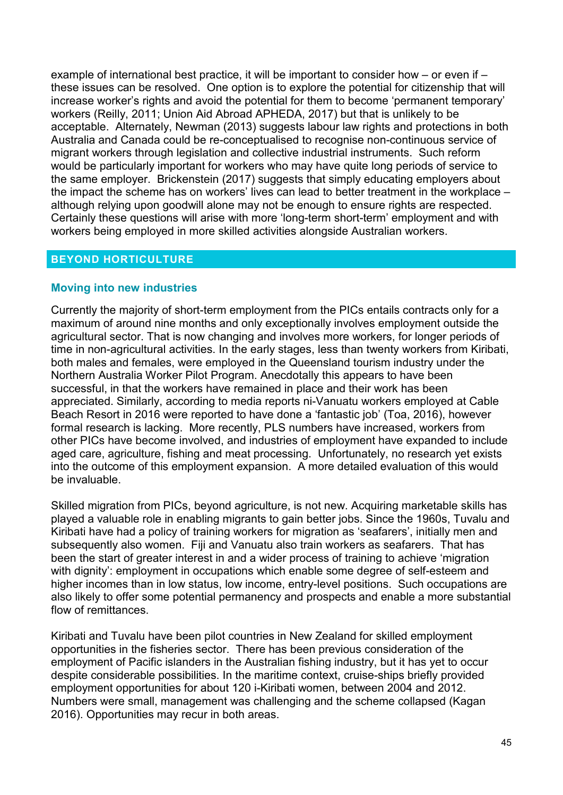example of international best practice, it will be important to consider how – or even if – these issues can be resolved. One option is to explore the potential for citizenship that will increase worker's rights and avoid the potential for them to become 'permanent temporary' workers (Reilly, 2011; Union Aid Abroad APHEDA, 2017) but that is unlikely to be acceptable. Alternately, Newman (2013) suggests labour law rights and protections in both Australia and Canada could be re-conceptualised to recognise non-continuous service of migrant workers through legislation and collective industrial instruments. Such reform would be particularly important for workers who may have quite long periods of service to the same employer. Brickenstein (2017) suggests that simply educating employers about the impact the scheme has on workers' lives can lead to better treatment in the workplace – although relying upon goodwill alone may not be enough to ensure rights are respected. Certainly these questions will arise with more 'long-term short-term' employment and with workers being employed in more skilled activities alongside Australian workers.

### **BEYOND HORTICULTURE**

#### **Moving into new industries**

Currently the majority of short-term employment from the PICs entails contracts only for a maximum of around nine months and only exceptionally involves employment outside the agricultural sector. That is now changing and involves more workers, for longer periods of time in non-agricultural activities. In the early stages, less than twenty workers from Kiribati, both males and females, were employed in the Queensland tourism industry under the Northern Australia Worker Pilot Program. Anecdotally this appears to have been successful, in that the workers have remained in place and their work has been appreciated. Similarly, according to media reports ni-Vanuatu workers employed at Cable Beach Resort in 2016 were reported to have done a 'fantastic job' (Toa, 2016), however formal research is lacking. More recently, PLS numbers have increased, workers from other PICs have become involved, and industries of employment have expanded to include aged care, agriculture, fishing and meat processing. Unfortunately, no research yet exists into the outcome of this employment expansion. A more detailed evaluation of this would be invaluable.

Skilled migration from PICs, beyond agriculture, is not new. Acquiring marketable skills has played a valuable role in enabling migrants to gain better jobs. Since the 1960s, Tuvalu and Kiribati have had a policy of training workers for migration as 'seafarers', initially men and subsequently also women. Fiji and Vanuatu also train workers as seafarers. That has been the start of greater interest in and a wider process of training to achieve 'migration with dignity': employment in occupations which enable some degree of self-esteem and higher incomes than in low status, low income, entry-level positions. Such occupations are also likely to offer some potential permanency and prospects and enable a more substantial flow of remittances.

Kiribati and Tuvalu have been pilot countries in New Zealand for skilled employment opportunities in the fisheries sector. There has been previous consideration of the employment of Pacific islanders in the Australian fishing industry, but it has yet to occur despite considerable possibilities. In the maritime context, cruise-ships briefly provided employment opportunities for about 120 i-Kiribati women, between 2004 and 2012. Numbers were small, management was challenging and the scheme collapsed (Kagan 2016). Opportunities may recur in both areas.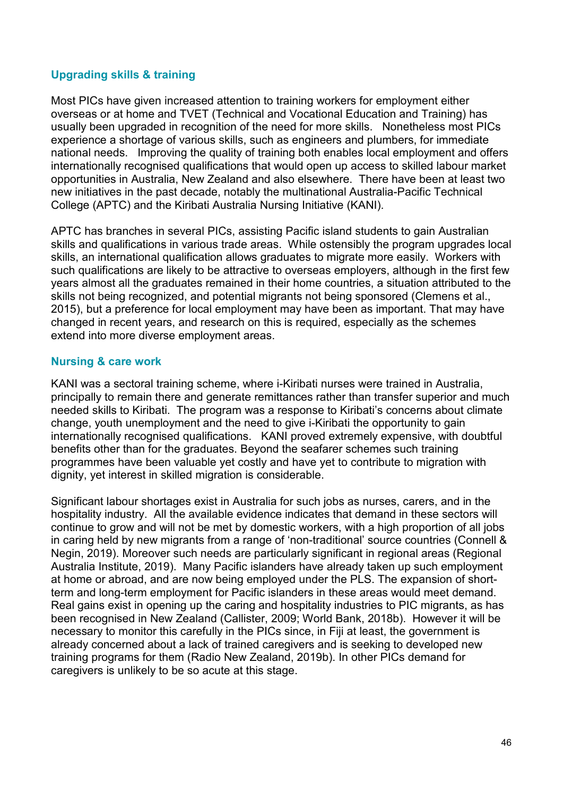# **Upgrading skills & training**

Most PICs have given increased attention to training workers for employment either overseas or at home and TVET (Technical and Vocational Education and Training) has usually been upgraded in recognition of the need for more skills. Nonetheless most PICs experience a shortage of various skills, such as engineers and plumbers, for immediate national needs. Improving the quality of training both enables local employment and offers internationally recognised qualifications that would open up access to skilled labour market opportunities in Australia, New Zealand and also elsewhere. There have been at least two new initiatives in the past decade, notably the multinational Australia-Pacific Technical College (APTC) and the Kiribati Australia Nursing Initiative (KANI).

APTC has branches in several PICs, assisting Pacific island students to gain Australian skills and qualifications in various trade areas. While ostensibly the program upgrades local skills, an international qualification allows graduates to migrate more easily. Workers with such qualifications are likely to be attractive to overseas employers, although in the first few years almost all the graduates remained in their home countries, a situation attributed to the skills not being recognized, and potential migrants not being sponsored (Clemens et al., 2015), but a preference for local employment may have been as important. That may have changed in recent years, and research on this is required, especially as the schemes extend into more diverse employment areas.

### **Nursing & care work**

KANI was a sectoral training scheme, where i-Kiribati nurses were trained in Australia, principally to remain there and generate remittances rather than transfer superior and much needed skills to Kiribati. The program was a response to Kiribati's concerns about climate change, youth unemployment and the need to give i-Kiribati the opportunity to gain internationally recognised qualifications. KANI proved extremely expensive, with doubtful benefits other than for the graduates. Beyond the seafarer schemes such training programmes have been valuable yet costly and have yet to contribute to migration with dignity, yet interest in skilled migration is considerable.

Significant labour shortages exist in Australia for such jobs as nurses, carers, and in the hospitality industry. All the available evidence indicates that demand in these sectors will continue to grow and will not be met by domestic workers, with a high proportion of all jobs in caring held by new migrants from a range of 'non-traditional' source countries (Connell & Negin, 2019). Moreover such needs are particularly significant in regional areas (Regional Australia Institute, 2019). Many Pacific islanders have already taken up such employment at home or abroad, and are now being employed under the PLS. The expansion of shortterm and long-term employment for Pacific islanders in these areas would meet demand. Real gains exist in opening up the caring and hospitality industries to PIC migrants, as has been recognised in New Zealand (Callister, 2009; World Bank, 2018b). However it will be necessary to monitor this carefully in the PICs since, in Fiji at least, the government is already concerned about a lack of trained caregivers and is seeking to developed new training programs for them (Radio New Zealand, 2019b). In other PICs demand for caregivers is unlikely to be so acute at this stage.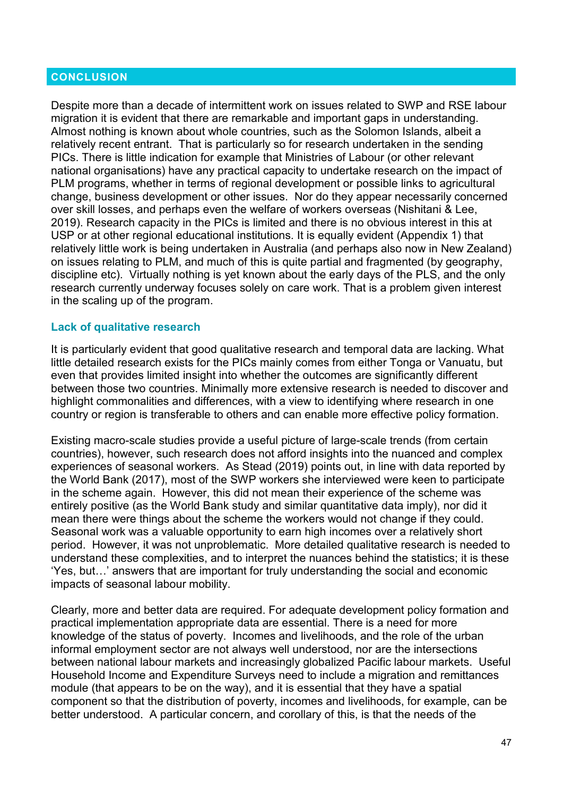#### **CONCLUSION**

Despite more than a decade of intermittent work on issues related to SWP and RSE labour migration it is evident that there are remarkable and important gaps in understanding. Almost nothing is known about whole countries, such as the Solomon Islands, albeit a relatively recent entrant. That is particularly so for research undertaken in the sending PICs. There is little indication for example that Ministries of Labour (or other relevant national organisations) have any practical capacity to undertake research on the impact of PLM programs, whether in terms of regional development or possible links to agricultural change, business development or other issues. Nor do they appear necessarily concerned over skill losses, and perhaps even the welfare of workers overseas (Nishitani & Lee, 2019). Research capacity in the PICs is limited and there is no obvious interest in this at USP or at other regional educational institutions. It is equally evident (Appendix 1) that relatively little work is being undertaken in Australia (and perhaps also now in New Zealand) on issues relating to PLM, and much of this is quite partial and fragmented (by geography, discipline etc). Virtually nothing is yet known about the early days of the PLS, and the only research currently underway focuses solely on care work. That is a problem given interest in the scaling up of the program.

#### **Lack of qualitative research**

It is particularly evident that good qualitative research and temporal data are lacking. What little detailed research exists for the PICs mainly comes from either Tonga or Vanuatu, but even that provides limited insight into whether the outcomes are significantly different between those two countries. Minimally more extensive research is needed to discover and highlight commonalities and differences, with a view to identifying where research in one country or region is transferable to others and can enable more effective policy formation.

Existing macro-scale studies provide a useful picture of large-scale trends (from certain countries), however, such research does not afford insights into the nuanced and complex experiences of seasonal workers. As Stead (2019) points out, in line with data reported by the World Bank (2017), most of the SWP workers she interviewed were keen to participate in the scheme again. However, this did not mean their experience of the scheme was entirely positive (as the World Bank study and similar quantitative data imply), nor did it mean there were things about the scheme the workers would not change if they could. Seasonal work was a valuable opportunity to earn high incomes over a relatively short period. However, it was not unproblematic. More detailed qualitative research is needed to understand these complexities, and to interpret the nuances behind the statistics; it is these 'Yes, but…' answers that are important for truly understanding the social and economic impacts of seasonal labour mobility.

Clearly, more and better data are required. For adequate development policy formation and practical implementation appropriate data are essential. There is a need for more knowledge of the status of poverty. Incomes and livelihoods, and the role of the urban informal employment sector are not always well understood, nor are the intersections between national labour markets and increasingly globalized Pacific labour markets. Useful Household Income and Expenditure Surveys need to include a migration and remittances module (that appears to be on the way), and it is essential that they have a spatial component so that the distribution of poverty, incomes and livelihoods, for example, can be better understood. A particular concern, and corollary of this, is that the needs of the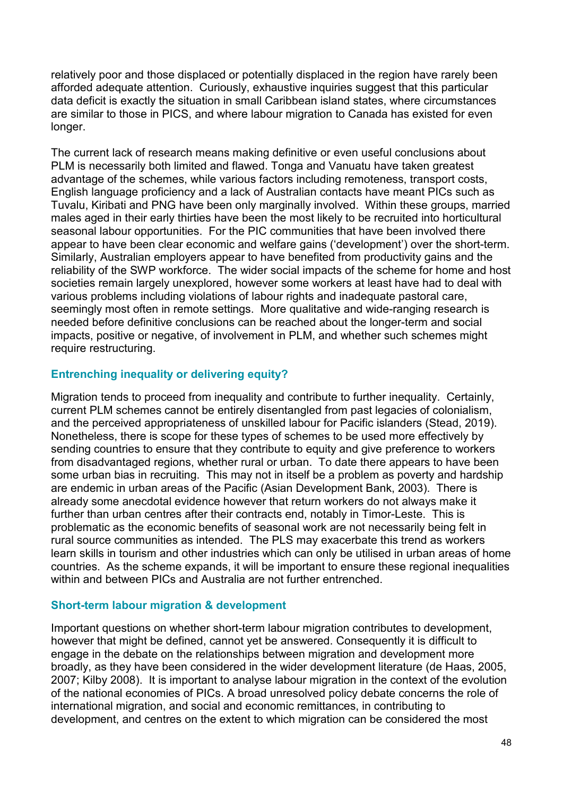relatively poor and those displaced or potentially displaced in the region have rarely been afforded adequate attention. Curiously, exhaustive inquiries suggest that this particular data deficit is exactly the situation in small Caribbean island states, where circumstances are similar to those in PICS, and where labour migration to Canada has existed for even longer.

The current lack of research means making definitive or even useful conclusions about PLM is necessarily both limited and flawed. Tonga and Vanuatu have taken greatest advantage of the schemes, while various factors including remoteness, transport costs, English language proficiency and a lack of Australian contacts have meant PICs such as Tuvalu, Kiribati and PNG have been only marginally involved. Within these groups, married males aged in their early thirties have been the most likely to be recruited into horticultural seasonal labour opportunities. For the PIC communities that have been involved there appear to have been clear economic and welfare gains ('development') over the short-term. Similarly, Australian employers appear to have benefited from productivity gains and the reliability of the SWP workforce. The wider social impacts of the scheme for home and host societies remain largely unexplored, however some workers at least have had to deal with various problems including violations of labour rights and inadequate pastoral care, seemingly most often in remote settings. More qualitative and wide-ranging research is needed before definitive conclusions can be reached about the longer-term and social impacts, positive or negative, of involvement in PLM, and whether such schemes might require restructuring.

# **Entrenching inequality or delivering equity?**

Migration tends to proceed from inequality and contribute to further inequality. Certainly, current PLM schemes cannot be entirely disentangled from past legacies of colonialism, and the perceived appropriateness of unskilled labour for Pacific islanders (Stead, 2019). Nonetheless, there is scope for these types of schemes to be used more effectively by sending countries to ensure that they contribute to equity and give preference to workers from disadvantaged regions, whether rural or urban. To date there appears to have been some urban bias in recruiting. This may not in itself be a problem as poverty and hardship are endemic in urban areas of the Pacific (Asian Development Bank, 2003). There is already some anecdotal evidence however that return workers do not always make it further than urban centres after their contracts end, notably in Timor-Leste. This is problematic as the economic benefits of seasonal work are not necessarily being felt in rural source communities as intended. The PLS may exacerbate this trend as workers learn skills in tourism and other industries which can only be utilised in urban areas of home countries. As the scheme expands, it will be important to ensure these regional inequalities within and between PICs and Australia are not further entrenched.

#### **Short-term labour migration & development**

Important questions on whether short-term labour migration contributes to development, however that might be defined, cannot yet be answered. Consequently it is difficult to engage in the debate on the relationships between migration and development more broadly, as they have been considered in the wider development literature (de Haas, 2005, 2007; Kilby 2008). It is important to analyse labour migration in the context of the evolution of the national economies of PICs. A broad unresolved policy debate concerns the role of international migration, and social and economic remittances, in contributing to development, and centres on the extent to which migration can be considered the most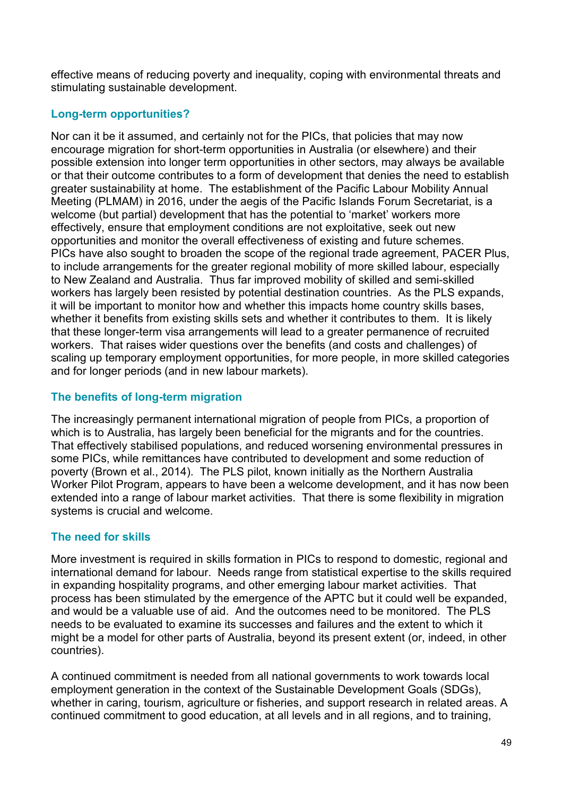effective means of reducing poverty and inequality, coping with environmental threats and stimulating sustainable development.

# **Long-term opportunities?**

Nor can it be it assumed, and certainly not for the PICs, that policies that may now encourage migration for short-term opportunities in Australia (or elsewhere) and their possible extension into longer term opportunities in other sectors, may always be available or that their outcome contributes to a form of development that denies the need to establish greater sustainability at home. The establishment of the Pacific Labour Mobility Annual Meeting (PLMAM) in 2016, under the aegis of the Pacific Islands Forum Secretariat, is a welcome (but partial) development that has the potential to 'market' workers more effectively, ensure that employment conditions are not exploitative, seek out new opportunities and monitor the overall effectiveness of existing and future schemes. PICs have also sought to broaden the scope of the regional trade agreement, PACER Plus, to include arrangements for the greater regional mobility of more skilled labour, especially to New Zealand and Australia. Thus far improved mobility of skilled and semi-skilled workers has largely been resisted by potential destination countries. As the PLS expands, it will be important to monitor how and whether this impacts home country skills bases, whether it benefits from existing skills sets and whether it contributes to them. It is likely that these longer-term visa arrangements will lead to a greater permanence of recruited workers. That raises wider questions over the benefits (and costs and challenges) of scaling up temporary employment opportunities, for more people, in more skilled categories and for longer periods (and in new labour markets).

# **The benefits of long-term migration**

The increasingly permanent international migration of people from PICs, a proportion of which is to Australia, has largely been beneficial for the migrants and for the countries. That effectively stabilised populations, and reduced worsening environmental pressures in some PICs, while remittances have contributed to development and some reduction of poverty (Brown et al., 2014). The PLS pilot, known initially as the Northern Australia Worker Pilot Program, appears to have been a welcome development, and it has now been extended into a range of labour market activities. That there is some flexibility in migration systems is crucial and welcome.

# **The need for skills**

More investment is required in skills formation in PICs to respond to domestic, regional and international demand for labour. Needs range from statistical expertise to the skills required in expanding hospitality programs, and other emerging labour market activities. That process has been stimulated by the emergence of the APTC but it could well be expanded, and would be a valuable use of aid. And the outcomes need to be monitored. The PLS needs to be evaluated to examine its successes and failures and the extent to which it might be a model for other parts of Australia, beyond its present extent (or, indeed, in other countries).

A continued commitment is needed from all national governments to work towards local employment generation in the context of the Sustainable Development Goals (SDGs), whether in caring, tourism, agriculture or fisheries, and support research in related areas. A continued commitment to good education, at all levels and in all regions, and to training,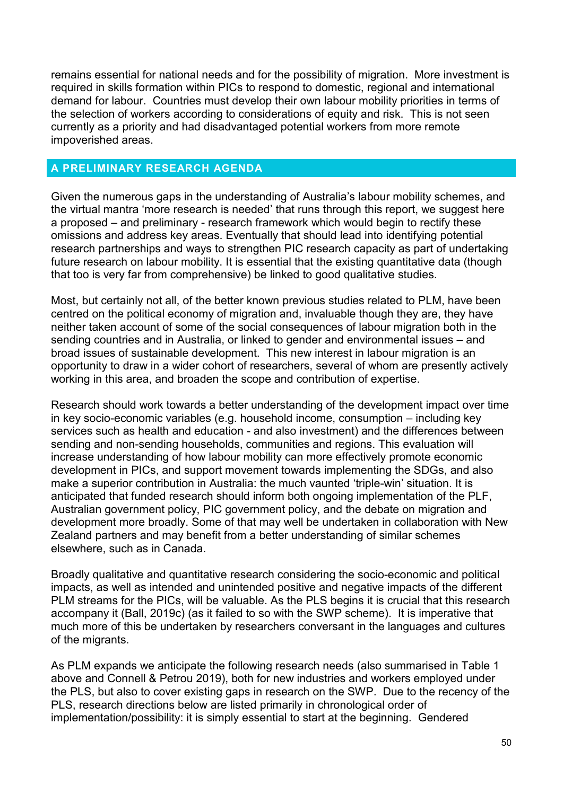remains essential for national needs and for the possibility of migration. More investment is required in skills formation within PICs to respond to domestic, regional and international demand for labour. Countries must develop their own labour mobility priorities in terms of the selection of workers according to considerations of equity and risk. This is not seen currently as a priority and had disadvantaged potential workers from more remote impoverished areas.

#### **A PRELIMINARY RESEARCH AGENDA**

Given the numerous gaps in the understanding of Australia's labour mobility schemes, and the virtual mantra 'more research is needed' that runs through this report, we suggest here a proposed – and preliminary - research framework which would begin to rectify these omissions and address key areas. Eventually that should lead into identifying potential research partnerships and ways to strengthen PIC research capacity as part of undertaking future research on labour mobility. It is essential that the existing quantitative data (though that too is very far from comprehensive) be linked to good qualitative studies.

Most, but certainly not all, of the better known previous studies related to PLM, have been centred on the political economy of migration and, invaluable though they are, they have neither taken account of some of the social consequences of labour migration both in the sending countries and in Australia, or linked to gender and environmental issues – and broad issues of sustainable development. This new interest in labour migration is an opportunity to draw in a wider cohort of researchers, several of whom are presently actively working in this area, and broaden the scope and contribution of expertise.

Research should work towards a better understanding of the development impact over time in key socio-economic variables (e.g. household income, consumption – including key services such as health and education - and also investment) and the differences between sending and non-sending households, communities and regions. This evaluation will increase understanding of how labour mobility can more effectively promote economic development in PICs, and support movement towards implementing the SDGs, and also make a superior contribution in Australia: the much vaunted 'triple-win' situation. It is anticipated that funded research should inform both ongoing implementation of the PLF, Australian government policy, PIC government policy, and the debate on migration and development more broadly. Some of that may well be undertaken in collaboration with New Zealand partners and may benefit from a better understanding of similar schemes elsewhere, such as in Canada.

Broadly qualitative and quantitative research considering the socio-economic and political impacts, as well as intended and unintended positive and negative impacts of the different PLM streams for the PICs, will be valuable. As the PLS begins it is crucial that this research accompany it (Ball, 2019c) (as it failed to so with the SWP scheme). It is imperative that much more of this be undertaken by researchers conversant in the languages and cultures of the migrants.

As PLM expands we anticipate the following research needs (also summarised in Table 1 above and Connell & Petrou 2019), both for new industries and workers employed under the PLS, but also to cover existing gaps in research on the SWP. Due to the recency of the PLS, research directions below are listed primarily in chronological order of implementation/possibility: it is simply essential to start at the beginning. Gendered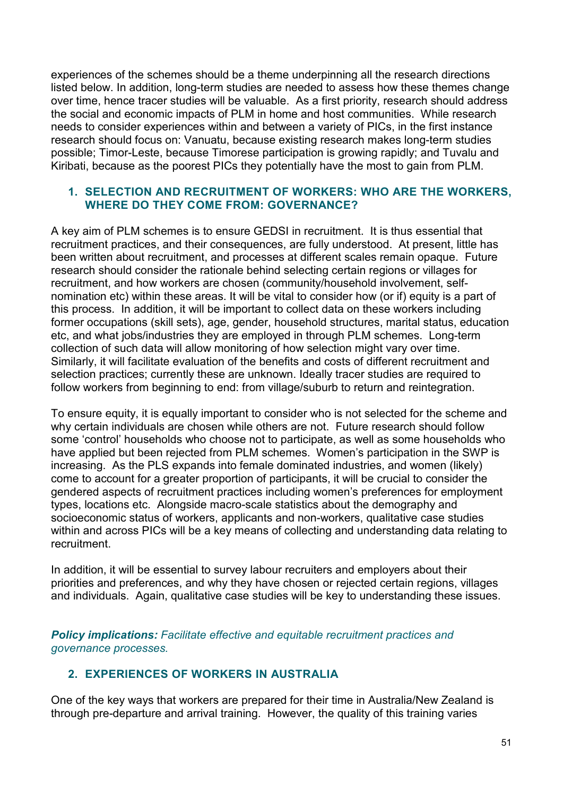experiences of the schemes should be a theme underpinning all the research directions listed below. In addition, long-term studies are needed to assess how these themes change over time, hence tracer studies will be valuable. As a first priority, research should address the social and economic impacts of PLM in home and host communities. While research needs to consider experiences within and between a variety of PICs, in the first instance research should focus on: Vanuatu, because existing research makes long-term studies possible; Timor-Leste, because Timorese participation is growing rapidly; and Tuvalu and Kiribati, because as the poorest PICs they potentially have the most to gain from PLM.

#### **1. SELECTION AND RECRUITMENT OF WORKERS: WHO ARE THE WORKERS, WHERE DO THEY COME FROM: GOVERNANCE?**

A key aim of PLM schemes is to ensure GEDSI in recruitment. It is thus essential that recruitment practices, and their consequences, are fully understood. At present, little has been written about recruitment, and processes at different scales remain opaque. Future research should consider the rationale behind selecting certain regions or villages for recruitment, and how workers are chosen (community/household involvement, selfnomination etc) within these areas. It will be vital to consider how (or if) equity is a part of this process. In addition, it will be important to collect data on these workers including former occupations (skill sets), age, gender, household structures, marital status, education etc, and what jobs/industries they are employed in through PLM schemes. Long-term collection of such data will allow monitoring of how selection might vary over time. Similarly, it will facilitate evaluation of the benefits and costs of different recruitment and selection practices; currently these are unknown. Ideally tracer studies are required to follow workers from beginning to end: from village/suburb to return and reintegration.

To ensure equity, it is equally important to consider who is not selected for the scheme and why certain individuals are chosen while others are not. Future research should follow some 'control' households who choose not to participate, as well as some households who have applied but been rejected from PLM schemes. Women's participation in the SWP is increasing. As the PLS expands into female dominated industries, and women (likely) come to account for a greater proportion of participants, it will be crucial to consider the gendered aspects of recruitment practices including women's preferences for employment types, locations etc. Alongside macro-scale statistics about the demography and socioeconomic status of workers, applicants and non-workers, qualitative case studies within and across PICs will be a key means of collecting and understanding data relating to recruitment.

In addition, it will be essential to survey labour recruiters and employers about their priorities and preferences, and why they have chosen or rejected certain regions, villages and individuals. Again, qualitative case studies will be key to understanding these issues.

*Policy implications: Facilitate effective and equitable recruitment practices and governance processes.*

# **2. EXPERIENCES OF WORKERS IN AUSTRALIA**

One of the key ways that workers are prepared for their time in Australia/New Zealand is through pre-departure and arrival training. However, the quality of this training varies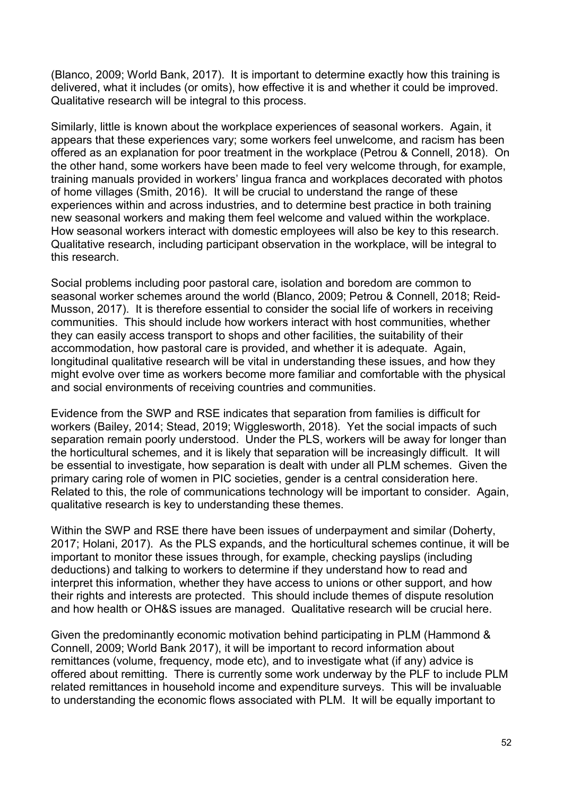(Blanco, 2009; World Bank, 2017). It is important to determine exactly how this training is delivered, what it includes (or omits), how effective it is and whether it could be improved. Qualitative research will be integral to this process.

Similarly, little is known about the workplace experiences of seasonal workers. Again, it appears that these experiences vary; some workers feel unwelcome, and racism has been offered as an explanation for poor treatment in the workplace (Petrou & Connell, 2018). On the other hand, some workers have been made to feel very welcome through, for example, training manuals provided in workers' lingua franca and workplaces decorated with photos of home villages (Smith, 2016). It will be crucial to understand the range of these experiences within and across industries, and to determine best practice in both training new seasonal workers and making them feel welcome and valued within the workplace. How seasonal workers interact with domestic employees will also be key to this research. Qualitative research, including participant observation in the workplace, will be integral to this research.

Social problems including poor pastoral care, isolation and boredom are common to seasonal worker schemes around the world (Blanco, 2009; Petrou & Connell, 2018; Reid-Musson, 2017). It is therefore essential to consider the social life of workers in receiving communities. This should include how workers interact with host communities, whether they can easily access transport to shops and other facilities, the suitability of their accommodation, how pastoral care is provided, and whether it is adequate. Again, longitudinal qualitative research will be vital in understanding these issues, and how they might evolve over time as workers become more familiar and comfortable with the physical and social environments of receiving countries and communities.

Evidence from the SWP and RSE indicates that separation from families is difficult for workers (Bailey, 2014; Stead, 2019; Wigglesworth, 2018). Yet the social impacts of such separation remain poorly understood. Under the PLS, workers will be away for longer than the horticultural schemes, and it is likely that separation will be increasingly difficult. It will be essential to investigate, how separation is dealt with under all PLM schemes. Given the primary caring role of women in PIC societies, gender is a central consideration here. Related to this, the role of communications technology will be important to consider. Again, qualitative research is key to understanding these themes.

Within the SWP and RSE there have been issues of underpayment and similar (Doherty, 2017; Holani, 2017). As the PLS expands, and the horticultural schemes continue, it will be important to monitor these issues through, for example, checking payslips (including deductions) and talking to workers to determine if they understand how to read and interpret this information, whether they have access to unions or other support, and how their rights and interests are protected. This should include themes of dispute resolution and how health or OH&S issues are managed. Qualitative research will be crucial here.

Given the predominantly economic motivation behind participating in PLM (Hammond & Connell, 2009; World Bank 2017), it will be important to record information about remittances (volume, frequency, mode etc), and to investigate what (if any) advice is offered about remitting. There is currently some work underway by the PLF to include PLM related remittances in household income and expenditure surveys. This will be invaluable to understanding the economic flows associated with PLM. It will be equally important to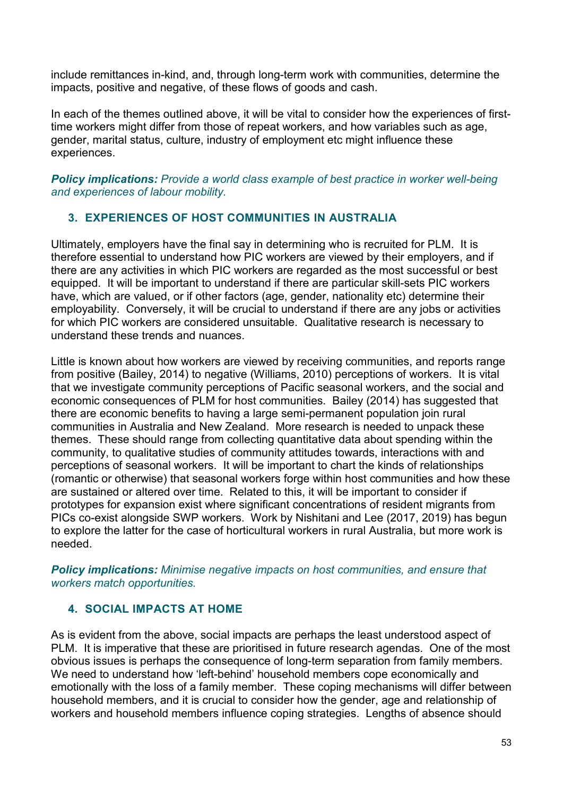include remittances in-kind, and, through long-term work with communities, determine the impacts, positive and negative, of these flows of goods and cash.

In each of the themes outlined above, it will be vital to consider how the experiences of firsttime workers might differ from those of repeat workers, and how variables such as age, gender, marital status, culture, industry of employment etc might influence these experiences.

*Policy implications: Provide a world class example of best practice in worker well-being and experiences of labour mobility.*

# **3. EXPERIENCES OF HOST COMMUNITIES IN AUSTRALIA**

Ultimately, employers have the final say in determining who is recruited for PLM. It is therefore essential to understand how PIC workers are viewed by their employers, and if there are any activities in which PIC workers are regarded as the most successful or best equipped. It will be important to understand if there are particular skill-sets PIC workers have, which are valued, or if other factors (age, gender, nationality etc) determine their employability. Conversely, it will be crucial to understand if there are any jobs or activities for which PIC workers are considered unsuitable. Qualitative research is necessary to understand these trends and nuances.

Little is known about how workers are viewed by receiving communities, and reports range from positive (Bailey, 2014) to negative (Williams, 2010) perceptions of workers. It is vital that we investigate community perceptions of Pacific seasonal workers, and the social and economic consequences of PLM for host communities. Bailey (2014) has suggested that there are economic benefits to having a large semi-permanent population join rural communities in Australia and New Zealand. More research is needed to unpack these themes. These should range from collecting quantitative data about spending within the community, to qualitative studies of community attitudes towards, interactions with and perceptions of seasonal workers. It will be important to chart the kinds of relationships (romantic or otherwise) that seasonal workers forge within host communities and how these are sustained or altered over time. Related to this, it will be important to consider if prototypes for expansion exist where significant concentrations of resident migrants from PICs co-exist alongside SWP workers. Work by Nishitani and Lee (2017, 2019) has begun to explore the latter for the case of horticultural workers in rural Australia, but more work is needed.

*Policy implications: Minimise negative impacts on host communities, and ensure that workers match opportunities.* 

# **4. SOCIAL IMPACTS AT HOME**

As is evident from the above, social impacts are perhaps the least understood aspect of PLM. It is imperative that these are prioritised in future research agendas. One of the most obvious issues is perhaps the consequence of long-term separation from family members. We need to understand how 'left-behind' household members cope economically and emotionally with the loss of a family member. These coping mechanisms will differ between household members, and it is crucial to consider how the gender, age and relationship of workers and household members influence coping strategies. Lengths of absence should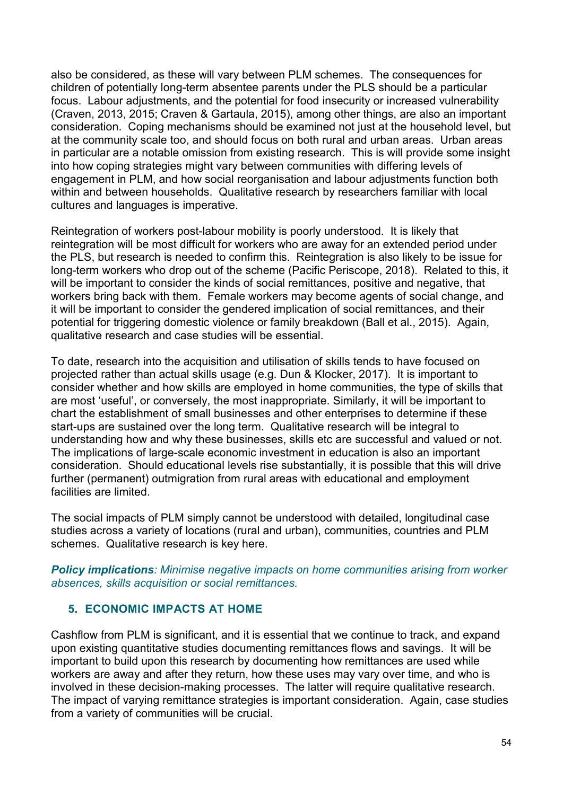also be considered, as these will vary between PLM schemes. The consequences for children of potentially long-term absentee parents under the PLS should be a particular focus. Labour adjustments, and the potential for food insecurity or increased vulnerability (Craven, 2013, 2015; Craven & Gartaula, 2015), among other things, are also an important consideration. Coping mechanisms should be examined not just at the household level, but at the community scale too, and should focus on both rural and urban areas. Urban areas in particular are a notable omission from existing research. This is will provide some insight into how coping strategies might vary between communities with differing levels of engagement in PLM, and how social reorganisation and labour adjustments function both within and between households. Qualitative research by researchers familiar with local cultures and languages is imperative.

Reintegration of workers post-labour mobility is poorly understood. It is likely that reintegration will be most difficult for workers who are away for an extended period under the PLS, but research is needed to confirm this. Reintegration is also likely to be issue for long-term workers who drop out of the scheme (Pacific Periscope, 2018). Related to this, it will be important to consider the kinds of social remittances, positive and negative, that workers bring back with them. Female workers may become agents of social change, and it will be important to consider the gendered implication of social remittances, and their potential for triggering domestic violence or family breakdown (Ball et al., 2015). Again, qualitative research and case studies will be essential.

To date, research into the acquisition and utilisation of skills tends to have focused on projected rather than actual skills usage (e.g. Dun & Klocker, 2017). It is important to consider whether and how skills are employed in home communities, the type of skills that are most 'useful', or conversely, the most inappropriate. Similarly, it will be important to chart the establishment of small businesses and other enterprises to determine if these start-ups are sustained over the long term. Qualitative research will be integral to understanding how and why these businesses, skills etc are successful and valued or not. The implications of large-scale economic investment in education is also an important consideration. Should educational levels rise substantially, it is possible that this will drive further (permanent) outmigration from rural areas with educational and employment facilities are limited.

The social impacts of PLM simply cannot be understood with detailed, longitudinal case studies across a variety of locations (rural and urban), communities, countries and PLM schemes. Qualitative research is key here.

*Policy implications: Minimise negative impacts on home communities arising from worker absences, skills acquisition or social remittances.*

#### **5. ECONOMIC IMPACTS AT HOME**

Cashflow from PLM is significant, and it is essential that we continue to track, and expand upon existing quantitative studies documenting remittances flows and savings. It will be important to build upon this research by documenting how remittances are used while workers are away and after they return, how these uses may vary over time, and who is involved in these decision-making processes. The latter will require qualitative research. The impact of varying remittance strategies is important consideration. Again, case studies from a variety of communities will be crucial.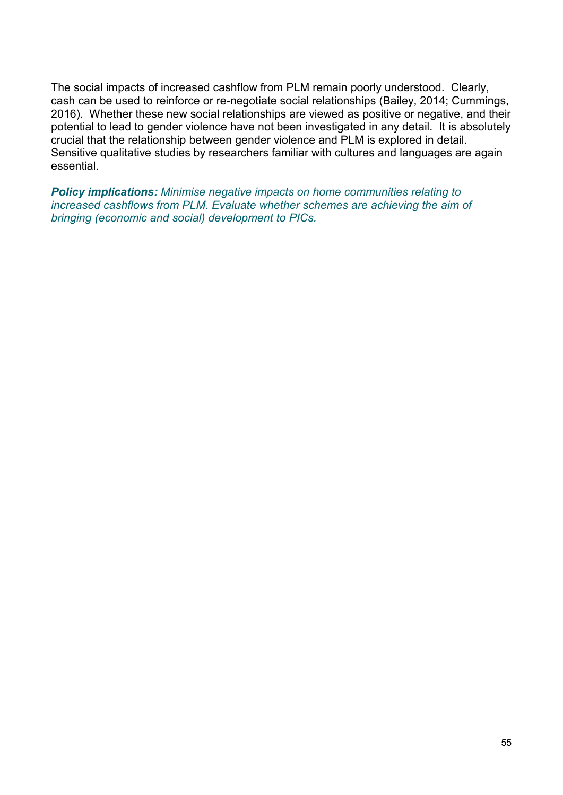The social impacts of increased cashflow from PLM remain poorly understood. Clearly, cash can be used to reinforce or re-negotiate social relationships (Bailey, 2014; Cummings, 2016). Whether these new social relationships are viewed as positive or negative, and their potential to lead to gender violence have not been investigated in any detail. It is absolutely crucial that the relationship between gender violence and PLM is explored in detail. Sensitive qualitative studies by researchers familiar with cultures and languages are again essential.

*Policy implications: Minimise negative impacts on home communities relating to increased cashflows from PLM. Evaluate whether schemes are achieving the aim of bringing (economic and social) development to PICs.*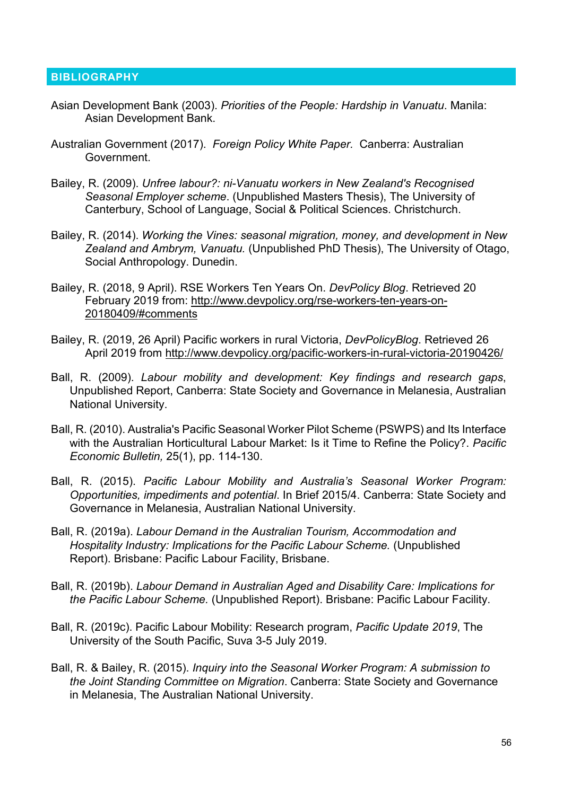#### **BIBLIOGRAPHY**

- Asian Development Bank (2003). *Priorities of the People: Hardship in Vanuatu*. Manila: Asian Development Bank.
- Australian Government (2017). *Foreign Policy White Paper.* Canberra: Australian Government.
- Bailey, R. (2009). *Unfree labour?: ni-Vanuatu workers in New Zealand's Recognised Seasonal Employer scheme*. (Unpublished Masters Thesis), The University of Canterbury, School of Language, Social & Political Sciences. Christchurch.
- Bailey, R. (2014). *Working the Vines: seasonal migration, money, and development in New Zealand and Ambrym, Vanuatu.* (Unpublished PhD Thesis), The University of Otago, Social Anthropology. Dunedin.
- Bailey, R. (2018, 9 April). RSE Workers Ten Years On. *DevPolicy Blog*. Retrieved 20 February 2019 from: [http://www.devpolicy.org/rse-workers-ten-years-on-](http://www.devpolicy.org/rse-workers-ten-years-on-20180409/#comments)[20180409/#comments](http://www.devpolicy.org/rse-workers-ten-years-on-20180409/#comments)
- Bailey, R. (2019, 26 April) Pacific workers in rural Victoria, *DevPolicyBlog*. Retrieved 26 April 2019 from<http://www.devpolicy.org/pacific-workers-in-rural-victoria-20190426/>
- Ball, R. (2009). *Labour mobility and development: Key findings and research gaps*, Unpublished Report, Canberra: State Society and Governance in Melanesia, Australian National University.
- Ball, R. (2010). Australia's Pacific Seasonal Worker Pilot Scheme (PSWPS) and Its Interface with the Australian Horticultural Labour Market: Is it Time to Refine the Policy?. *Pacific Economic Bulletin,* 25(1), pp. 114-130.
- Ball, R. (2015). *Pacific Labour Mobility and Australia's Seasonal Worker Program: Opportunities, impediments and potential*. In Brief 2015/4. Canberra: State Society and Governance in Melanesia, Australian National University.
- Ball, R. (2019a). *Labour Demand in the Australian Tourism, Accommodation and Hospitality Industry: Implications for the Pacific Labour Scheme.* (Unpublished Report). Brisbane: Pacific Labour Facility, Brisbane.
- Ball, R. (2019b). *Labour Demand in Australian Aged and Disability Care: Implications for the Pacific Labour Scheme.* (Unpublished Report). Brisbane: Pacific Labour Facility.
- Ball, R. (2019c). Pacific Labour Mobility: Research program, *Pacific Update 2019*, The University of the South Pacific, Suva 3-5 July 2019.
- Ball, R. & Bailey, R. (2015). *Inquiry into the Seasonal Worker Program: A submission to the Joint Standing Committee on Migration*. Canberra: State Society and Governance in Melanesia, The Australian National University.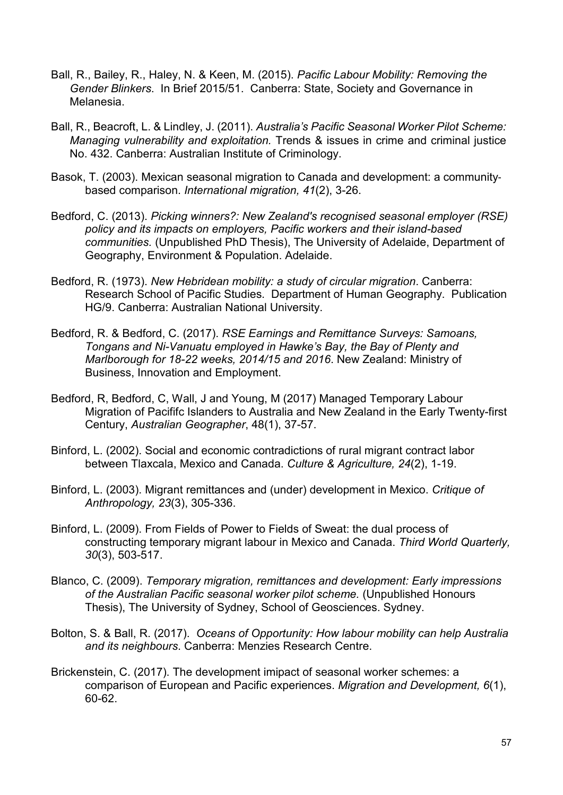- Ball, R., Bailey, R., Haley, N. & Keen, M. (2015). *Pacific Labour Mobility: Removing the Gender Blinkers*. In Brief 2015/51. Canberra: State, Society and Governance in Melanesia.
- Ball, R., Beacroft, L. & Lindley, J. (2011). *Australia's Pacific Seasonal Worker Pilot Scheme: Managing vulnerability and exploitation.* Trends & issues in crime and criminal justice No. 432. Canberra: Australian Institute of Criminology.
- Basok, T. (2003). Mexican seasonal migration to Canada and development: a community‐ based comparison. *International migration, 41*(2), 3-26.
- Bedford, C. (2013). *Picking winners?: New Zealand's recognised seasonal employer (RSE) policy and its impacts on employers, Pacific workers and their island-based communities.* (Unpublished PhD Thesis), The University of Adelaide, Department of Geography, Environment & Population. Adelaide.
- Bedford, R. (1973). *New Hebridean mobility: a study of circular migration*. Canberra: Research School of Pacific Studies. Department of Human Geography. Publication HG/9. Canberra: Australian National University.
- Bedford, R. & Bedford, C. (2017). *RSE Earnings and Remittance Surveys: Samoans, Tongans and Ni-Vanuatu employed in Hawke's Bay, the Bay of Plenty and Marlborough for 18-22 weeks, 2014/15 and 2016*. New Zealand: Ministry of Business, Innovation and Employment.
- Bedford, R, Bedford, C, Wall, J and Young, M (2017) Managed Temporary Labour Migration of Pacififc Islanders to Australia and New Zealand in the Early Twenty-first Century, *Australian Geographer*, 48(1), 37-57.
- Binford, L. (2002). Social and economic contradictions of rural migrant contract labor between Tlaxcala, Mexico and Canada. *Culture & Agriculture, 24*(2), 1-19.
- Binford, L. (2003). Migrant remittances and (under) development in Mexico. *Critique of Anthropology, 23*(3), 305-336.
- Binford, L. (2009). From Fields of Power to Fields of Sweat: the dual process of constructing temporary migrant labour in Mexico and Canada. *Third World Quarterly, 30*(3), 503-517.
- Blanco, C. (2009). *Temporary migration, remittances and development: Early impressions of the Australian Pacific seasonal worker pilot scheme.* (Unpublished Honours Thesis), The University of Sydney, School of Geosciences. Sydney.
- Bolton, S. & Ball, R. (2017). *Oceans of Opportunity: How labour mobility can help Australia and its neighbours*. Canberra: Menzies Research Centre.
- Brickenstein, C. (2017). The development imipact of seasonal worker schemes: a comparison of European and Pacific experiences. *Migration and Development, 6*(1), 60-62.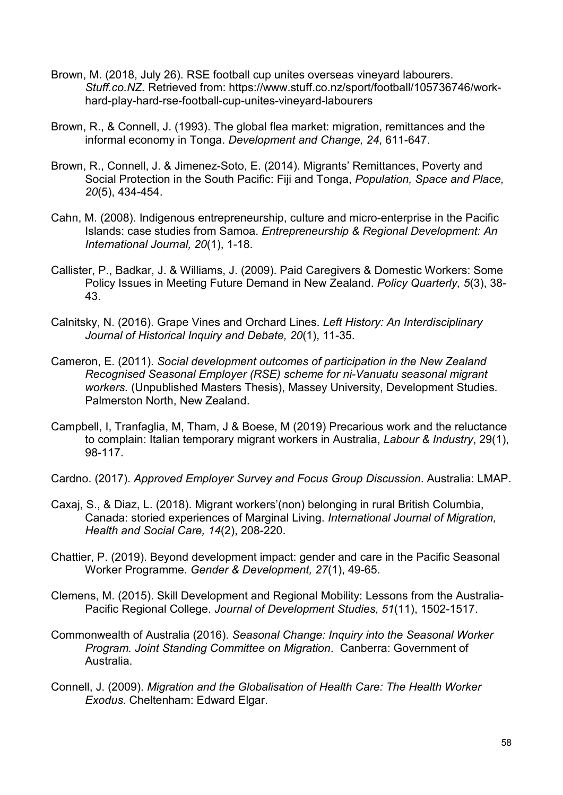- Brown, M. (2018, July 26). RSE football cup unites overseas vineyard labourers. *Stuff.co.NZ.* Retrieved from: https://www.stuff.co.nz/sport/football/105736746/workhard-play-hard-rse-football-cup-unites-vineyard-labourers
- Brown, R., & Connell, J. (1993). The global flea market: migration, remittances and the informal economy in Tonga. *Development and Change, 24*, 611-647.
- Brown, R., Connell, J. & Jimenez-Soto, E. (2014). Migrants' Remittances, Poverty and Social Protection in the South Pacific: Fiji and Tonga, *Population, Space and Place, 20*(5), 434-454.
- Cahn, M. (2008). Indigenous entrepreneurship, culture and micro-enterprise in the Pacific Islands: case studies from Samoa. *Entrepreneurship & Regional Development: An International Journal, 20*(1), 1-18.
- Callister, P., Badkar, J. & Williams, J. (2009). Paid Caregivers & Domestic Workers: Some Policy Issues in Meeting Future Demand in New Zealand. *Policy Quarterly, 5*(3), 38- 43.
- Calnitsky, N. (2016). Grape Vines and Orchard Lines. *Left History: An Interdisciplinary Journal of Historical Inquiry and Debate, 20*(1), 11-35.
- Cameron, E. (2011). *Social development outcomes of participation in the New Zealand Recognised Seasonal Employer (RSE) scheme for ni-Vanuatu seasonal migrant workers.* (Unpublished Masters Thesis), Massey University, Development Studies. Palmerston North, New Zealand.
- Campbell, I, Tranfaglia, M, Tham, J & Boese, M (2019) Precarious work and the reluctance to complain: Italian temporary migrant workers in Australia, *Labour & Industry*, 29(1), 98-117.
- Cardno. (2017). *Approved Employer Survey and Focus Group Discussion*. Australia: LMAP.
- Caxaj, S., & Diaz, L. (2018). Migrant workers'(non) belonging in rural British Columbia, Canada: storied experiences of Marginal Living. *International Journal of Migration, Health and Social Care, 14*(2), 208-220.
- Chattier, P. (2019). Beyond development impact: gender and care in the Pacific Seasonal Worker Programme. *Gender & Development, 27*(1), 49-65.
- Clemens, M. (2015). Skill Development and Regional Mobility: Lessons from the Australia-Pacific Regional College. *Journal of Development Studies*, *51*(11), 1502-1517.
- Commonwealth of Australia (2016). *Seasonal Change: Inquiry into the Seasonal Worker Program. Joint Standing Committee on Migration*. Canberra: Government of Australia.
- Connell, J. (2009). *Migration and the Globalisation of Health Care: The Health Worker Exodus*. Cheltenham: Edward Elgar.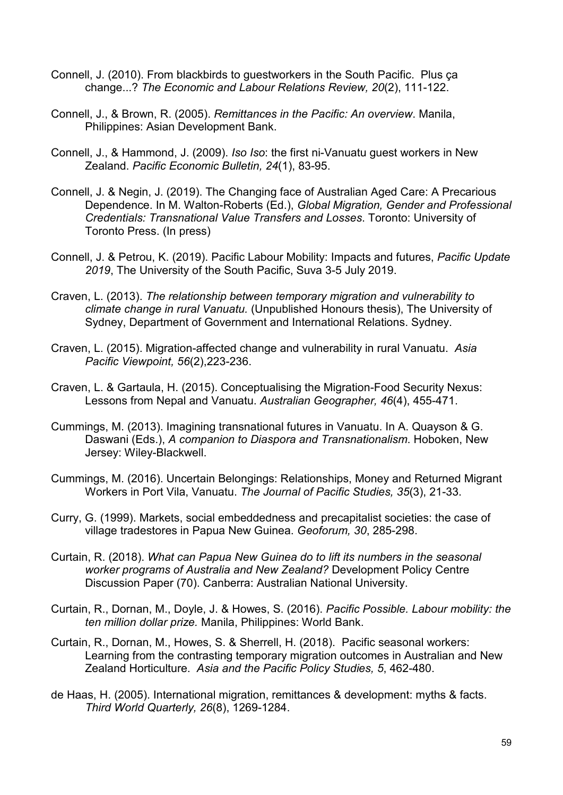- Connell, J. (2010). From blackbirds to guestworkers in the South Pacific. Plus ça change...? *The Economic and Labour Relations Review, 20*(2), 111-122.
- Connell, J., & Brown, R. (2005). *Remittances in the Pacific: An overview*. Manila, Philippines: Asian Development Bank.
- Connell, J., & Hammond, J. (2009). *Iso Iso*: the first ni-Vanuatu guest workers in New Zealand. *Pacific Economic Bulletin, 24*(1), 83-95.
- Connell, J. & Negin, J. (2019). The Changing face of Australian Aged Care: A Precarious Dependence. In M. Walton-Roberts (Ed.), *Global Migration, Gender and Professional Credentials: Transnational Value Transfers and Losses*. Toronto: University of Toronto Press. (In press)
- Connell, J. & Petrou, K. (2019). Pacific Labour Mobility: Impacts and futures, *Pacific Update 2019*, The University of the South Pacific, Suva 3-5 July 2019.
- Craven, L. (2013). *The relationship between temporary migration and vulnerability to climate change in rural Vanuatu.* (Unpublished Honours thesis), The University of Sydney, Department of Government and International Relations. Sydney.
- Craven, L. (2015). Migration-affected change and vulnerability in rural Vanuatu. *Asia Pacific Viewpoint, 56*(2),223-236.
- Craven, L. & Gartaula, H. (2015). Conceptualising the Migration-Food Security Nexus: Lessons from Nepal and Vanuatu. *Australian Geographer, 46*(4), 455-471.
- Cummings, M. (2013). Imagining transnational futures in Vanuatu. In A. Quayson & G. Daswani (Eds.), *A companion to Diaspora and Transnationalism*. Hoboken, New Jersey: Wiley-Blackwell.
- Cummings, M. (2016). Uncertain Belongings: Relationships, Money and Returned Migrant Workers in Port Vila, Vanuatu. *The Journal of Pacific Studies, 35*(3), 21-33.
- Curry, G. (1999). Markets, social embeddedness and precapitalist societies: the case of village tradestores in Papua New Guinea. *Geoforum, 30*, 285-298.
- Curtain, R. (2018). *What can Papua New Guinea do to lift its numbers in the seasonal worker programs of Australia and New Zealand?* Development Policy Centre Discussion Paper (70). Canberra: Australian National University.
- Curtain, R., Dornan, M., Doyle, J. & Howes, S. (2016). *Pacific Possible. Labour mobility: the ten million dollar prize.* Manila, Philippines: World Bank.
- Curtain, R., Dornan, M., Howes, S. & Sherrell, H. (2018). Pacific seasonal workers: Learning from the contrasting temporary migration outcomes in Australian and New Zealand Horticulture. *Asia and the Pacific Policy Studies, 5*, 462-480.
- de Haas, H. (2005). International migration, remittances & development: myths & facts. *Third World Quarterly, 26*(8), 1269-1284.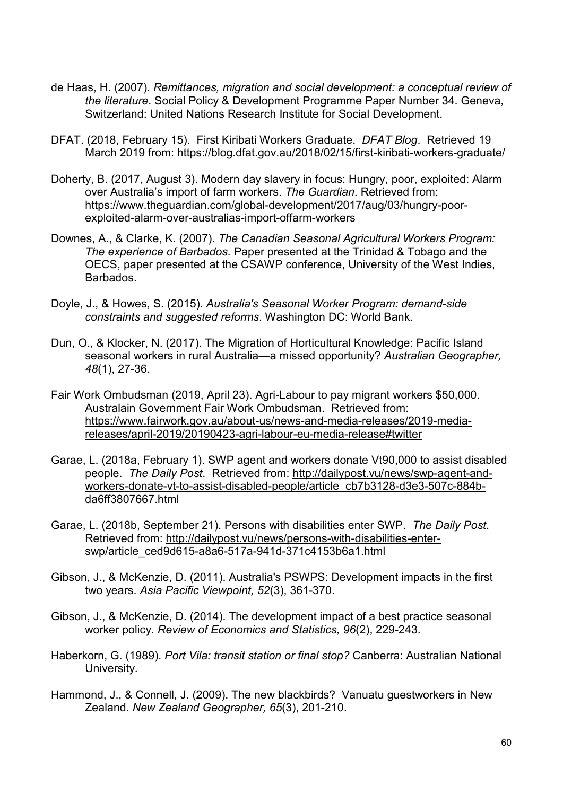- de Haas, H. (2007). *Remittances, migration and social development: a conceptual review of the literature*. Social Policy & Development Programme Paper Number 34. Geneva, Switzerland: United Nations Research Institute for Social Development.
- DFAT. (2018, February 15). First Kiribati Workers Graduate. *DFAT Blog*. Retrieved 19 March 2019 from: https://blog.dfat.gov.au/2018/02/15/first-kiribati-workers-graduate/
- Doherty, B. (2017, August 3). Modern day slavery in focus: Hungry, poor, exploited: Alarm over Australia's import of farm workers. *The Guardian*. Retrieved from: https://www.theguardian.com/global-development/2017/aug/03/hungry-poorexploited-alarm-over-australias-import-offarm-workers
- Downes, A., & Clarke, K. (2007). *The Canadian Seasonal Agricultural Workers Program: The experience of Barbados.* Paper presented at the Trinidad & Tobago and the OECS, paper presented at the CSAWP conference, University of the West Indies, Barbados.
- Doyle, J., & Howes, S. (2015). *Australia's Seasonal Worker Program: demand-side constraints and suggested reforms*. Washington DC: World Bank.
- Dun, O., & Klocker, N. (2017). The Migration of Horticultural Knowledge: Pacific Island seasonal workers in rural Australia—a missed opportunity? *Australian Geographer, 48*(1), 27-36.
- Fair Work Ombudsman (2019, April 23). Agri-Labour to pay migrant workers \$50,000. Australain Government Fair Work Ombudsman. Retrieved from: [https://www.fairwork.gov.au/about-us/news-and-media-releases/2019-media](https://www.fairwork.gov.au/about-us/news-and-media-releases/2019-media-releases/april-2019/20190423-agri-labour-eu-media-release#twitter)[releases/april-2019/20190423-agri-labour-eu-media-release#twitter](https://www.fairwork.gov.au/about-us/news-and-media-releases/2019-media-releases/april-2019/20190423-agri-labour-eu-media-release#twitter)
- Garae, L. (2018a, February 1). SWP agent and workers donate Vt90,000 to assist disabled people. *The Daily Post*. Retrieved from: [http://dailypost.vu/news/swp-agent-and](http://dailypost.vu/news/swp-agent-and-workers-donate-vt-to-assist-disabled-people/article_cb7b3128-d3e3-507c-884b-da6ff3807667.html)[workers-donate-vt-to-assist-disabled-people/article\\_cb7b3128-d3e3-507c-884b](http://dailypost.vu/news/swp-agent-and-workers-donate-vt-to-assist-disabled-people/article_cb7b3128-d3e3-507c-884b-da6ff3807667.html)[da6ff3807667.html](http://dailypost.vu/news/swp-agent-and-workers-donate-vt-to-assist-disabled-people/article_cb7b3128-d3e3-507c-884b-da6ff3807667.html)
- Garae, L. (2018b, September 21). Persons with disabilities enter SWP. *The Daily Post*. Retrieved from: [http://dailypost.vu/news/persons-with-disabilities-enter](http://dailypost.vu/news/persons-with-disabilities-enter-swp/article_ced9d615-a8a6-517a-941d-371c4153b6a1.html)[swp/article\\_ced9d615-a8a6-517a-941d-371c4153b6a1.html](http://dailypost.vu/news/persons-with-disabilities-enter-swp/article_ced9d615-a8a6-517a-941d-371c4153b6a1.html)
- Gibson, J., & McKenzie, D. (2011). Australia's PSWPS: Development impacts in the first two years. *Asia Pacific Viewpoint, 52*(3), 361-370.
- Gibson, J., & McKenzie, D. (2014). The development impact of a best practice seasonal worker policy. *Review of Economics and Statistics, 96*(2), 229-243.
- Haberkorn, G. (1989). *Port Vila: transit station or final stop?* Canberra: Australian National University.
- Hammond, J., & Connell, J. (2009). The new blackbirds? Vanuatu guestworkers in New Zealand. *New Zealand Geographer, 65*(3), 201-210.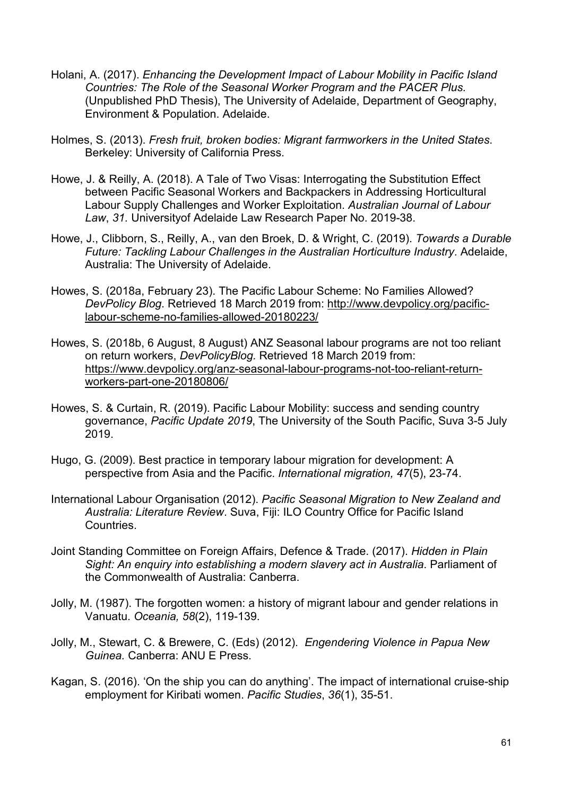- Holani, A. (2017). *Enhancing the Development Impact of Labour Mobility in Pacific Island Countries: The Role of the Seasonal Worker Program and the PACER Plus.* (Unpublished PhD Thesis), The University of Adelaide, Department of Geography, Environment & Population. Adelaide.
- Holmes, S. (2013). *Fresh fruit, broken bodies: Migrant farmworkers in the United States*. Berkeley: University of California Press.
- Howe, J. & Reilly, A. (2018). A Tale of Two Visas: Interrogating the Substitution Effect between Pacific Seasonal Workers and Backpackers in Addressing Horticultural Labour Supply Challenges and Worker Exploitation. *Australian Journal of Labour Law*, *31.* Universityof Adelaide Law Research Paper No. 2019-38.
- Howe, J., Clibborn, S., Reilly, A., van den Broek, D. & Wright, C. (2019). *Towards a Durable Future: Tackling Labour Challenges in the Australian Horticulture Industry*. Adelaide, Australia: The University of Adelaide.
- Howes, S. (2018a, February 23). The Pacific Labour Scheme: No Families Allowed? *DevPolicy Blog*. Retrieved 18 March 2019 from: [http://www.devpolicy.org/pacific](http://www.devpolicy.org/pacific-labour-scheme-no-families-allowed-20180223/)[labour-scheme-no-families-allowed-20180223/](http://www.devpolicy.org/pacific-labour-scheme-no-families-allowed-20180223/)
- Howes, S. (2018b, 6 August, 8 August) ANZ Seasonal labour programs are not too reliant on return workers, *DevPolicyBlog.* Retrieved 18 March 2019 from: [https://www.devpolicy.org/anz-seasonal-labour-programs-not-too-reliant-return](https://www.devpolicy.org/anz-seasonal-labour-programs-not-too-reliant-return-workers-part-one-20180806/)[workers-part-one-20180806/](https://www.devpolicy.org/anz-seasonal-labour-programs-not-too-reliant-return-workers-part-one-20180806/)
- Howes, S. & Curtain, R. (2019). Pacific Labour Mobility: success and sending country governance, *Pacific Update 2019*, The University of the South Pacific, Suva 3-5 July 2019.
- Hugo, G. (2009). Best practice in temporary labour migration for development: A perspective from Asia and the Pacific. *International migration, 47*(5), 23-74.
- International Labour Organisation (2012). *Pacific Seasonal Migration to New Zealand and Australia: Literature Review*. Suva, Fiji: ILO Country Office for Pacific Island **Countries**
- Joint Standing Committee on Foreign Affairs, Defence & Trade. (2017). *Hidden in Plain Sight: An enquiry into establishing a modern slavery act in Australia*. Parliament of the Commonwealth of Australia: Canberra.
- Jolly, M. (1987). The forgotten women: a history of migrant labour and gender relations in Vanuatu. *Oceania, 58*(2), 119-139.
- Jolly, M., Stewart, C. & Brewere, C. (Eds) (2012). *Engendering Violence in Papua New Guinea.* Canberra: ANU E Press.
- Kagan, S. (2016). 'On the ship you can do anything'. The impact of international cruise-ship employment for Kiribati women. *Pacific Studies*, *36*(1), 35-51.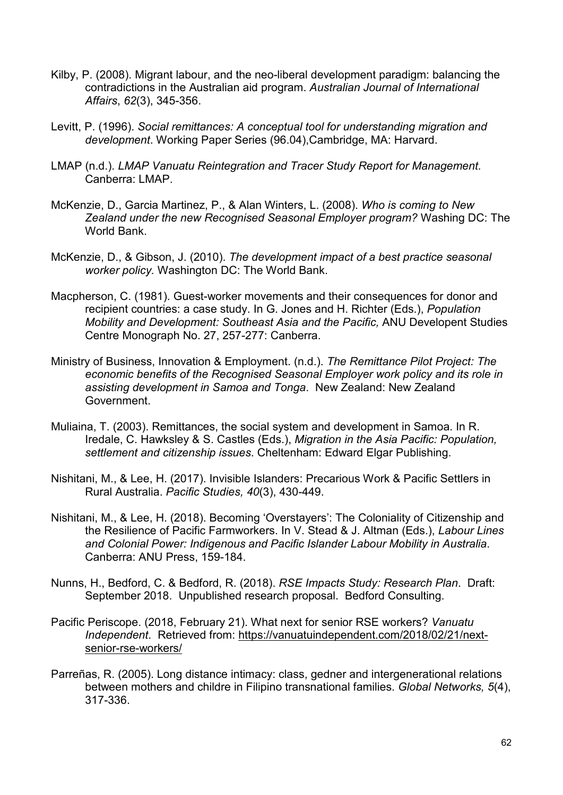- Kilby, P. (2008). Migrant labour, and the neo-liberal development paradigm: balancing the contradictions in the Australian aid program. *Australian Journal of International Affairs*, *62*(3), 345-356.
- Levitt, P. (1996). *Social remittances: A conceptual tool for understanding migration and development*. Working Paper Series (96.04),Cambridge, MA: Harvard.
- LMAP (n.d.). *LMAP Vanuatu Reintegration and Tracer Study Report for Management.* Canberra: LMAP.
- McKenzie, D., Garcia Martinez, P., & Alan Winters, L. (2008). *Who is coming to New Zealand under the new Recognised Seasonal Employer program?* Washing DC: The World Bank.
- McKenzie, D., & Gibson, J. (2010). *The development impact of a best practice seasonal worker policy.* Washington DC: The World Bank.
- Macpherson, C. (1981). Guest-worker movements and their consequences for donor and recipient countries: a case study. In G. Jones and H. Richter (Eds.), *Population Mobility and Development: Southeast Asia and the Pacific,* ANU Developent Studies Centre Monograph No. 27, 257-277: Canberra.
- Ministry of Business, Innovation & Employment. (n.d.). *The Remittance Pilot Project: The economic benefits of the Recognised Seasonal Employer work policy and its role in assisting development in Samoa and Tonga*. New Zealand: New Zealand Government.
- Muliaina, T. (2003). Remittances, the social system and development in Samoa. In R. Iredale, C. Hawksley & S. Castles (Eds.), *Migration in the Asia Pacific: Population, settlement and citizenship issues*. Cheltenham: Edward Elgar Publishing.
- Nishitani, M., & Lee, H. (2017). Invisible Islanders: Precarious Work & Pacific Settlers in Rural Australia. *Pacific Studies, 40*(3), 430-449.
- Nishitani, M., & Lee, H. (2018). Becoming 'Overstayers': The Coloniality of Citizenship and the Resilience of Pacific Farmworkers. In V. Stead & J. Altman (Eds.), *Labour Lines and Colonial Power: Indigenous and Pacific Islander Labour Mobility in Australia*. Canberra: ANU Press, 159-184.
- Nunns, H., Bedford, C. & Bedford, R. (2018). *RSE Impacts Study: Research Plan*. Draft: September 2018. Unpublished research proposal. Bedford Consulting.
- Pacific Periscope. (2018, February 21). What next for senior RSE workers? *Vanuatu Independent*. Retrieved from: [https://vanuatuindependent.com/2018/02/21/next](https://vanuatuindependent.com/2018/02/21/next-senior-rse-workers/)[senior-rse-workers/](https://vanuatuindependent.com/2018/02/21/next-senior-rse-workers/)
- Parreñas, R. (2005). Long distance intimacy: class, gedner and intergenerational relations between mothers and childre in Filipino transnational families. *Global Networks, 5*(4), 317-336.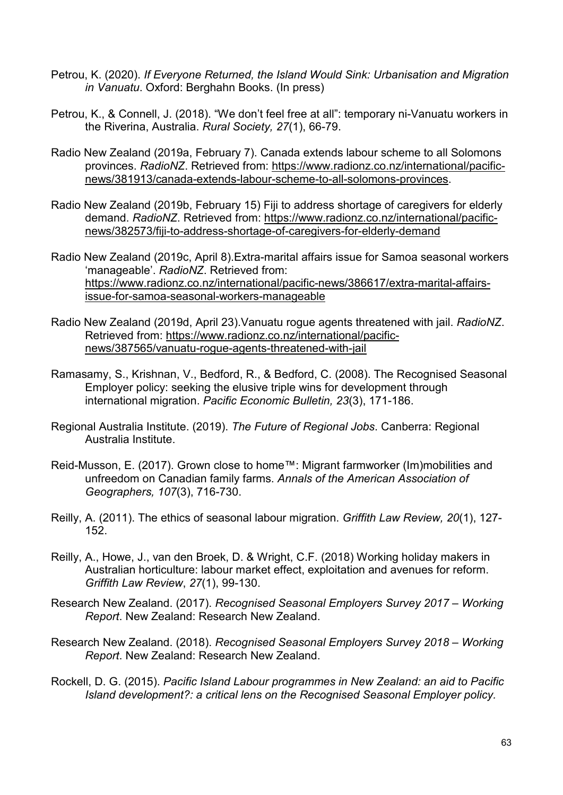- Petrou, K. (2020). *If Everyone Returned, the Island Would Sink: Urbanisation and Migration in Vanuatu*. Oxford: Berghahn Books. (In press)
- Petrou, K., & Connell, J. (2018). "We don't feel free at all": temporary ni-Vanuatu workers in the Riverina, Australia. *Rural Society, 27*(1), 66-79.
- Radio New Zealand (2019a, February 7). Canada extends labour scheme to all Solomons provinces. *RadioNZ*. Retrieved from: [https://www.radionz.co.nz/international/pacific](https://www.radionz.co.nz/international/pacific-news/381913/canada-extends-labour-scheme-to-all-solomons-provinces)[news/381913/canada-extends-labour-scheme-to-all-solomons-provinces.](https://www.radionz.co.nz/international/pacific-news/381913/canada-extends-labour-scheme-to-all-solomons-provinces)
- Radio New Zealand (2019b, February 15) Fiji to address shortage of caregivers for elderly demand. *RadioNZ*. Retrieved from: [https://www.radionz.co.nz/international/pacific](https://www.radionz.co.nz/international/pacific-news/382573/fiji-to-address-shortage-of-caregivers-for-elderly-demand)[news/382573/fiji-to-address-shortage-of-caregivers-for-elderly-demand](https://www.radionz.co.nz/international/pacific-news/382573/fiji-to-address-shortage-of-caregivers-for-elderly-demand)
- Radio New Zealand (2019c, April 8).Extra-marital affairs issue for Samoa seasonal workers 'manageable'. *RadioNZ*. Retrieved from: [https://www.radionz.co.nz/international/pacific-news/386617/extra-marital-affairs](https://www.radionz.co.nz/international/pacific-news/386617/extra-marital-affairs-issue-for-samoa-seasonal-workers-manageable)[issue-for-samoa-seasonal-workers-manageable](https://www.radionz.co.nz/international/pacific-news/386617/extra-marital-affairs-issue-for-samoa-seasonal-workers-manageable)
- Radio New Zealand (2019d, April 23).Vanuatu rogue agents threatened with jail. *RadioNZ*. Retrieved from: [https://www.radionz.co.nz/international/pacific](https://www.radionz.co.nz/international/pacific-news/387565/vanuatu-rogue-agents-threatened-with-jail)[news/387565/vanuatu-rogue-agents-threatened-with-jail](https://www.radionz.co.nz/international/pacific-news/387565/vanuatu-rogue-agents-threatened-with-jail)
- Ramasamy, S., Krishnan, V., Bedford, R., & Bedford, C. (2008). The Recognised Seasonal Employer policy: seeking the elusive triple wins for development through international migration. *Pacific Economic Bulletin, 23*(3), 171-186.
- Regional Australia Institute. (2019). *The Future of Regional Jobs*. Canberra: Regional Australia Institute.
- Reid-Musson, E. (2017). Grown close to home™: Migrant farmworker (Im)mobilities and unfreedom on Canadian family farms. *Annals of the American Association of Geographers, 107*(3), 716-730.
- Reilly, A. (2011). The ethics of seasonal labour migration. *Griffith Law Review, 20*(1), 127- 152.
- Reilly, A., Howe, J., van den Broek, D. & Wright, C.F. (2018) Working holiday makers in Australian horticulture: labour market effect, exploitation and avenues for reform. *Griffith Law Review*, *27*(1), 99-130.
- Research New Zealand. (2017). *Recognised Seasonal Employers Survey 2017 – Working Report*. New Zealand: Research New Zealand.
- Research New Zealand. (2018). *Recognised Seasonal Employers Survey 2018 – Working Report*. New Zealand: Research New Zealand.
- Rockell, D. G. (2015). *Pacific Island Labour programmes in New Zealand: an aid to Pacific Island development?: a critical lens on the Recognised Seasonal Employer policy.*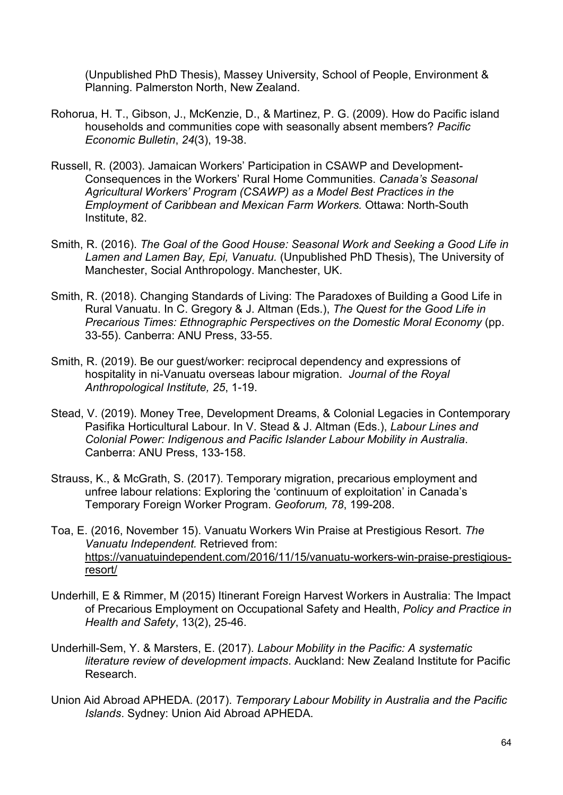(Unpublished PhD Thesis), Massey University, School of People, Environment & Planning. Palmerston North, New Zealand.

- Rohorua, H. T., Gibson, J., McKenzie, D., & Martinez, P. G. (2009). How do Pacific island households and communities cope with seasonally absent members? *Pacific Economic Bulletin*, *24*(3), 19-38.
- Russell, R. (2003). Jamaican Workers' Participation in CSAWP and Development-Consequences in the Workers' Rural Home Communities. *Canada's Seasonal Agricultural Workers' Program (CSAWP) as a Model Best Practices in the Employment of Caribbean and Mexican Farm Workers.* Ottawa: North-South Institute, 82.
- Smith, R. (2016). *The Goal of the Good House: Seasonal Work and Seeking a Good Life in Lamen and Lamen Bay, Epi, Vanuatu.* (Unpublished PhD Thesis), The University of Manchester, Social Anthropology. Manchester, UK.
- Smith, R. (2018). Changing Standards of Living: The Paradoxes of Building a Good Life in Rural Vanuatu. In C. Gregory & J. Altman (Eds.), *The Quest for the Good Life in Precarious Times: Ethnographic Perspectives on the Domestic Moral Economy* (pp. 33-55). Canberra: ANU Press, 33-55.
- Smith, R. (2019). Be our guest/worker: reciprocal dependency and expressions of hospitality in ni-Vanuatu overseas labour migration. *Journal of the Royal Anthropological Institute, 25*, 1-19.
- Stead, V. (2019). Money Tree, Development Dreams, & Colonial Legacies in Contemporary Pasifika Horticultural Labour. In V. Stead & J. Altman (Eds.), *Labour Lines and Colonial Power: Indigenous and Pacific Islander Labour Mobility in Australia*. Canberra: ANU Press, 133-158.
- Strauss, K., & McGrath, S. (2017). Temporary migration, precarious employment and unfree labour relations: Exploring the 'continuum of exploitation' in Canada's Temporary Foreign Worker Program. *Geoforum, 78*, 199-208.
- Toa, E. (2016, November 15). Vanuatu Workers Win Praise at Prestigious Resort. *The Vanuatu Independent.* Retrieved from: [https://vanuatuindependent.com/2016/11/15/vanuatu-workers-win-praise-prestigious](https://vanuatuindependent.com/2016/11/15/vanuatu-workers-win-praise-prestigious-resort/)[resort/](https://vanuatuindependent.com/2016/11/15/vanuatu-workers-win-praise-prestigious-resort/)
- Underhill, E & Rimmer, M (2015) Itinerant Foreign Harvest Workers in Australia: The Impact of Precarious Employment on Occupational Safety and Health, *Policy and Practice in Health and Safety*, 13(2), 25-46.
- Underhill-Sem, Y. & Marsters, E. (2017). *Labour Mobility in the Pacific: A systematic literature review of development impacts*. Auckland: New Zealand Institute for Pacific Research.
- Union Aid Abroad APHEDA. (2017). *Temporary Labour Mobility in Australia and the Pacific Islands*. Sydney: Union Aid Abroad APHEDA.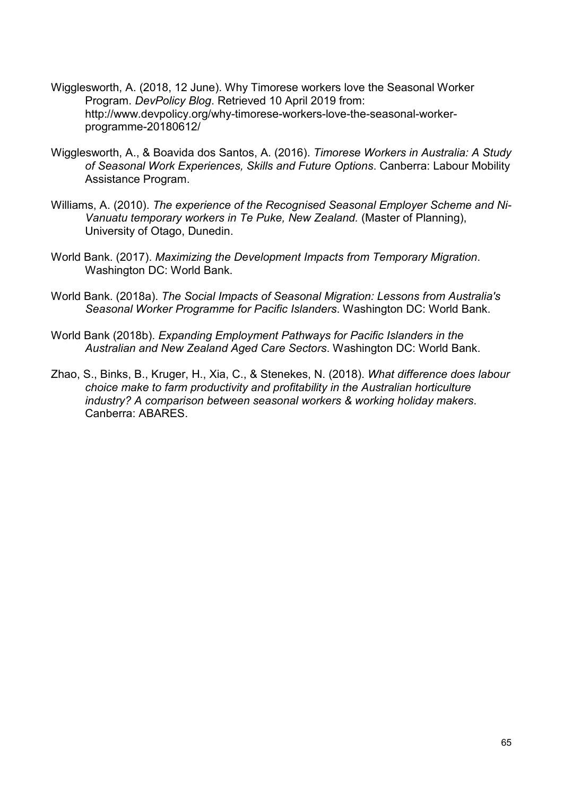- Wigglesworth, A. (2018, 12 June). Why Timorese workers love the Seasonal Worker Program. *DevPolicy Blog*. Retrieved 10 April 2019 from: http://www.devpolicy.org/why-timorese-workers-love-the-seasonal-workerprogramme-20180612/
- Wigglesworth, A., & Boavida dos Santos, A. (2016). *Timorese Workers in Australia: A Study of Seasonal Work Experiences, Skills and Future Options*. Canberra: Labour Mobility Assistance Program.
- Williams, A. (2010). *The experience of the Recognised Seasonal Employer Scheme and Ni-Vanuatu temporary workers in Te Puke, New Zealand.* (Master of Planning), University of Otago, Dunedin.
- World Bank. (2017). *Maximizing the Development Impacts from Temporary Migration*. Washington DC: World Bank.
- World Bank. (2018a). *The Social Impacts of Seasonal Migration: Lessons from Australia's Seasonal Worker Programme for Pacific Islanders*. Washington DC: World Bank.
- World Bank (2018b). *Expanding Employment Pathways for Pacific Islanders in the Australian and New Zealand Aged Care Sectors*. Washington DC: World Bank.
- Zhao, S., Binks, B., Kruger, H., Xia, C., & Stenekes, N. (2018). *What difference does labour choice make to farm productivity and profitability in the Australian horticulture industry? A comparison between seasonal workers & working holiday makers*. Canberra: ABARES.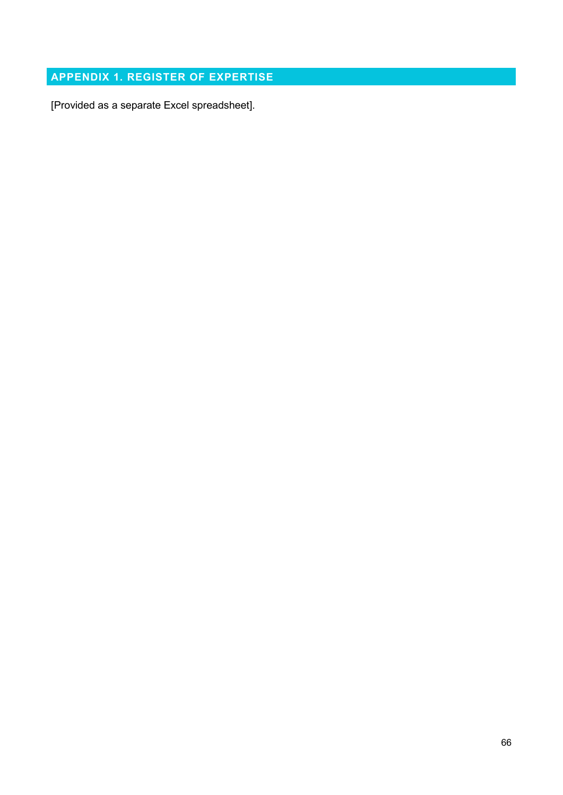# **APPENDIX 1. REGISTER OF EXPERTISE**

[Provided as a separate Excel spreadsheet].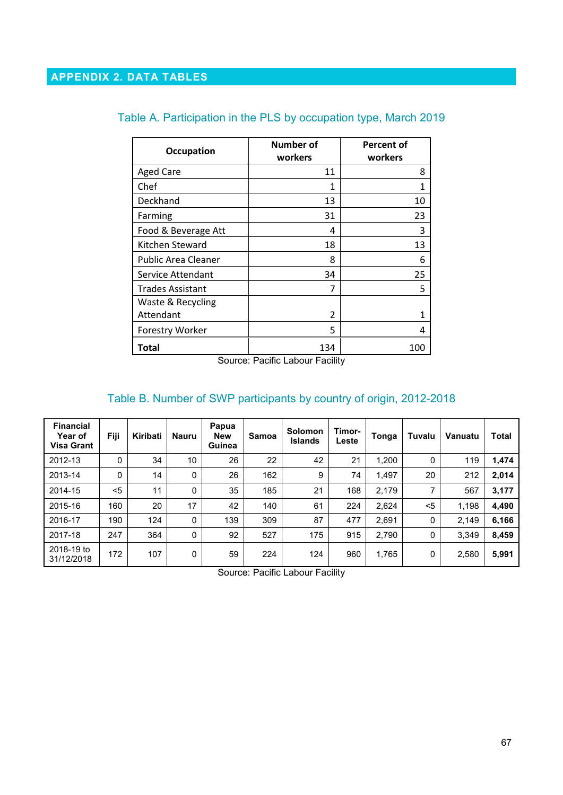| <b>Occupation</b>          | Number of<br>workers | <b>Percent of</b><br>workers |
|----------------------------|----------------------|------------------------------|
| <b>Aged Care</b>           | 11                   | 8                            |
| Chef                       | 1                    | 1                            |
| Deckhand                   | 13                   | 10                           |
| Farming                    | 31                   | 23                           |
| Food & Beverage Att        | 4                    | 3                            |
| Kitchen Steward            | 18                   | 13                           |
| <b>Public Area Cleaner</b> | 8                    | 6                            |
| Service Attendant          | 34                   | 25                           |
| <b>Trades Assistant</b>    | 7                    | 5                            |
| Waste & Recycling          |                      |                              |
| Attendant                  | $\mathfrak{p}$       |                              |
| <b>Forestry Worker</b>     | 5                    | Δ                            |
| Total                      | 134                  | 100                          |

# Table A. Participation in the PLS by occupation type, March 2019

Source: Pacific Labour Facility

# Table B. Number of SWP participants by country of origin, 2012-2018

| <b>Financial</b><br><b>Year of</b><br><b>Visa Grant</b> | Fiji | Kiribati | <b>Nauru</b> | Papua<br><b>New</b><br>Guinea | Samoa | <b>Solomon</b><br><b>Islands</b> | Timor-<br>Leste | Tonga | Tuvalu       | Vanuatu | Total |
|---------------------------------------------------------|------|----------|--------------|-------------------------------|-------|----------------------------------|-----------------|-------|--------------|---------|-------|
| 2012-13                                                 | 0    | 34       | 10           | 26                            | 22    | 42                               | 21              | 1,200 | 0            | 119     | 1,474 |
| 2013-14                                                 | 0    | 14       | 0            | 26                            | 162   | 9                                | 74              | 1,497 | 20           | 212     | 2,014 |
| 2014-15                                                 | $5$  | 11       | $\Omega$     | 35                            | 185   | 21                               | 168             | 2,179 | 7            | 567     | 3,177 |
| 2015-16                                                 | 160  | 20       | 17           | 42                            | 140   | 61                               | 224             | 2,624 | $<$ 5        | 1,198   | 4,490 |
| 2016-17                                                 | 190  | 124      | 0            | 139                           | 309   | 87                               | 477             | 2,691 | 0            | 2,149   | 6,166 |
| 2017-18                                                 | 247  | 364      | $\mathbf{0}$ | 92                            | 527   | 175                              | 915             | 2,790 | $\mathbf{0}$ | 3.349   | 8,459 |
| 2018-19 to<br>31/12/2018                                | 172  | 107      | 0            | 59                            | 224   | 124                              | 960             | 1,765 | 0            | 2,580   | 5,991 |

Source: Pacific Labour Facility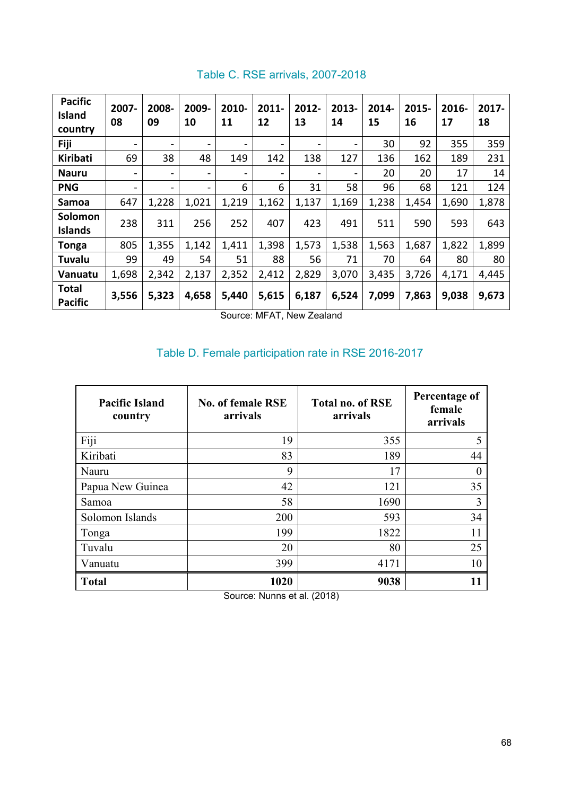| <b>Pacific</b><br>Island<br>country | 2007-<br>08              | 2008-<br>09              | 2009-<br>10              | 2010-<br>11                  | $2011 -$<br>12           | 2012-<br>13                  | 2013-<br>14              | 2014-<br>15 | 2015-<br>16 | 2016-<br>17 | 2017-<br>18 |
|-------------------------------------|--------------------------|--------------------------|--------------------------|------------------------------|--------------------------|------------------------------|--------------------------|-------------|-------------|-------------|-------------|
| <b>Fiji</b>                         | $\overline{\phantom{0}}$ | $\overline{\phantom{0}}$ | $\overline{\phantom{0}}$ | $\qquad \qquad \blacksquare$ | $\overline{\phantom{0}}$ | $\qquad \qquad \blacksquare$ | $\overline{\phantom{a}}$ | 30          | 92          | 355         | 359         |
| Kiribati                            | 69                       | 38                       | 48                       | 149                          | 142                      | 138                          | 127                      | 136         | 162         | 189         | 231         |
| <b>Nauru</b>                        | $\overline{\phantom{0}}$ | ۰                        | $\overline{\phantom{0}}$ | $\overline{\phantom{0}}$     | -                        | $\overline{\phantom{a}}$     | $\overline{\phantom{0}}$ | 20          | 20          | 17          | 14          |
| <b>PNG</b>                          | $\overline{\phantom{0}}$ | $\overline{\phantom{0}}$ | $\overline{\phantom{0}}$ | 6                            | 6                        | 31                           | 58                       | 96          | 68          | 121         | 124         |
| Samoa                               | 647                      | 1,228                    | 1,021                    | 1,219                        | 1,162                    | 1,137                        | 1,169                    | 1,238       | 1,454       | 1,690       | 1,878       |
| Solomon<br>Islands                  | 238                      | 311                      | 256                      | 252                          | 407                      | 423                          | 491                      | 511         | 590         | 593         | 643         |
| <b>Tonga</b>                        | 805                      | 1,355                    | 1,142                    | 1,411                        | 1,398                    | 1,573                        | 1,538                    | 1,563       | 1,687       | 1,822       | 1,899       |
| Tuvalu                              | 99                       | 49                       | 54                       | 51                           | 88                       | 56                           | 71                       | 70          | 64          | 80          | 80          |
| Vanuatu                             | 1,698                    | 2,342                    | 2,137                    | 2,352                        | 2,412                    | 2,829                        | 3,070                    | 3,435       | 3,726       | 4,171       | 4,445       |
| <b>Total</b><br><b>Pacific</b>      | 3,556                    | 5,323                    | 4,658                    | 5,440                        | 5,615                    | 6,187                        | 6,524                    | 7,099       | 7,863       | 9,038       | 9,673       |

# Table C. RSE arrivals, 2007-2018

Source: MFAT, New Zealand

# Table D. Female participation rate in RSE 2016-2017

| <b>Pacific Island</b><br>country | <b>No. of female RSE</b><br>arrivals | <b>Total no. of RSE</b><br>arrivals | Percentage of<br>female<br>arrivals |
|----------------------------------|--------------------------------------|-------------------------------------|-------------------------------------|
| Fiji                             | 19                                   | 355                                 | 5                                   |
| Kiribati                         | 83                                   | 189                                 | 44                                  |
| Nauru                            | 9                                    | 17                                  |                                     |
| Papua New Guinea                 | 42                                   | 121                                 | 35                                  |
| Samoa                            | 58                                   | 1690                                | 3                                   |
| Solomon Islands                  | 200                                  | 593                                 | 34                                  |
| Tonga                            | 199                                  | 1822                                | 11                                  |
| Tuvalu                           | 20                                   | 80                                  | 25                                  |
| Vanuatu                          | 399                                  | 4171                                | 10                                  |
| <b>Total</b>                     | 1020                                 | 9038                                | 11                                  |

Source: Nunns et al. (2018)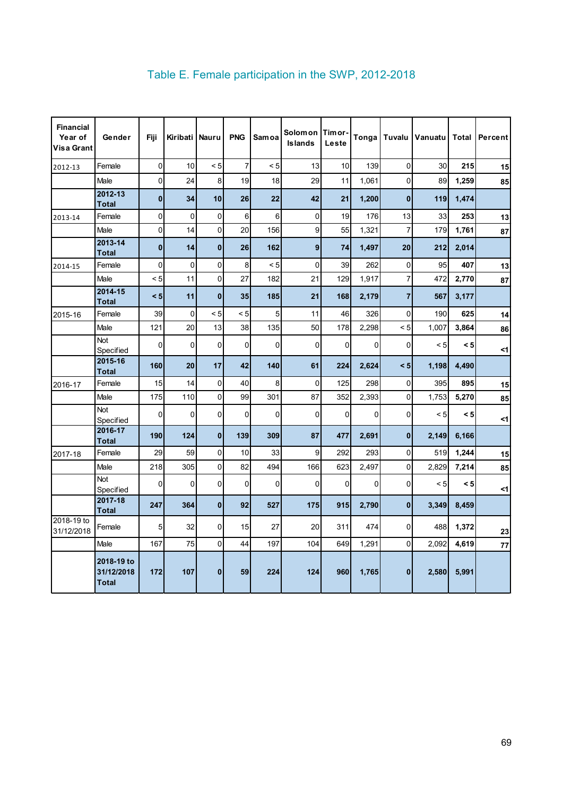| <b>Financial</b><br>Year of<br>Visa Grant | Gender                                   | Fiji         | Kiribati   Nauru |              | <b>PNG</b>     | <b>Samoa</b>   | <b>Solomon</b><br><b>Islands</b> | <b>ITimor-</b><br>Leste | Tonga |                | Tuvalu   Vanuatu   Total |       | Percent    |
|-------------------------------------------|------------------------------------------|--------------|------------------|--------------|----------------|----------------|----------------------------------|-------------------------|-------|----------------|--------------------------|-------|------------|
| 2012-13                                   | Female                                   | $\mathbf 0$  | 10               | < 5          | $\overline{7}$ | < 5            | 13                               | 10                      | 139   | $\mathbf 0$    | 30                       | 215   | 15         |
|                                           | Male                                     | $\mathbf 0$  | 24               | 8            | 19             | 18             | 29                               | 11                      | 1,061 | $\mathbf 0$    | 89                       | 1,259 | 85         |
|                                           | 2012-13<br><b>Total</b>                  | $\mathbf{0}$ | 34               | 10           | 26             | 22             | 42                               | 21                      | 1,200 | $\mathbf{0}$   | 119                      | 1,474 |            |
| 2013-14                                   | Female                                   | 0            | 0                | $\mathbf 0$  | 6              | 6 <sup>1</sup> | $\overline{0}$                   | 19                      | 176   | 13             | 33                       | 253   | 13         |
|                                           | Male                                     | $\pmb{0}$    | 14               | $\mathbf 0$  | 20             | 156            | 9                                | 55                      | 1,321 | $\overline{7}$ | 179                      | 1,761 | 87         |
|                                           | 2013-14<br><b>Total</b>                  | $\mathbf{0}$ | 14               | $\mathbf{0}$ | 26             | 162            | 9                                | 74                      | 1,497 | 20             | 212                      | 2,014 |            |
| 2014-15                                   | Female                                   | $\mathbf 0$  | 0                | 0            | 8              | < 5            | $\mathbf 0$                      | 39                      | 262   | $\mathbf 0$    | 95                       | 407   | 13         |
|                                           | Male                                     | < 5          | 11               | $\Omega$     | 27             | 182            | 21                               | 129                     | 1.917 | $\overline{7}$ | 472                      | 2,770 | 87         |
|                                           | 2014-15<br><b>Total</b>                  | < 5          | 11               | $\mathbf{0}$ | 35             | 185            | 21                               | 168                     | 2,179 | $\overline{7}$ | 567                      | 3,177 |            |
| 2015-16                                   | Female                                   | 39           | $\mathbf 0$      | < 5          | < 5            | 5              | 11                               | 46                      | 326   | 0              | 190                      | 625   | 14         |
|                                           | Male                                     | 121          | 20               | 13           | 38             | 135            | 50                               | 178                     | 2,298 | $\leq 5$       | 1,007                    | 3,864 | 86         |
|                                           | <b>Not</b><br>Specified                  | $\mathbf 0$  | 0                | 0            | $\Omega$       | $\mathbf 0$    | $\mathbf{0}$                     | $\mathbf 0$             | 0     | 0              | < 5                      | < 5   | $\leq$ 1   |
|                                           | 2015-16<br><b>Total</b>                  | 160          | 20               | 17           | 42             | 140            | 61                               | 224                     | 2,624 | < 5            | 1,198                    | 4,490 |            |
| 2016-17                                   | Female                                   | 15           | 14               | $\mathbf 0$  | 40             | 8              | 0                                | 125                     | 298   | 0              | 395                      | 895   | 15         |
|                                           | Male                                     | 175          | 110              | $\Omega$     | 99             | 301            | 87                               | 352                     | 2,393 | $\mathbf 0$    | 1,753                    | 5,270 | 85         |
|                                           | <b>Not</b><br>Specified                  | $\Omega$     | $\Omega$         | $\Omega$     | $\Omega$       | $\Omega$       | $\Omega$                         | $\Omega$                | 0     | $\overline{0}$ | < 5                      | < 5   | <1         |
|                                           | 2016-17<br><b>Total</b>                  | 190          | 124              | $\mathbf{0}$ | 139            | 309            | 87                               | 477                     | 2,691 | $\mathbf{0}$   | 2,149                    | 6,166 |            |
| 2017-18                                   | Female                                   | 29           | 59               | $\mathbf 0$  | 10             | 33             | 9                                | 292                     | 293   | $\pmb{0}$      | 519                      | 1,244 | 15         |
|                                           | Male                                     | 218          | 305              | $\mathbf 0$  | 82             | 494            | 166                              | 623                     | 2,497 | 0              | 2,829                    | 7,214 | 85         |
|                                           | Not<br>Specified                         | 0            | 0                | 0            | $\mathbf 0$    | $\mathbf 0$    | 0                                | 0                       | 0     | 0              | < 5                      | < 5   | <1         |
|                                           | 2017-18<br><b>Total</b>                  | 247          | 364              | $\mathbf{0}$ | 92             | 527            | 175                              | 915                     | 2,790 | $\mathbf{0}$   | 3,349                    | 8,459 |            |
| $2018 - 19$ to<br>31/12/2018              | Female                                   | 5            | 32               | 0            | 15             | 27             | 20                               | 311                     | 474   | 0              | 488                      | 1,372 | 23         |
|                                           | Male                                     | 167          | 75               | 0            | 44             | 197            | 104                              | 649                     | 1,291 | $\overline{0}$ | 2,092                    | 4,619 | ${\bf 77}$ |
|                                           | 2018-19 to<br>31/12/2018<br><b>Total</b> | 172          | 107              | $\mathbf{0}$ | 59             | 224            | 124                              | 960                     | 1,765 | $\mathbf{0}$   | 2,580                    | 5,991 |            |

# Table E. Female participation in the SWP, 2012-2018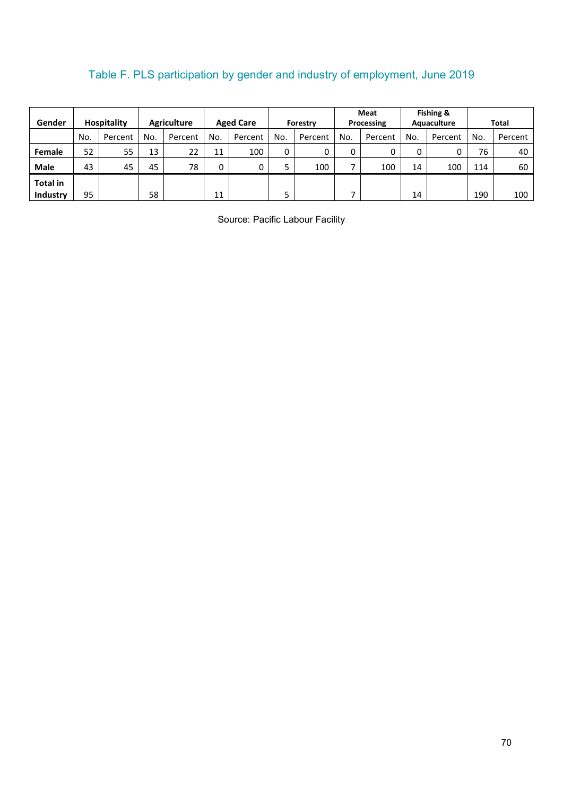# Table F. PLS participation by gender and industry of employment, June 2019

|                 |     |                    |                    |         |                  |         |                 |         | Meat       |         | Fishing &   |         |              |         |
|-----------------|-----|--------------------|--------------------|---------|------------------|---------|-----------------|---------|------------|---------|-------------|---------|--------------|---------|
| Gender          |     | <b>Hospitality</b> | <b>Agriculture</b> |         | <b>Aged Care</b> |         | <b>Forestry</b> |         | Processing |         | Aquaculture |         | <b>Total</b> |         |
|                 | No. | Percent            | No.                | Percent | No.              | Percent | No.             | Percent | No.        | Percent | No.         | Percent | No.          | Percent |
| Female          | 52  | 55                 | 13                 | 22      | 11               | 100     | 0               | 0       | 0          | 0       |             | 0       | 76           | 40      |
| <b>Male</b>     | 43  | 45                 | 45                 | 78      | 0                | 0       | -<br>כ          | 100     |            | 100     | 14          | 100     | 114          | 60      |
| <b>Total in</b> |     |                    |                    |         |                  |         |                 |         |            |         |             |         |              |         |
| Industry        | 95  |                    | 58                 |         | 11               |         | -               |         |            |         | 14          |         | 190          | 100     |

Source: Pacific Labour Facility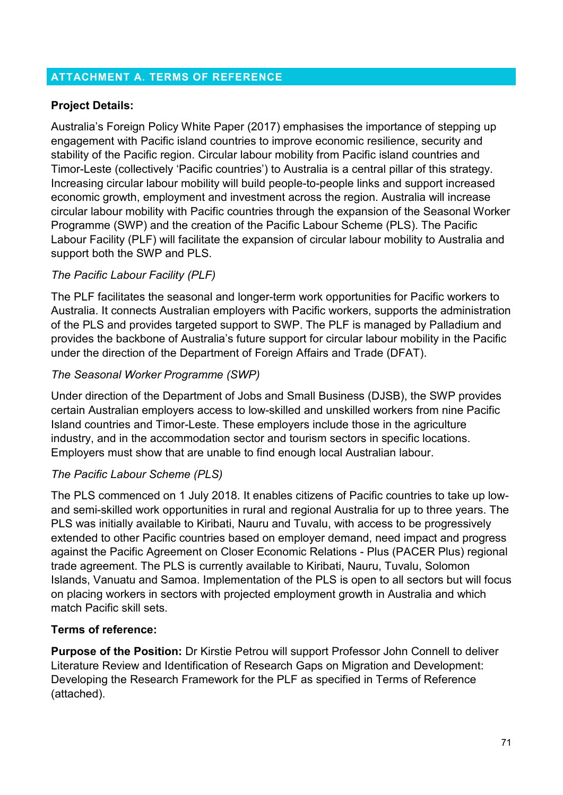# **ATTACHMENT A. TERMS OF REFERENCE**

# **Project Details:**

Australia's Foreign Policy White Paper (2017) emphasises the importance of stepping up engagement with Pacific island countries to improve economic resilience, security and stability of the Pacific region. Circular labour mobility from Pacific island countries and Timor-Leste (collectively 'Pacific countries') to Australia is a central pillar of this strategy. Increasing circular labour mobility will build people-to-people links and support increased economic growth, employment and investment across the region. Australia will increase circular labour mobility with Pacific countries through the expansion of the Seasonal Worker Programme (SWP) and the creation of the Pacific Labour Scheme (PLS). The Pacific Labour Facility (PLF) will facilitate the expansion of circular labour mobility to Australia and support both the SWP and PLS.

# *The Pacific Labour Facility (PLF)*

The PLF facilitates the seasonal and longer-term work opportunities for Pacific workers to Australia. It connects Australian employers with Pacific workers, supports the administration of the PLS and provides targeted support to SWP. The PLF is managed by Palladium and provides the backbone of Australia's future support for circular labour mobility in the Pacific under the direction of the Department of Foreign Affairs and Trade (DFAT).

# *The Seasonal Worker Programme (SWP)*

Under direction of the Department of Jobs and Small Business (DJSB), the SWP provides certain Australian employers access to low-skilled and unskilled workers from nine Pacific Island countries and Timor-Leste. These employers include those in the agriculture industry, and in the accommodation sector and tourism sectors in specific locations. Employers must show that are unable to find enough local Australian labour.

# *The Pacific Labour Scheme (PLS)*

The PLS commenced on 1 July 2018. It enables citizens of Pacific countries to take up lowand semi-skilled work opportunities in rural and regional Australia for up to three years. The PLS was initially available to Kiribati, Nauru and Tuvalu, with access to be progressively extended to other Pacific countries based on employer demand, need impact and progress against the Pacific Agreement on Closer Economic Relations - Plus (PACER Plus) regional trade agreement. The PLS is currently available to Kiribati, Nauru, Tuvalu, Solomon Islands, Vanuatu and Samoa. Implementation of the PLS is open to all sectors but will focus on placing workers in sectors with projected employment growth in Australia and which match Pacific skill sets.

# **Terms of reference:**

**Purpose of the Position:** Dr Kirstie Petrou will support Professor John Connell to deliver Literature Review and Identification of Research Gaps on Migration and Development: Developing the Research Framework for the PLF as specified in Terms of Reference (attached).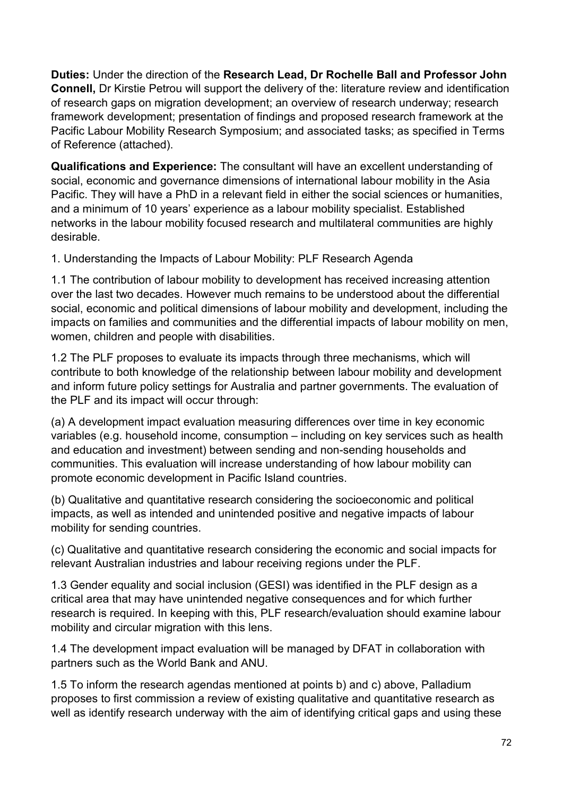**Duties:** Under the direction of the **Research Lead, Dr Rochelle Ball and Professor John Connell,** Dr Kirstie Petrou will support the delivery of the: literature review and identification of research gaps on migration development; an overview of research underway; research framework development; presentation of findings and proposed research framework at the Pacific Labour Mobility Research Symposium; and associated tasks; as specified in Terms of Reference (attached).

**Qualifications and Experience:** The consultant will have an excellent understanding of social, economic and governance dimensions of international labour mobility in the Asia Pacific. They will have a PhD in a relevant field in either the social sciences or humanities, and a minimum of 10 years' experience as a labour mobility specialist. Established networks in the labour mobility focused research and multilateral communities are highly desirable.

1. Understanding the Impacts of Labour Mobility: PLF Research Agenda

1.1 The contribution of labour mobility to development has received increasing attention over the last two decades. However much remains to be understood about the differential social, economic and political dimensions of labour mobility and development, including the impacts on families and communities and the differential impacts of labour mobility on men, women, children and people with disabilities.

1.2 The PLF proposes to evaluate its impacts through three mechanisms, which will contribute to both knowledge of the relationship between labour mobility and development and inform future policy settings for Australia and partner governments. The evaluation of the PLF and its impact will occur through:

(a) A development impact evaluation measuring differences over time in key economic variables (e.g. household income, consumption – including on key services such as health and education and investment) between sending and non-sending households and communities. This evaluation will increase understanding of how labour mobility can promote economic development in Pacific Island countries.

(b) Qualitative and quantitative research considering the socioeconomic and political impacts, as well as intended and unintended positive and negative impacts of labour mobility for sending countries.

(c) Qualitative and quantitative research considering the economic and social impacts for relevant Australian industries and labour receiving regions under the PLF.

1.3 Gender equality and social inclusion (GESI) was identified in the PLF design as a critical area that may have unintended negative consequences and for which further research is required. In keeping with this, PLF research/evaluation should examine labour mobility and circular migration with this lens.

1.4 The development impact evaluation will be managed by DFAT in collaboration with partners such as the World Bank and ANU.

1.5 To inform the research agendas mentioned at points b) and c) above, Palladium proposes to first commission a review of existing qualitative and quantitative research as well as identify research underway with the aim of identifying critical gaps and using these